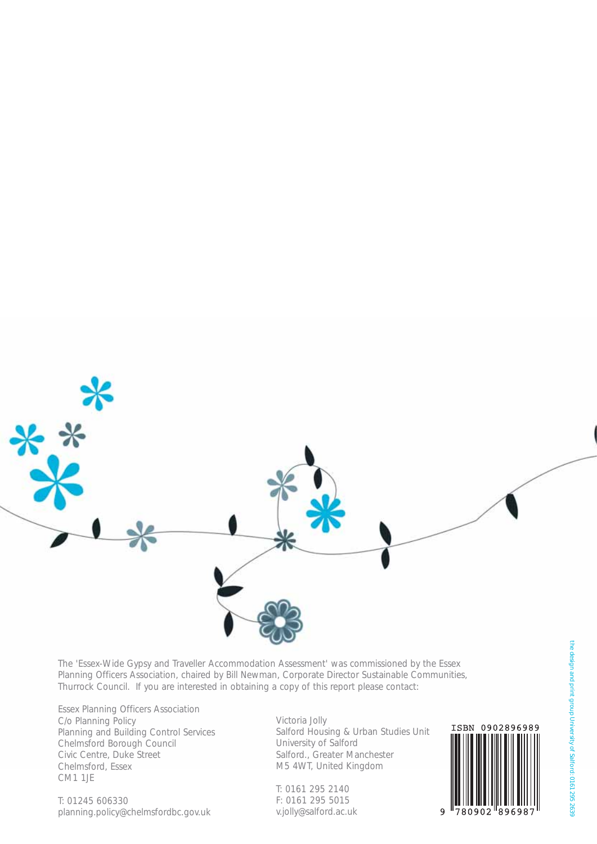

The 'Essex-Wide Gypsy and Traveller Accommodation Assessment' was commissioned by the Essex Planning Officers Association, chaired by Bill Newman, Corporate Director Sustainable Communities, Thurrock Council. If you are interested in obtaining a copy of this report please contact:

Essex Planning Officers Association C/o Planning Policy Planning and Building Control Services Chelmsford Borough Council Civic Centre, Duke Street Chelmsford, Essex CM1 1JE

T: 01245 606330 planning.policy@chelmsfordbc.gov.uk Victoria Jolly Salford Housing & Urban Studies Unit University of Salford Salford., Greater Manchester M5 4WT, United Kingdom

T: 0161 295 2140 F: 0161 295 5015 v.jolly@salford.ac.uk

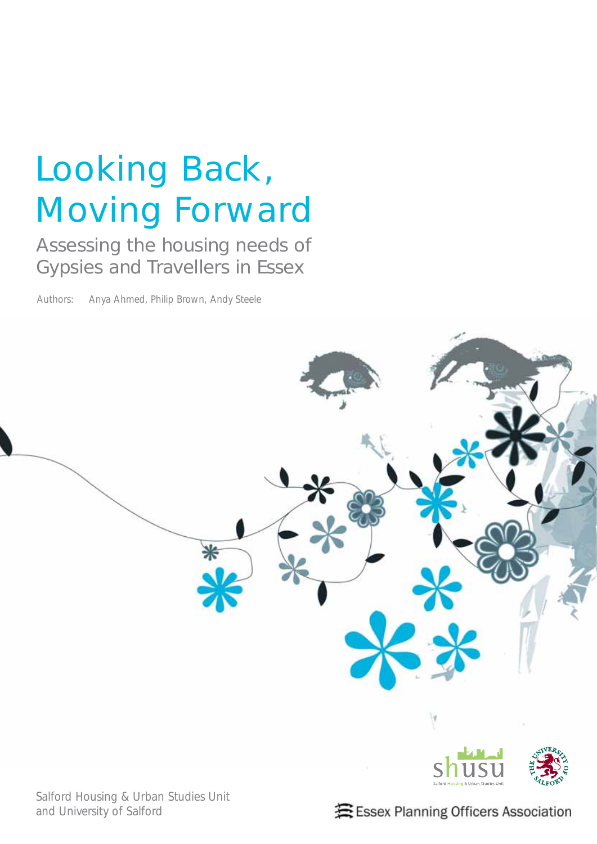# Looking Back, Moving Forward

Assessing the housing needs of Gypsies and Travellers in Essex

Authors: Anya Ahmed, Philip Brown, Andy Steele



Salford Housing & Urban Studies Unit and University of Salford

套 Essex Planning Officers Association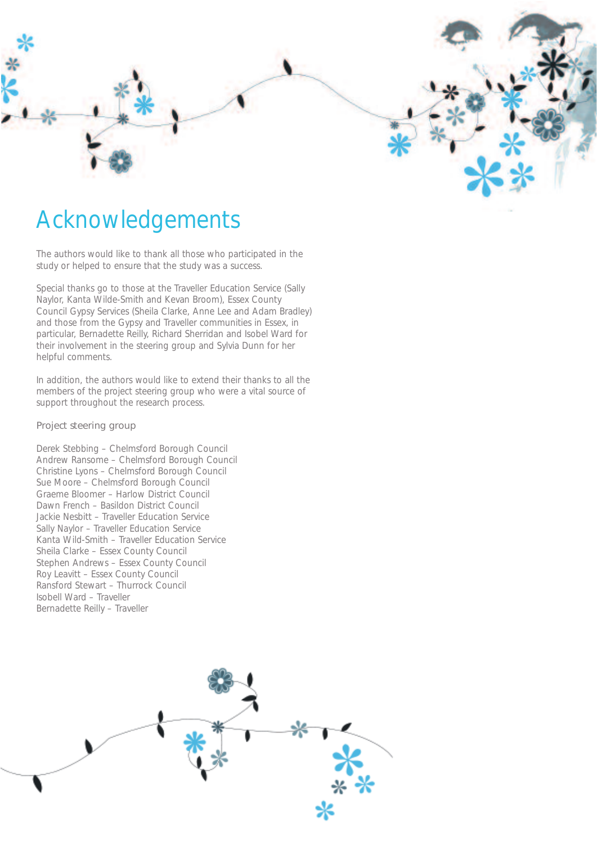

### Acknowledgements

The authors would like to thank all those who participated in the study or helped to ensure that the study was a success.

Special thanks go to those at the Traveller Education Service (Sally Naylor, Kanta Wilde-Smith and Kevan Broom), Essex County Council Gypsy Services (Sheila Clarke, Anne Lee and Adam Bradley) and those from the Gypsy and Traveller communities in Essex, in particular, Bernadette Reilly, Richard Sherridan and Isobel Ward for their involvement in the steering group and Sylvia Dunn for her helpful comments.

In addition, the authors would like to extend their thanks to all the members of the project steering group who were a vital source of support throughout the research process.

#### Project steering group

Derek Stebbing – Chelmsford Borough Council Andrew Ransome – Chelmsford Borough Council Christine Lyons – Chelmsford Borough Council Sue Moore – Chelmsford Borough Council Graeme Bloomer – Harlow District Council Dawn French – Basildon District Council Jackie Nesbitt – Traveller Education Service Sally Naylor – Traveller Education Service Kanta Wild-Smith – Traveller Education Service Sheila Clarke – Essex County Council Stephen Andrews – Essex County Council Roy Leavitt – Essex County Council Ransford Stewart – Thurrock Council Isobell Ward – Traveller Bernadette Reilly – Traveller

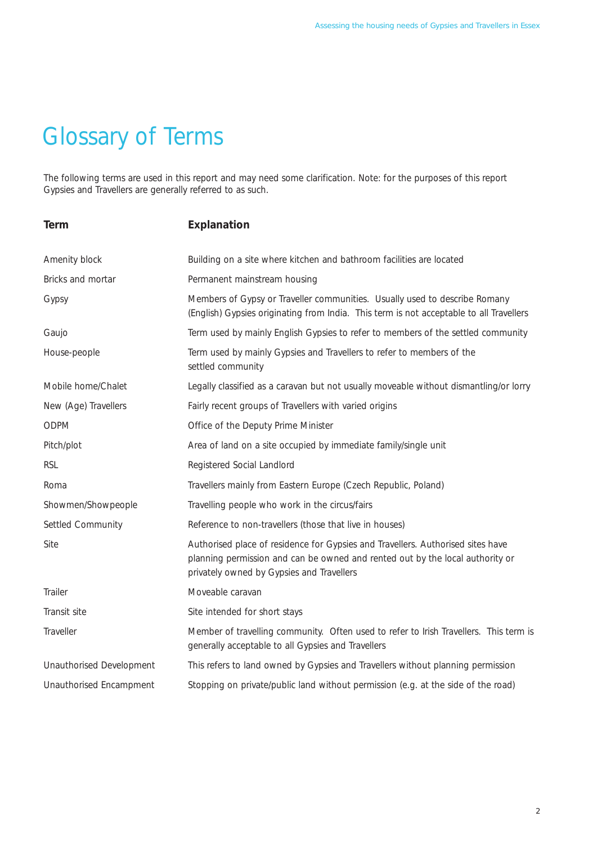## Glossary of Terms

The following terms are used in this report and may need some clarification. Note: for the purposes of this report Gypsies and Travellers are generally referred to as such.

| <b>Term</b>              | Explanation                                                                                                                                                                                                   |
|--------------------------|---------------------------------------------------------------------------------------------------------------------------------------------------------------------------------------------------------------|
| Amenity block            | Building on a site where kitchen and bathroom facilities are located                                                                                                                                          |
| Bricks and mortar        | Permanent mainstream housing                                                                                                                                                                                  |
| Gypsy                    | Members of Gypsy or Traveller communities. Usually used to describe Romany<br>(English) Gypsies originating from India. This term is not acceptable to all Travellers                                         |
| Gaujo                    | Term used by mainly English Gypsies to refer to members of the settled community                                                                                                                              |
| House-people             | Term used by mainly Gypsies and Travellers to refer to members of the<br>settled community                                                                                                                    |
| Mobile home/Chalet       | Legally classified as a caravan but not usually moveable without dismantling/or lorry                                                                                                                         |
| New (Age) Travellers     | Fairly recent groups of Travellers with varied origins                                                                                                                                                        |
| <b>ODPM</b>              | Office of the Deputy Prime Minister                                                                                                                                                                           |
| Pitch/plot               | Area of land on a site occupied by immediate family/single unit                                                                                                                                               |
| <b>RSL</b>               | Registered Social Landlord                                                                                                                                                                                    |
| Roma                     | Travellers mainly from Eastern Europe (Czech Republic, Poland)                                                                                                                                                |
| Showmen/Showpeople       | Travelling people who work in the circus/fairs                                                                                                                                                                |
| Settled Community        | Reference to non-travellers (those that live in houses)                                                                                                                                                       |
| Site                     | Authorised place of residence for Gypsies and Travellers. Authorised sites have<br>planning permission and can be owned and rented out by the local authority or<br>privately owned by Gypsies and Travellers |
| Trailer                  | Moveable caravan                                                                                                                                                                                              |
| Transit site             | Site intended for short stays                                                                                                                                                                                 |
| Traveller                | Member of travelling community. Often used to refer to Irish Travellers. This term is<br>generally acceptable to all Gypsies and Travellers                                                                   |
| Unauthorised Development | This refers to land owned by Gypsies and Travellers without planning permission                                                                                                                               |
| Unauthorised Encampment  | Stopping on private/public land without permission (e.g. at the side of the road)                                                                                                                             |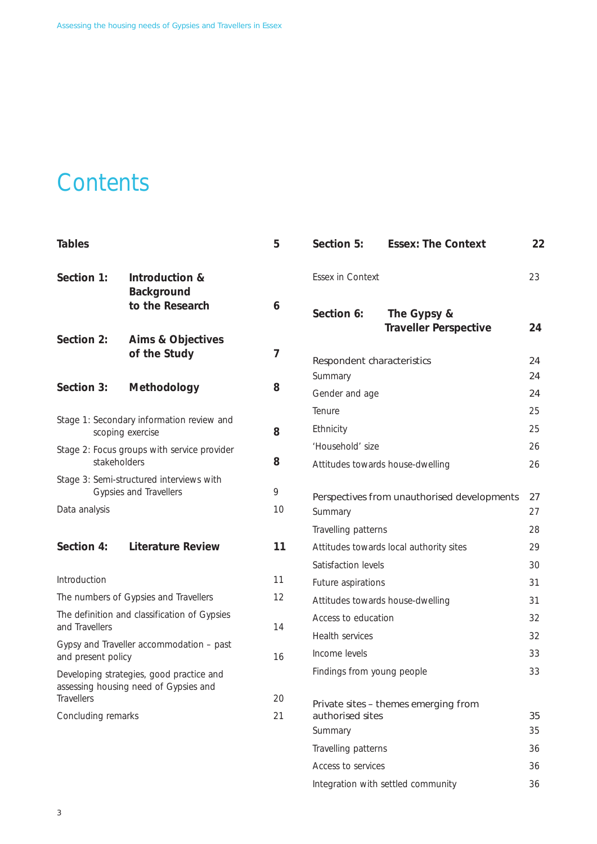### **Contents**

| <b>Tables</b>      |                                                                    | 5  | Section 5:                                             | <b>Essex: The Context</b>                   | 22       |
|--------------------|--------------------------------------------------------------------|----|--------------------------------------------------------|---------------------------------------------|----------|
| Section 1:         | Introduction &                                                     |    | Essex in Context                                       |                                             | 23       |
|                    | Background<br>to the Research                                      | 6  | Section 6:                                             | The Gypsy &<br><b>Traveller Perspective</b> | 24       |
| Section 2:         | Aims & Objectives<br>of the Study                                  | 7  | Respondent characteristics                             |                                             | 24       |
|                    |                                                                    |    | Summary                                                |                                             | 24       |
| Section 3:         | Methodology                                                        | 8  | Gender and age                                         |                                             | 24       |
|                    |                                                                    |    | Tenure                                                 |                                             | 25       |
|                    | Stage 1: Secondary information review and<br>scoping exercise      | 8  | Ethnicity                                              |                                             | 25       |
|                    | Stage 2: Focus groups with service provider                        |    | 'Household' size                                       |                                             | 26       |
|                    | stakeholders                                                       | 8  |                                                        | Attitudes towards house-dwelling            | 26       |
|                    | Stage 3: Semi-structured interviews with<br>Gypsies and Travellers | 9  |                                                        |                                             |          |
| Data analysis      |                                                                    | 10 | Perspectives from unauthorised developments<br>Summary |                                             | 27<br>27 |
|                    |                                                                    |    | Travelling patterns                                    |                                             | 28       |
| Section 4:         | <b>Literature Review</b>                                           | 11 |                                                        | Attitudes towards local authority sites     | 29       |
|                    |                                                                    |    | Satisfaction levels                                    |                                             | 30       |
| Introduction       |                                                                    | 11 | Future aspirations                                     |                                             | 31       |
|                    | The numbers of Gypsies and Travellers                              | 12 |                                                        | Attitudes towards house-dwelling            | 31       |
|                    | The definition and classification of Gypsies                       |    | Access to education                                    |                                             | 32       |
| and Travellers     |                                                                    | 14 | Health services                                        |                                             | 32       |
| and present policy | Gypsy and Traveller accommodation - past                           | 16 | Income levels                                          |                                             | 33       |
|                    | Developing strategies, good practice and                           |    | Findings from young people                             |                                             | 33       |
|                    | assessing housing need of Gypsies and                              |    |                                                        |                                             |          |
| Travellers         |                                                                    | 20 |                                                        | Private sites - themes emerging from        |          |
| Concluding remarks |                                                                    | 21 | authorised sites<br>Summary                            |                                             | 35<br>35 |
|                    |                                                                    |    | Travelling patterns                                    |                                             | 36       |
|                    |                                                                    |    | Access to services                                     |                                             | 36       |

Integration with settled community 36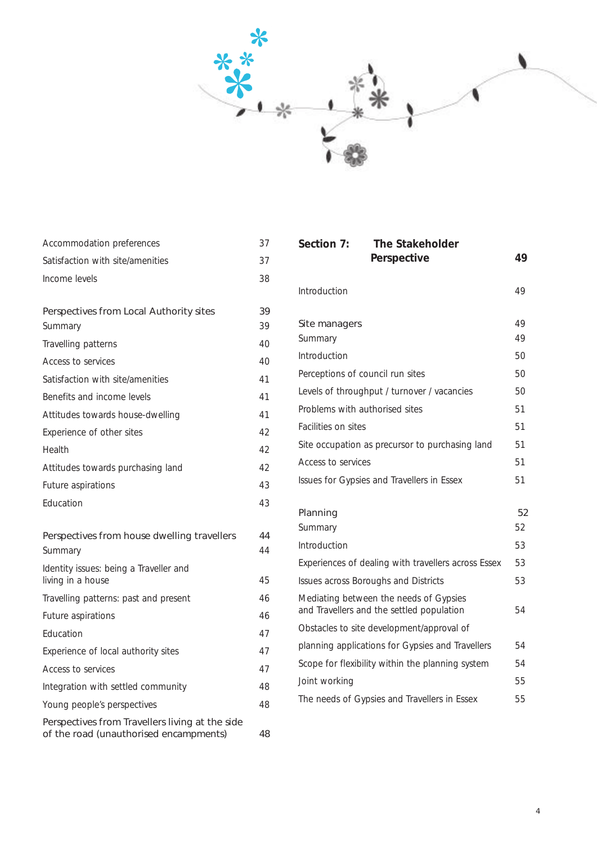

| Accommodation preferences                                                                 | 37 |
|-------------------------------------------------------------------------------------------|----|
| Satisfaction with site/amenities                                                          | 37 |
| Income levels                                                                             | 38 |
|                                                                                           |    |
| Perspectives from Local Authority sites                                                   | 39 |
| Summary                                                                                   | 39 |
| Travelling patterns                                                                       | 40 |
| Access to services                                                                        | 40 |
| Satisfaction with site/amenities                                                          | 41 |
| Benefits and income levels                                                                | 41 |
| Attitudes towards house-dwelling                                                          | 41 |
| Experience of other sites                                                                 | 42 |
| Health                                                                                    | 42 |
| Attitudes towards purchasing land                                                         | 42 |
| Future aspirations                                                                        | 43 |
| Education                                                                                 | 43 |
| Perspectives from house dwelling travellers                                               | 44 |
| Summary                                                                                   | 44 |
| Identity issues: being a Traveller and<br>living in a house                               | 45 |
| Travelling patterns: past and present                                                     | 46 |
| Future aspirations                                                                        | 46 |
| Education                                                                                 | 47 |
| Experience of local authority sites                                                       | 47 |
| Access to services                                                                        | 47 |
| Integration with settled community                                                        | 48 |
| Young people's perspectives                                                               | 48 |
| Perspectives from Travellers living at the side<br>of the road (unauthorised encampments) | 48 |

| Section 7:                       | <b>The Stakeholder</b>                                                              |          |
|----------------------------------|-------------------------------------------------------------------------------------|----------|
|                                  | Perspective                                                                         | 49       |
| Introduction                     |                                                                                     | 49       |
| Site managers<br>Summary         |                                                                                     | 49<br>49 |
| Introduction                     |                                                                                     | 50       |
| Perceptions of council run sites |                                                                                     | 50       |
|                                  | Levels of throughput / turnover / vacancies                                         | 50       |
| Problems with authorised sites   |                                                                                     | 51       |
| <b>Facilities on sites</b>       |                                                                                     | 51       |
|                                  | Site occupation as precursor to purchasing land                                     | 51       |
| Access to services               |                                                                                     | 51       |
|                                  | Issues for Gypsies and Travellers in Essex                                          | 51       |
|                                  |                                                                                     |          |
| Planning                         |                                                                                     | 52       |
| Summary                          |                                                                                     | 52       |
| Introduction                     |                                                                                     | 53       |
|                                  | Experiences of dealing with travellers across Essex                                 | 53       |
|                                  | Issues across Boroughs and Districts                                                | 53       |
|                                  | Mediating between the needs of Gypsies<br>and Travellers and the settled population | 54       |
|                                  | Obstacles to site development/approval of                                           |          |
|                                  | planning applications for Gypsies and Travellers                                    | 54       |
|                                  | Scope for flexibility within the planning system                                    | 54       |
| Joint working                    |                                                                                     | 55       |
|                                  | The needs of Gypsies and Travellers in Essex                                        | 55       |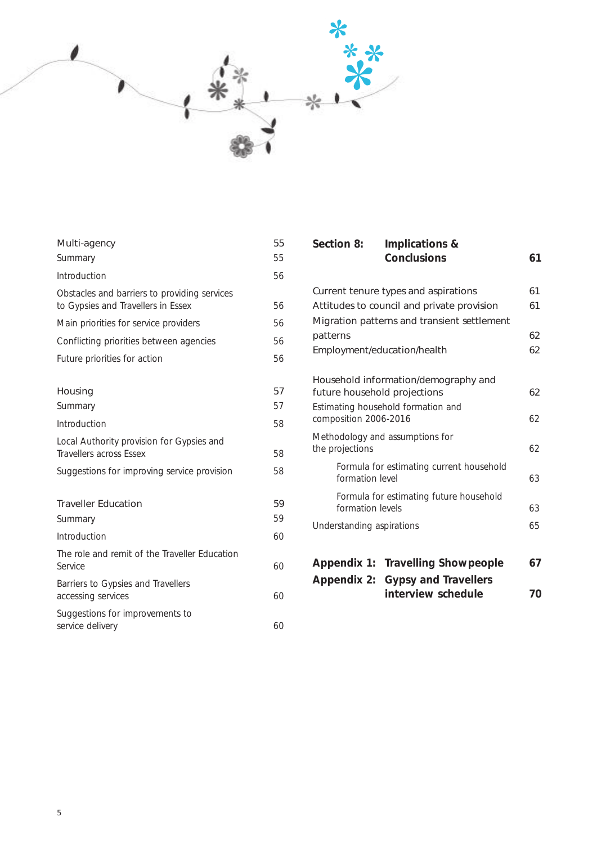

| Multi-agency                                                                       | 55 |
|------------------------------------------------------------------------------------|----|
| Summary                                                                            | 55 |
| Introduction                                                                       | 56 |
| Obstacles and barriers to providing services<br>to Gypsies and Travellers in Essex | 56 |
| Main priorities for service providers                                              | 56 |
| Conflicting priorities between agencies                                            | 56 |
| Future priorities for action                                                       | 56 |
|                                                                                    |    |
| Housing                                                                            | 57 |
| Summary                                                                            | 57 |
| Introduction                                                                       | 58 |
| Local Authority provision for Gypsies and<br><b>Travellers across Essex</b>        | 58 |
| Suggestions for improving service provision                                        | 58 |
| <b>Traveller Education</b>                                                         | 59 |
| Summary                                                                            | 59 |
| Introduction                                                                       | 60 |
| The role and remit of the Traveller Education<br>Service                           | 60 |
| Barriers to Gypsies and Travellers<br>accessing services                           | 60 |
| Suggestions for improvements to<br>service delivery                                | 60 |

| 55<br>55 | Section 8:                   | Implications &<br><b>Conclusions</b>                   | 61 |
|----------|------------------------------|--------------------------------------------------------|----|
| 56       |                              |                                                        |    |
|          |                              | Current tenure types and aspirations                   | 61 |
| 56       |                              | Attitudes to council and private provision             | 61 |
| 56       |                              | Migration patterns and transient settlement            |    |
| 56       | patterns                     |                                                        | 62 |
| 56       |                              | Employment/education/health                            | 62 |
|          |                              | Household information/demography and                   |    |
| 57       | future household projections |                                                        | 62 |
| 57       | composition 2006-2016        | Estimating household formation and                     | 62 |
| 58       |                              | Methodology and assumptions for                        |    |
| 58       | the projections              |                                                        | 62 |
| 58       | formation level              | Formula for estimating current household               | 63 |
| 59       | formation levels             | Formula for estimating future household                | 63 |
| 59       | Understanding aspirations    |                                                        | 65 |
| 60       |                              |                                                        |    |
| 60       |                              | Appendix 1: Travelling Showpeople                      | 67 |
| 60       |                              | Appendix 2: Gypsy and Travellers<br>interview schedule | 70 |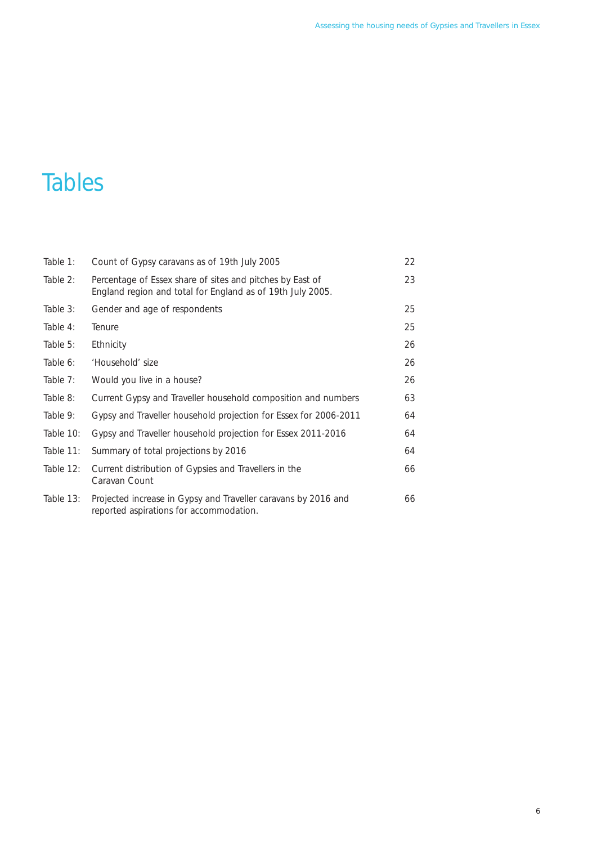### **Tables**

| Table 1:  | Count of Gypsy caravans as of 19th July 2005                                                                            | 22 |
|-----------|-------------------------------------------------------------------------------------------------------------------------|----|
| Table 2:  | Percentage of Essex share of sites and pitches by East of<br>England region and total for England as of 19th July 2005. | 23 |
| Table 3:  | Gender and age of respondents                                                                                           | 25 |
| Table 4:  | Tenure                                                                                                                  | 25 |
| Table 5:  | Ethnicity                                                                                                               | 26 |
| Table 6:  | 'Household' size                                                                                                        | 26 |
| Table 7:  | Would you live in a house?                                                                                              | 26 |
| Table 8:  | Current Gypsy and Traveller household composition and numbers                                                           | 63 |
| Table 9:  | Gypsy and Traveller household projection for Essex for 2006-2011                                                        | 64 |
| Table 10: | Gypsy and Traveller household projection for Essex 2011-2016                                                            | 64 |
| Table 11: | Summary of total projections by 2016                                                                                    | 64 |
| Table 12: | Current distribution of Gypsies and Travellers in the<br>Caravan Count                                                  | 66 |
| Table 13: | Projected increase in Gypsy and Traveller caravans by 2016 and<br>reported aspirations for accommodation.               | 66 |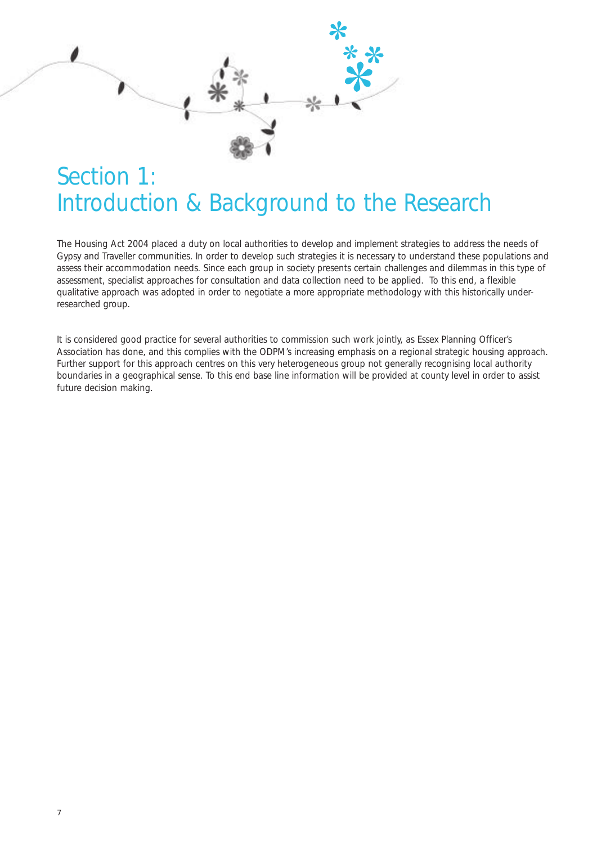### Section 1: Introduction & Background to the Research

The Housing Act 2004 placed a duty on local authorities to develop and implement strategies to address the needs of Gypsy and Traveller communities. In order to develop such strategies it is necessary to understand these populations and assess their accommodation needs. Since each group in society presents certain challenges and dilemmas in this type of assessment, specialist approaches for consultation and data collection need to be applied. To this end, a flexible qualitative approach was adopted in order to negotiate a more appropriate methodology with this historically underresearched group.

It is considered good practice for several authorities to commission such work jointly, as Essex Planning Officer's Association has done, and this complies with the ODPM's increasing emphasis on a regional strategic housing approach. Further support for this approach centres on this very heterogeneous group not generally recognising local authority boundaries in a geographical sense. To this end base line information will be provided at county level in order to assist future decision making.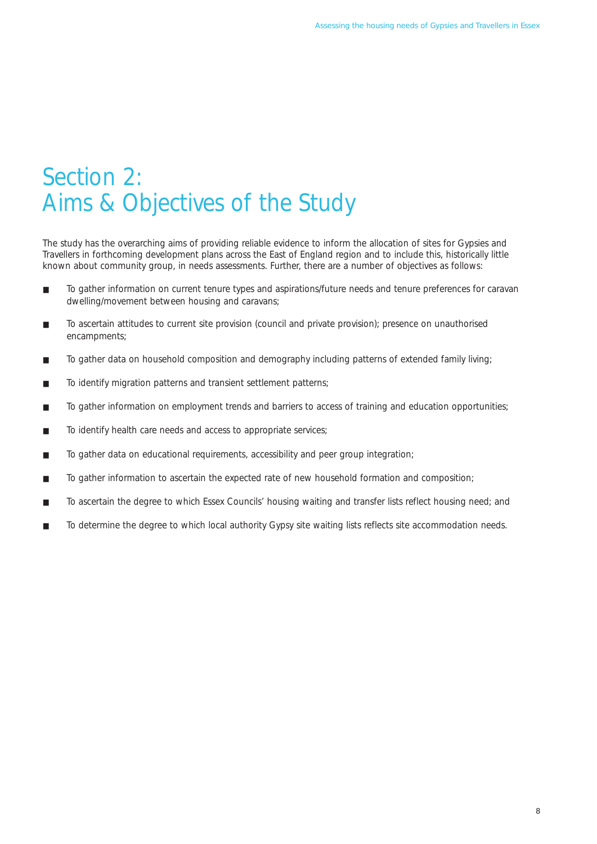### Section 2: Aims & Objectives of the Study

The study has the overarching aims of providing reliable evidence to inform the allocation of sites for Gypsies and Travellers in forthcoming development plans across the East of England region and to include this, historically little known about community group, in needs assessments. Further, there are a number of objectives as follows:

- To gather information on current tenure types and aspirations/future needs and tenure preferences for caravan dwelling/movement between housing and caravans;
- To ascertain attitudes to current site provision (council and private provision); presence on unauthorised encampments;
- To gather data on household composition and demography including patterns of extended family living;
- To identify migration patterns and transient settlement patterns;
- To gather information on employment trends and barriers to access of training and education opportunities;
- To identify health care needs and access to appropriate services;
- To gather data on educational requirements, accessibility and peer group integration;
- To gather information to ascertain the expected rate of new household formation and composition;
- To ascertain the degree to which Essex Councils' housing waiting and transfer lists reflect housing need; and
- To determine the degree to which local authority Gypsy site waiting lists reflects site accommodation needs.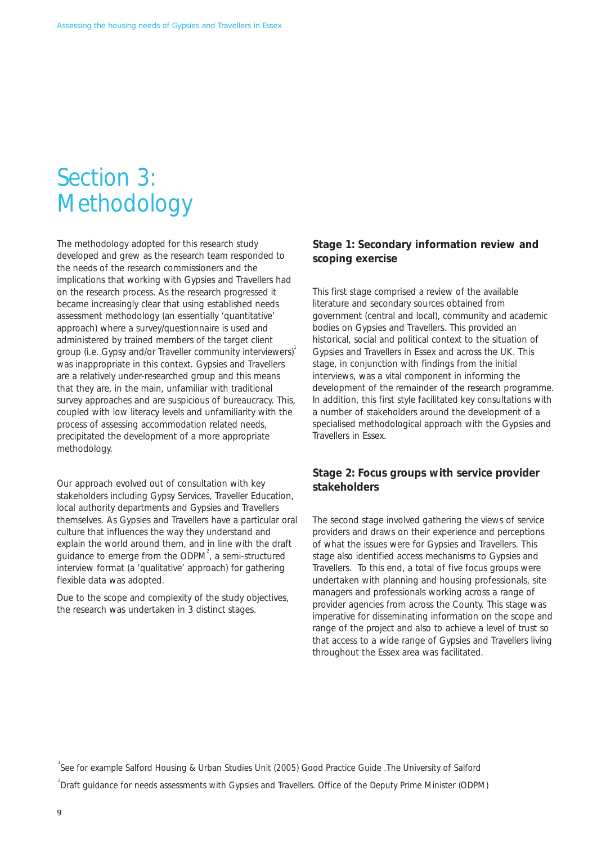### Section 3: Methodology

The methodology adopted for this research study developed and grew as the research team responded to the needs of the research commissioners and the implications that working with Gypsies and Travellers had on the research process. As the research progressed it became increasingly clear that using established needs assessment methodology (an essentially 'quantitative' approach) where a survey/questionnaire is used and administered by trained members of the target client group (i.e. Gypsy and/or Traveller community interviewers) was inappropriate in this context. Gypsies and Travellers are a relatively under-researched group and this means that they are, in the main, unfamiliar with traditional survey approaches and are suspicious of bureaucracy. This, coupled with low literacy levels and unfamiliarity with the process of assessing accommodation related needs, precipitated the development of a more appropriate methodology.

Our approach evolved out of consultation with key stakeholders including Gypsy Services, Traveller Education, local authority departments and Gypsies and Travellers themselves. As Gypsies and Travellers have a particular oral culture that influences the way they understand and explain the world around them, and in line with the draft guidance to emerge from the ODPM<sup>2</sup>, a semi-structured interview format (a 'qualitative' approach) for gathering flexible data was adopted.

Due to the scope and complexity of the study objectives, the research was undertaken in 3 distinct stages.

#### **Stage 1: Secondary information review and scoping exercise**

This first stage comprised a review of the available literature and secondary sources obtained from government (central and local), community and academic bodies on Gypsies and Travellers. This provided an historical, social and political context to the situation of Gypsies and Travellers in Essex and across the UK. This stage, in conjunction with findings from the initial interviews, was a vital component in informing the development of the remainder of the research programme. In addition, this first style facilitated key consultations with a number of stakeholders around the development of a specialised methodological approach with the Gypsies and Travellers in Essex.

#### **Stage 2: Focus groups with service provider stakeholders**

The second stage involved gathering the views of service providers and draws on their experience and perceptions of what the issues were for Gypsies and Travellers. This stage also identified access mechanisms to Gypsies and Travellers. To this end, a total of five focus groups were undertaken with planning and housing professionals, site managers and professionals working across a range of provider agencies from across the County. This stage was imperative for disseminating information on the scope and range of the project and also to achieve a level of trust so that access to a wide range of Gypsies and Travellers living throughout the Essex area was facilitated.

<sup>1</sup>See for example Salford Housing & Urban Studies Unit (2005) Good Practice Guide .The University of Salford  $2$ Draft guidance for needs assessments with Gypsies and Travellers. Office of the Deputy Prime Minister (ODPM)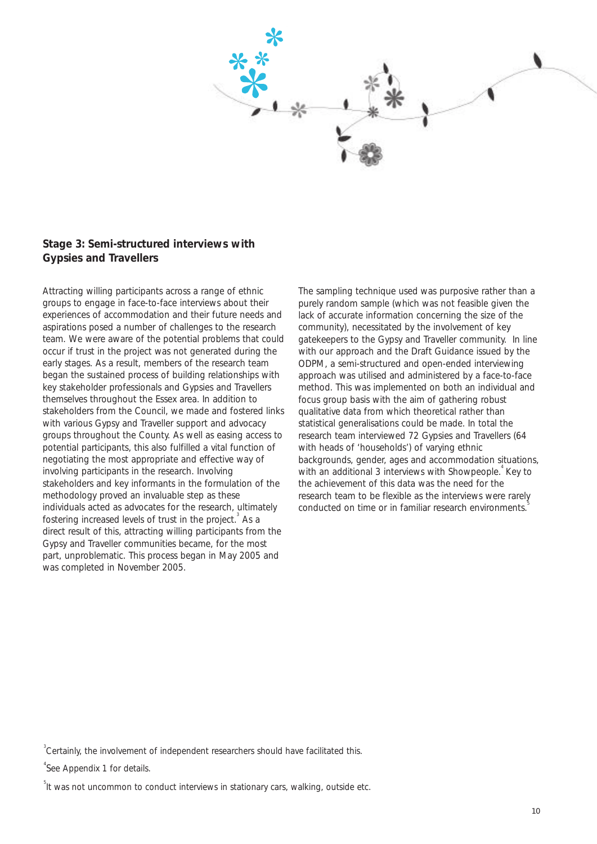

#### **Stage 3: Semi-structured interviews with Gypsies and Travellers**

Attracting willing participants across a range of ethnic groups to engage in face-to-face interviews about their experiences of accommodation and their future needs and aspirations posed a number of challenges to the research team. We were aware of the potential problems that could occur if trust in the project was not generated during the early stages. As a result, members of the research team began the sustained process of building relationships with key stakeholder professionals and Gypsies and Travellers themselves throughout the Essex area. In addition to stakeholders from the Council, we made and fostered links with various Gypsy and Traveller support and advocacy groups throughout the County. As well as easing access to potential participants, this also fulfilled a vital function of negotiating the most appropriate and effective way of involving participants in the research. Involving stakeholders and key informants in the formulation of the methodology proved an invaluable step as these individuals acted as advocates for the research, ultimately fostering increased levels of trust in the project.<sup>3</sup> As a direct result of this, attracting willing participants from the Gypsy and Traveller communities became, for the most part, unproblematic. This process began in May 2005 and was completed in November 2005.

The sampling technique used was purposive rather than a purely random sample (which was not feasible given the lack of accurate information concerning the size of the community), necessitated by the involvement of key gatekeepers to the Gypsy and Traveller community. In line with our approach and the Draft Guidance issued by the ODPM, a semi-structured and open-ended interviewing approach was utilised and administered by a face-to-face method. This was implemented on both an individual and focus group basis with the aim of gathering robust qualitative data from which theoretical rather than statistical generalisations could be made. In total the research team interviewed 72 Gypsies and Travellers (64 with heads of 'households') of varying ethnic backgrounds, gender, ages and accommodation situations, with an additional 3 interviews with Showpeople.<sup>4</sup> Key to the achievement of this data was the need for the research team to be flexible as the interviews were rarely conducted on time or in familiar research environments.

 $3$ Certainly, the involvement of independent researchers should have facilitated this.

<sup>4</sup>See Appendix 1 for details.

<sup>5</sup>It was not uncommon to conduct interviews in stationary cars, walking, outside etc.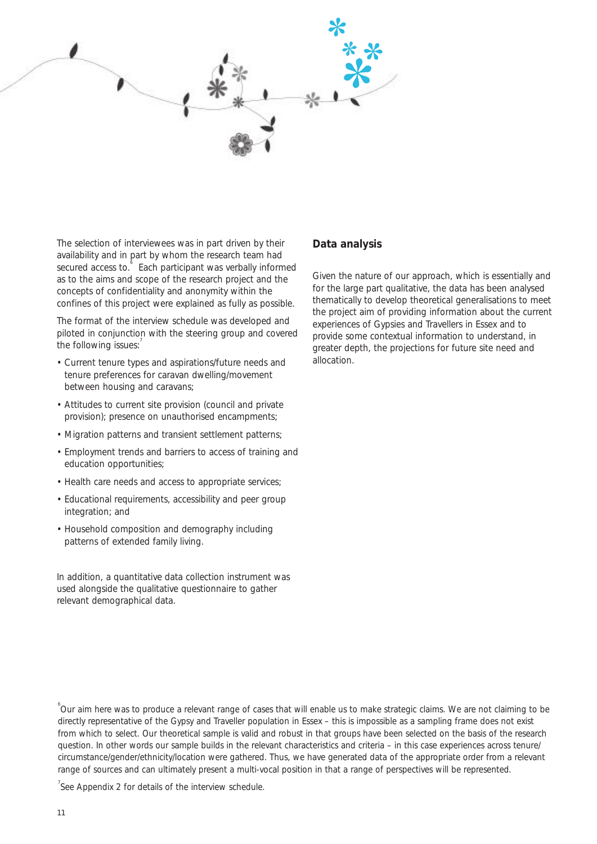

The selection of interviewees was in part driven by their **Data analysis** availability and in part by whom the research team had

- Current tenure types and aspirations/future needs and allocation. tenure preferences for caravan dwelling/movement between housing and caravans;
- Attitudes to current site provision (council and private provision); presence on unauthorised encampments;
- Migration patterns and transient settlement patterns:
- Employment trends and barriers to access of training and education opportunities;
- Health care needs and access to appropriate services;
- Educational requirements, accessibility and peer group integration; and
- Household composition and demography including patterns of extended family living.

In addition, a quantitative data collection instrument was used alongside the qualitative questionnaire to gather relevant demographical data.

secured access to.<sup>6</sup> Each participant was verbally informed<br>as to the aims and scope of the research project and the<br>concepts of confidentiality and anonymity within the<br>confines of this project were explained as fully as

See Appendix 2 for details of the interview schedule.

<sup>&</sup>lt;sup>6</sup>Our aim here was to produce a relevant range of cases that will enable us to make strategic claims. We are not claiming to be directly representative of the Gypsy and Traveller population in Essex – this is impossible as a sampling frame does not exist from which to select. Our theoretical sample is valid and robust in that groups have been selected on the basis of the research question. In other words our sample builds in the relevant characteristics and criteria – in this case experiences across tenure/ circumstance/gender/ethnicity/location were gathered. Thus, we have generated data of the appropriate order from a relevant range of sources and can ultimately present a multi-vocal position in that a range of perspectives will be represented.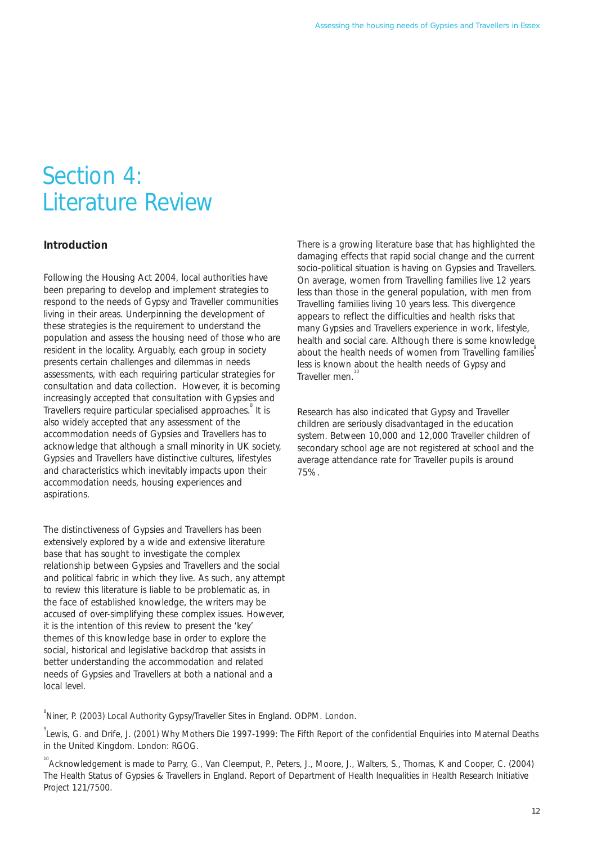### Section 4: Literature Review

#### **Introduction**

Following the Housing Act 2004, local authorities have been preparing to develop and implement strategies to respond to the needs of Gypsy and Traveller communities living in their areas. Underpinning the development of these strategies is the requirement to understand the population and assess the housing need of those who are resident in the locality. Arguably, each group in society presents certain challenges and dilemmas in needs assessments, with each requiring particular strategies for consultation and data collection. However, it is becoming increasingly accepted that consultation with Gypsies and Travellers require particular specialised approaches.<sup>8</sup> It is also widely accepted that any assessment of the accommodation needs of Gypsies and Travellers has to acknowledge that although a small minority in UK society, Gypsies and Travellers have distinctive cultures, lifestyles and characteristics which inevitably impacts upon their accommodation needs, housing experiences and aspirations.

The distinctiveness of Gypsies and Travellers has been extensively explored by a wide and extensive literature base that has sought to investigate the complex relationship between Gypsies and Travellers and the social and political fabric in which they live. As such, any attempt to review this literature is liable to be problematic as, in the face of established knowledge, the writers may be accused of over-simplifying these complex issues. However, it is the intention of this review to present the 'key' themes of this knowledge base in order to explore the social, historical and legislative backdrop that assists in better understanding the accommodation and related needs of Gypsies and Travellers at both a national and a local level.

There is a growing literature base that has highlighted the damaging effects that rapid social change and the current socio-political situation is having on Gypsies and Travellers. On average, women from Travelling families live 12 years less than those in the general population, with men from Travelling families living 10 years less. This divergence appears to reflect the difficulties and health risks that many Gypsies and Travellers experience in work, lifestyle, health and social care. Although there is some knowledge about the health needs of women from Travelling families less is known about the health needs of Gypsy and Traveller men.

Research has also indicated that Gypsy and Traveller children are seriously disadvantaged in the education system. Between 10,000 and 12,000 Traveller children of secondary school age are not registered at school and the average attendance rate for Traveller pupils is around 75%.

<sup>8</sup> Niner, P. (2003) Local Authority Gypsy/Traveller Sites in England. ODPM. London.

<sup>9</sup> Lewis, G. and Drife, J. (2001) Why Mothers Die 1997-1999: The Fifth Report of the confidential Enquiries into Maternal Deaths in the United Kingdom. London: RGOG.

<sup>&</sup>lt;sup>10</sup> Acknowledgement is made to Parry, G., Van Cleemput, P., Peters, J., Moore, J., Walters, S., Thomas, K and Cooper, C. (2004) The Health Status of Gypsies & Travellers in England. Report of Department of Health Inequalities in Health Research Initiative Project 121/7500.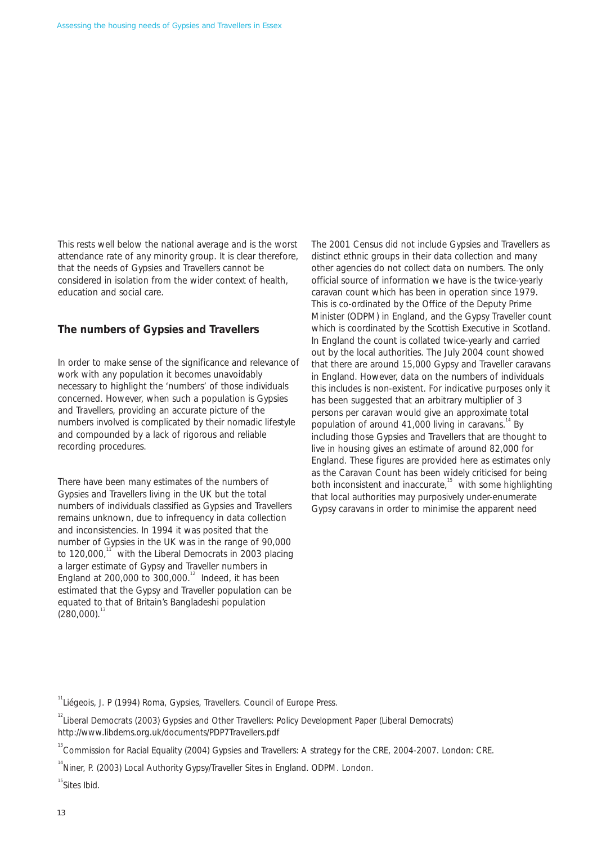This rests well below the national average and is the worst attendance rate of any minority group. It is clear therefore, that the needs of Gypsies and Travellers cannot be considered in isolation from the wider context of health, education and social care.

#### **The numbers of Gypsies and Travellers**

In order to make sense of the significance and relevance of work with any population it becomes unavoidably necessary to highlight the 'numbers' of those individuals concerned. However, when such a population is Gypsies and Travellers, providing an accurate picture of the numbers involved is complicated by their nomadic lifestyle and compounded by a lack of rigorous and reliable recording procedures.

There have been many estimates of the numbers of Gypsies and Travellers living in the UK but the total numbers of individuals classified as Gypsies and Travellers remains unknown, due to infrequency in data collection and inconsistencies. In 1994 it was posited that the number of Gypsies in the UK was in the range of 90,000 to 120,000," with the Liberal Democrats in 2003 placing a larger estimate of Gypsy and Traveller numbers in England at 200,000 to  $300,000$ .<sup>12</sup> Indeed, it has been estimated that the Gypsy and Traveller population can be equated to that of Britain's Bangladeshi population  $(280,000)$ <sup>13</sup>

The 2001 Census did not include Gypsies and Travellers as distinct ethnic groups in their data collection and many other agencies do not collect data on numbers. The only official source of information we have is the twice-yearly caravan count which has been in operation since 1979. This is co-ordinated by the Office of the Deputy Prime Minister (ODPM) in England, and the Gypsy Traveller count which is coordinated by the Scottish Executive in Scotland. In England the count is collated twice-yearly and carried out by the local authorities. The July 2004 count showed that there are around 15,000 Gypsy and Traveller caravans in England. However, data on the numbers of individuals this includes is non-existent. For indicative purposes only it has been suggested that an arbitrary multiplier of 3 persons per caravan would give an approximate total population of around 41,000 living in caravans. $14$  By including those Gypsies and Travellers that are thought to live in housing gives an estimate of around 82,000 for England. These figures are provided here as estimates only as the Caravan Count has been widely criticised for being both inconsistent and inaccurate,<sup>15</sup> with some highlighting that local authorities may purposively under-enumerate Gypsy caravans in order to minimise the apparent need

 $\mathrm{^{15}}$ Sites Ibid.

<sup>&</sup>lt;sup>11</sup>Liégeois, J. P (1994) Roma, Gypsies, Travellers. Council of Europe Press.

<sup>&</sup>lt;sup>12</sup> Liberal Democrats (2003) Gypsies and Other Travellers: Policy Development Paper (Liberal Democrats) http://www.libdems.org.uk/documents/PDP7Travellers.pdf

<sup>&</sup>lt;sup>13</sup> Commission for Racial Equality (2004) Gypsies and Travellers: A strategy for the CRE, 2004-2007. London: CRE.

<sup>&</sup>lt;sup>14</sup> Niner, P. (2003) Local Authority Gypsy/Traveller Sites in England. ODPM. London.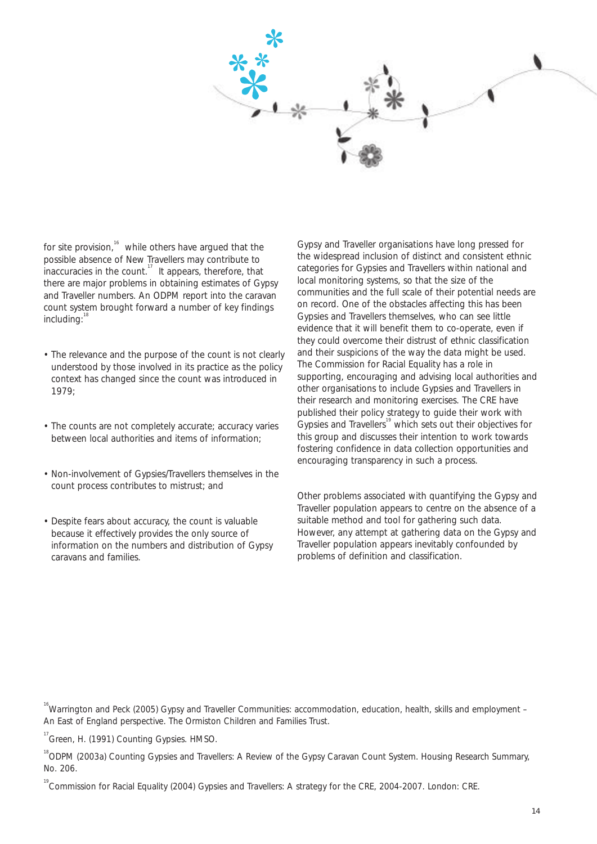

for site provision, $16$  while others have argued that the possible absence of New Travellers may contribute to inaccuracies in the count.<sup>17</sup> It appears, therefore, that there are major problems in obtaining estimates of Gypsy and Traveller numbers. An ODPM report into the caravan count system brought forward a number of key findings including:

- The relevance and the purpose of the count is not clearly understood by those involved in its practice as the policy context has changed since the count was introduced in 1979;
- The counts are not completely accurate; accuracy varies between local authorities and items of information;
- Non-involvement of Gypsies/Travellers themselves in the count process contributes to mistrust; and
- Despite fears about accuracy, the count is valuable because it effectively provides the only source of information on the numbers and distribution of Gypsy caravans and families.

Gypsy and Traveller organisations have long pressed for the widespread inclusion of distinct and consistent ethnic categories for Gypsies and Travellers within national and local monitoring systems, so that the size of the communities and the full scale of their potential needs are on record. One of the obstacles affecting this has been Gypsies and Travellers themselves, who can see little evidence that it will benefit them to co-operate, even if they could overcome their distrust of ethnic classification and their suspicions of the way the data might be used. The Commission for Racial Equality has a role in supporting, encouraging and advising local authorities and other organisations to include Gypsies and Travellers in their research and monitoring exercises. The CRE have published their policy strategy to guide their work with Gypsies and Travellers<sup>19</sup> which sets out their objectives for this group and discusses their intention to work towards fostering confidence in data collection opportunities and encouraging transparency in such a process.

Other problems associated with quantifying the Gypsy and Traveller population appears to centre on the absence of a suitable method and tool for gathering such data. However, any attempt at gathering data on the Gypsy and Traveller population appears inevitably confounded by problems of definition and classification.

<sup>16</sup>Warrington and Peck (2005) Gypsy and Traveller Communities: accommodation, education, health, skills and employment – An East of England perspective. The Ormiston Children and Families Trust.

<sup>17</sup> Green, H. (1991) Counting Gypsies. HMSO.

<sup>18</sup>ODPM (2003a) Counting Gypsies and Travellers: A Review of the Gypsy Caravan Count System. Housing Research Summary, No. 206.

19 Commission for Racial Equality (2004) Gypsies and Travellers: A strategy for the CRE, 2004-2007. London: CRE.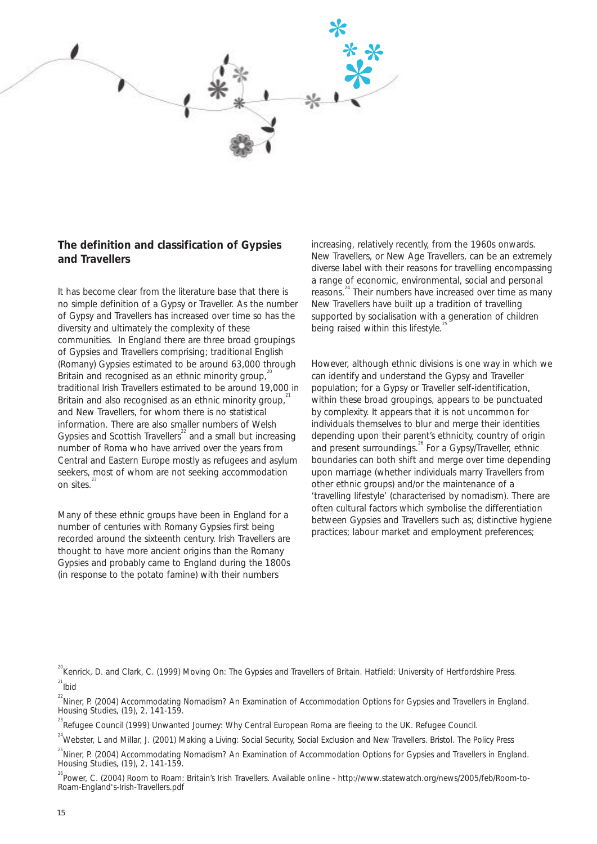

#### **The definition and classification of Gypsies and Travellers**

It has become clear from the literature base that there is no simple definition of a Gypsy or Traveller. As the number of Gypsy and Travellers has increased over time so has the diversity and ultimately the complexity of these communities. In England there are three broad groupings of Gypsies and Travellers comprising; traditional English (Romany) Gypsies estimated to be around 63,000 through Britain and recognised as an ethnic minority group, $\hat{i}$ traditional Irish Travellers estimated to be around 19,000 in Britain and also recognised as an ethnic minority group, $2<sup>21</sup>$ and New Travellers, for whom there is no statistical information. There are also smaller numbers of Welsh Gypsies and Scottish Travellers<sup>22</sup> and a small but increasing number of Roma who have arrived over the years from Central and Eastern Europe mostly as refugees and asylum seekers, most of whom are not seeking accommodation on sites.<sup>3</sup>

Many of these ethnic groups have been in England for a number of centuries with Romany Gypsies first being recorded around the sixteenth century. Irish Travellers are thought to have more ancient origins than the Romany Gypsies and probably came to England during the 1800s (in response to the potato famine) with their numbers

increasing, relatively recently, from the 1960s onwards. New Travellers, or New Age Travellers, can be an extremely diverse label with their reasons for travelling encompassing a range of economic, environmental, social and personal reasons. 24 Their numbers have increased over time as many New Travellers have built up a tradition of travelling supported by socialisation with a generation of children being raised within this lifestyle.<sup>2</sup>

However, although ethnic divisions is one way in which we can identify and understand the Gypsy and Traveller population; for a Gypsy or Traveller self-identification, within these broad groupings, appears to be punctuated by complexity. It appears that it is not uncommon for individuals themselves to blur and merge their identities depending upon their parent's ethnicity, country of origin and present surroundings.<sup>26</sup> For a Gypsy/Traveller, ethnic boundaries can both shift and merge over time depending upon marriage (whether individuals marry Travellers from other ethnic groups) and/or the maintenance of a 'travelling lifestyle' (characterised by nomadism). There are often cultural factors which symbolise the differentiation between Gypsies and Travellers such as; distinctive hygiene practices; labour market and employment preferences;

<sup>20</sup> Kenrick, D. and Clark, C. (1999) Moving On: The Gypsies and Travellers of Britain. Hatfield: University of Hertfordshire Press.<br><sup>21</sup>.  $21$ Ibid

 $^{22}$ Niner, P. (2004) Accommodating Nomadism? An Examination of Accommodation Options for Gypsies and Travellers in England. Housing Studies, (19), 2, 141-159.

<sup>23</sup> Refugee Council (1999) Unwanted Journey: Why Central European Roma are fleeing to the UK. Refugee Council.

<sup>24</sup>Webster, L and Millar, J. (2001) Making a Living: Social Security, Social Exclusion and New Travellers. Bristol. The Policy Press

<sup>25</sup>Niner. P. (2004) Accommodating Nomadism? An Examination of Accommodation Options for Gypsies and Travellers in England. Housing Studies, (19), 2, 141-159.

<sup>26</sup> Power, C. (2004) Room to Roam: Britain's Irish Travellers. Available online - http://www.statewatch.org/news/2005/feb/Room-to-Roam-England's-Irish-Travellers.pdf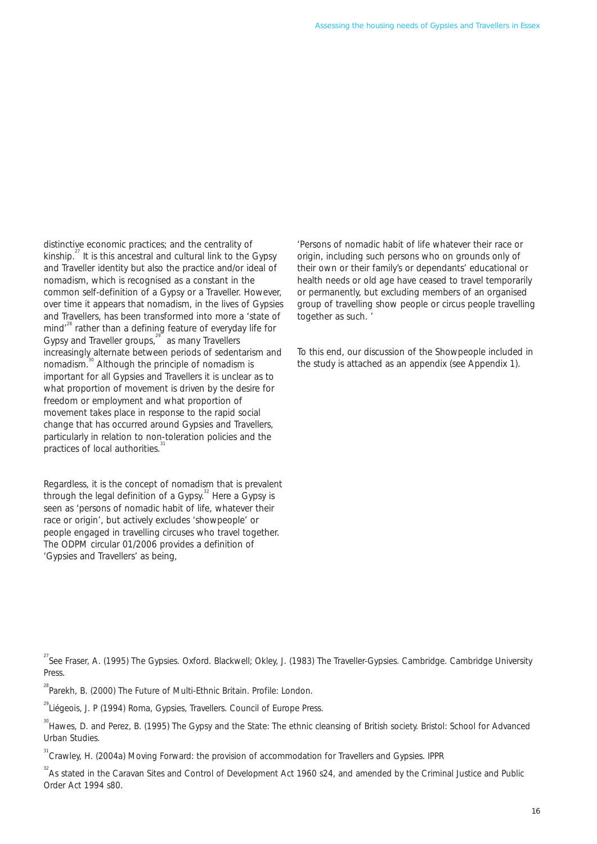distinctive economic practices; and the centrality of 'Persons of nomadic habit of life whatever their race or kinship.<sup>27</sup> It is this ancestral and cultural link to the Gypsy origin, including such persons who on grounds only of and Traveller identity but also the practice and/or ideal of their own or their family's or dependants' educational or nomadism, which is recognised as a constant in the health needs or old age have ceased to travel tempor common self-definition of a Gypsy or a Traveller. However, over time it appears that nomadism, in the lives of Gypsies group of travelling show people or circus people travelling and Travellers, has been transformed into more a 'state of together as such. mind<sup>"</sup> rather than a defining feature of everyday life for Gypsy and Traveller groups,<sup>29</sup> as many Travellers increasingly alternate between periods of sedentarism and To this end, our discussion of the Showpeople included in nomadism.<sup>30</sup> Although the principle of nomadism is the study is attached as an appendix (see Appendix 1). important for all Gypsies and Travellers it is unclear as to what proportion of movement is driven by the desire for freedom or employment and what proportion of movement takes place in response to the rapid social change that has occurred around Gypsies and Travellers, particularly in relation to non-toleration policies and the practices of local authorities.

Regardless, it is the concept of nomadism that is prevalent through the legal definition of a Gypsy. $32$  Here a Gypsy is seen as 'persons of nomadic habit of life, whatever their race or origin', but actively excludes 'showpeople' or people engaged in travelling circuses who travel together. The ODPM circular 01/2006 provides a definition of 'Gypsies and Travellers' as being,

health needs or old age have ceased to travel temporarily<br>or permanently, but excluding members of an organised

- <sup>27</sup> See Fraser, A. (1995) The Gypsies. Oxford. Blackwell; Okley, J. (1983) The Traveller-Gypsies. Cambridge. Cambridge University Press.
- <sup>28</sup> Parekh, B. (2000) The Future of Multi-Ethnic Britain. Profile: London.
- <sup>29</sup> Liégeois, J. P (1994) Roma, Gypsies, Travellers. Council of Europe Press.

<sup>&</sup>lt;sup>30</sup> Hawes, D. and Perez, B. (1995) The Gypsy and the State: The ethnic cleansing of British society. Bristol: School for Advanced Urban Studies.

<sup>&</sup>lt;sup>31</sup> Crawley, H. (2004a) Moving Forward: the provision of accommodation for Travellers and Gypsies. IPPR

 $32^2$ As stated in the Caravan Sites and Control of Development Act 1960 s24, and amended by the Criminal Justice and Public Order Act 1994 s80.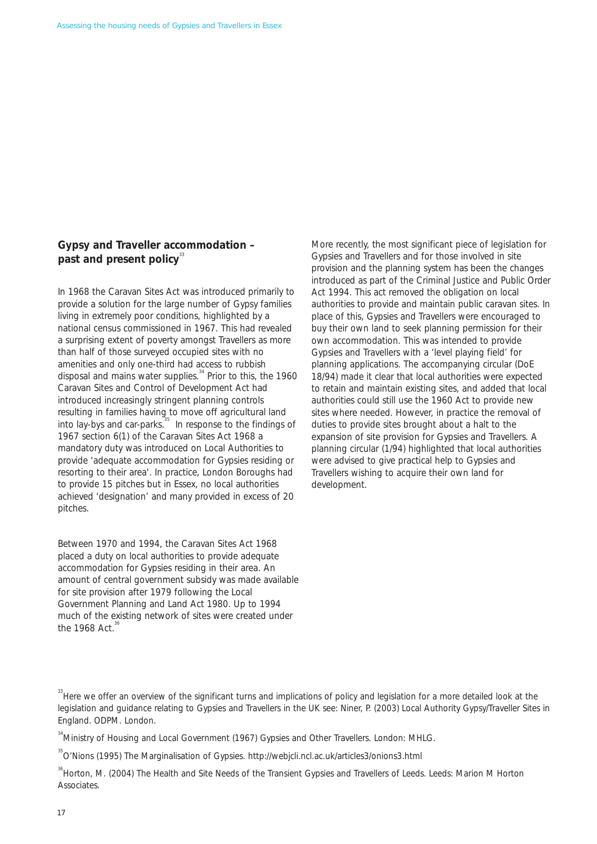#### **Gypsy and Traveller accommodation –**  past and present policy<sup>33</sup>

In 1968 the Caravan Sites Act was introduced primarily to provide a solution for the large number of Gypsy families living in extremely poor conditions, highlighted by a national census commissioned in 1967. This had revealed a surprising extent of poverty amongst Travellers as more than half of those surveyed occupied sites with no amenities and only one-third had access to rubbish disposal and mains water supplies. $34$  Prior to this, the 1960 Caravan Sites and Control of Development Act had introduced increasingly stringent planning controls resulting in families having to move off agricultural land into lay-bys and car-parks.<sup>35</sup> In response to the findings of 1967 section 6(1) of the Caravan Sites Act 1968 a mandatory duty was introduced on Local Authorities to provide 'adequate accommodation for Gypsies residing or resorting to their area'. In practice, London Boroughs had to provide 15 pitches but in Essex, no local authorities achieved 'designation' and many provided in excess of 20 pitches.

Between 1970 and 1994, the Caravan Sites Act 1968 placed a duty on local authorities to provide adequate accommodation for Gypsies residing in their area. An amount of central government subsidy was made available for site provision after 1979 following the Local Government Planning and Land Act 1980. Up to 1994 much of the existing network of sites were created under the 1968 Act. $36$ 

More recently, the most significant piece of legislation for Gypsies and Travellers and for those involved in site provision and the planning system has been the changes introduced as part of the Criminal Justice and Public Order Act 1994. This act removed the obligation on local authorities to provide and maintain public caravan sites. In place of this, Gypsies and Travellers were encouraged to buy their own land to seek planning permission for their own accommodation. This was intended to provide Gypsies and Travellers with a 'level playing field' for planning applications. The accompanying circular (DoE 18/94) made it clear that local authorities were expected to retain and maintain existing sites, and added that local authorities could still use the 1960 Act to provide new sites where needed. However, in practice the removal of duties to provide sites brought about a halt to the expansion of site provision for Gypsies and Travellers. A planning circular (1/94) highlighted that local authorities were advised to give practical help to Gypsies and Travellers wishing to acquire their own land for development.

<sup>34</sup> Ministry of Housina and Local Government (1967) Gypsies and Other Travellers. London: MHLG.

35 O'Nions (1995) The Marginalisation of Gypsies. http://webjcli.ncl.ac.uk/articles3/onions3.html

<sup>36</sup> Horton, M. (2004) The Health and Site Needs of the Transient Gypsies and Travellers of Leeds. Leeds: Marion M Horton Associates.

 $33$  Here we offer an overview of the significant turns and implications of policy and legislation for a more detailed look at the legislation and guidance relating to Gypsies and Travellers in the UK see: Niner, P. (2003) Local Authority Gypsy/Traveller Sites in England. ODPM. London.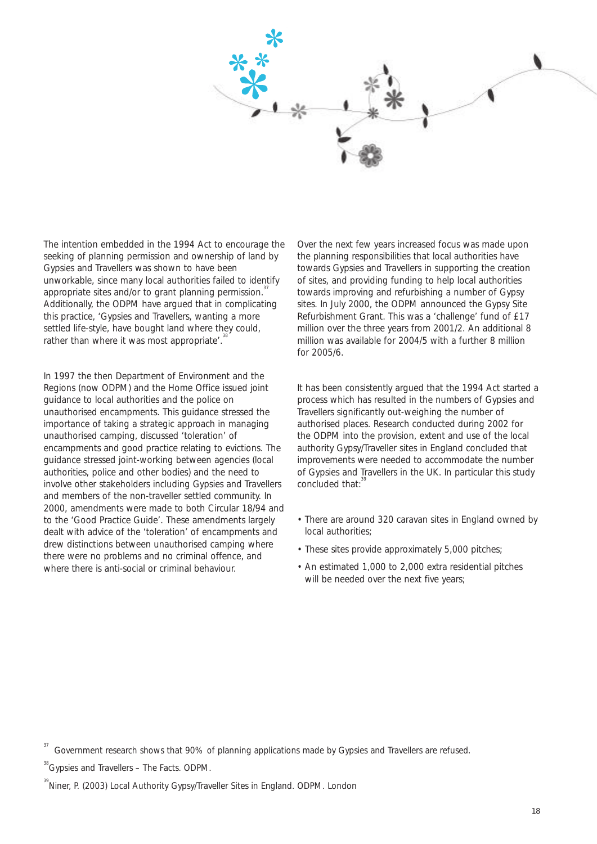

The intention embedded in the 1994 Act to encourage the seeking of planning permission and ownership of land by Gypsies and Travellers was shown to have been unworkable, since many local authorities failed to identify appropriate sites and/or to grant planning permission.<sup>3</sup> Additionally, the ODPM have argued that in complicating this practice, 'Gypsies and Travellers, wanting a more settled life-style, have bought land where they could, rather than where it was most appropriate'.

In 1997 the then Department of Environment and the Regions (now ODPM) and the Home Office issued joint guidance to local authorities and the police on unauthorised encampments. This guidance stressed the importance of taking a strategic approach in managing unauthorised camping, discussed 'toleration' of encampments and good practice relating to evictions. The guidance stressed joint-working between agencies (local authorities, police and other bodies) and the need to involve other stakeholders including Gypsies and Travellers and members of the non-traveller settled community. In 2000, amendments were made to both Circular 18/94 and to the 'Good Practice Guide'. These amendments largely dealt with advice of the 'toleration' of encampments and drew distinctions between unauthorised camping where there were no problems and no criminal offence, and where there is anti-social or criminal behaviour.

Over the next few years increased focus was made upon the planning responsibilities that local authorities have towards Gypsies and Travellers in supporting the creation of sites, and providing funding to help local authorities towards improving and refurbishing a number of Gypsy sites. In July 2000, the ODPM announced the Gypsy Site Refurbishment Grant. This was a 'challenge' fund of £17 million over the three years from 2001/2. An additional 8 million was available for 2004/5 with a further 8 million for 2005/6.

It has been consistently argued that the 1994 Act started a process which has resulted in the numbers of Gypsies and Travellers significantly out-weighing the number of authorised places. Research conducted during 2002 for the ODPM into the provision, extent and use of the local authority Gypsy/Traveller sites in England concluded that improvements were needed to accommodate the number of Gypsies and Travellers in the UK. In particular this study concluded that:

- There are around 320 caravan sites in England owned by local authorities;
- These sites provide approximately 5,000 pitches;
- An estimated 1,000 to 2,000 extra residential pitches will be needed over the next five years;

Government research shows that 90% of planning applications made by Gypsies and Travellers are refused.

<sup>&</sup>lt;sup>38</sup> Gypsies and Travellers – The Facts. ODPM.

<sup>&</sup>lt;sup>39</sup> Niner, P. (2003) Local Authority Gypsy/Traveller Sites in England. ODPM. London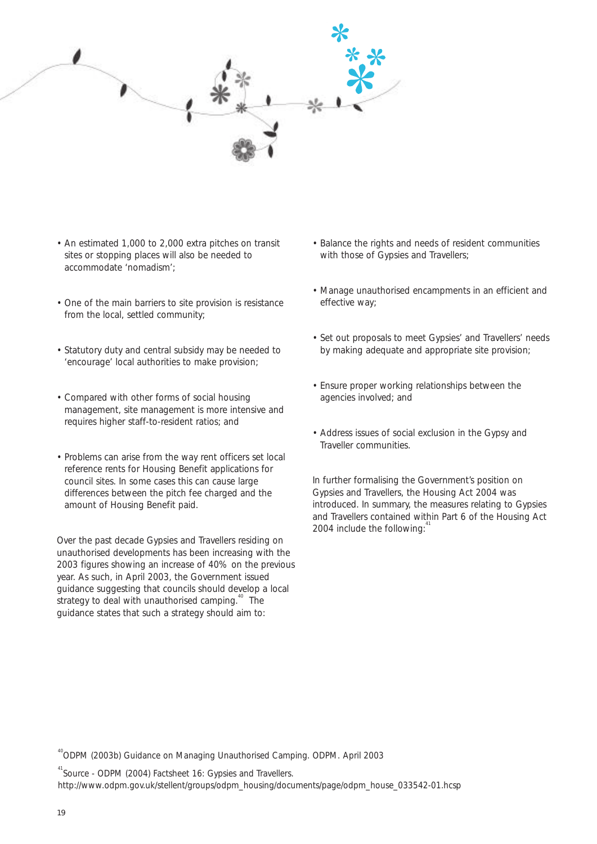

- An estimated 1,000 to 2,000 extra pitches on transit sites or stopping places will also be needed to accommodate 'nomadism';
- One of the main barriers to site provision is resistance from the local, settled community;
- Statutory duty and central subsidy may be needed to 'encourage' local authorities to make provision;
- Compared with other forms of social housing management, site management is more intensive and requires higher staff-to-resident ratios; and
- Problems can arise from the way rent officers set local reference rents for Housing Benefit applications for council sites. In some cases this can cause large differences between the pitch fee charged and the amount of Housing Benefit paid.

Over the past decade Gypsies and Travellers residing on unauthorised developments has been increasing with the 2003 figures showing an increase of 40% on the previous year. As such, in April 2003, the Government issued guidance suggesting that councils should develop a local strategy to deal with unauthorised camping.<sup>40</sup> The guidance states that such a strategy should aim to:

- Balance the rights and needs of resident communities with those of Gypsies and Travellers;
- Manage unauthorised encampments in an efficient and effective way;
- Set out proposals to meet Gypsies' and Travellers' needs by making adequate and appropriate site provision;
- Ensure proper working relationships between the agencies involved; and
- Address issues of social exclusion in the Gypsy and Traveller communities.

In further formalising the Government's position on Gypsies and Travellers, the Housing Act 2004 was introduced. In summary, the measures relating to Gypsies and Travellers contained within Part 6 of the Housing Act 2004 include the following: $4$ 

<sup>41</sup> Source - ODPM (2004) Factsheet 16: Gypsies and Travellers.

http://www.odpm.gov.uk/stellent/groups/odpm\_housing/documents/page/odpm\_house\_033542-01.hcsp

<sup>40</sup> ODPM (2003b) Guidance on Managing Unauthorised Camping. ODPM. April 2003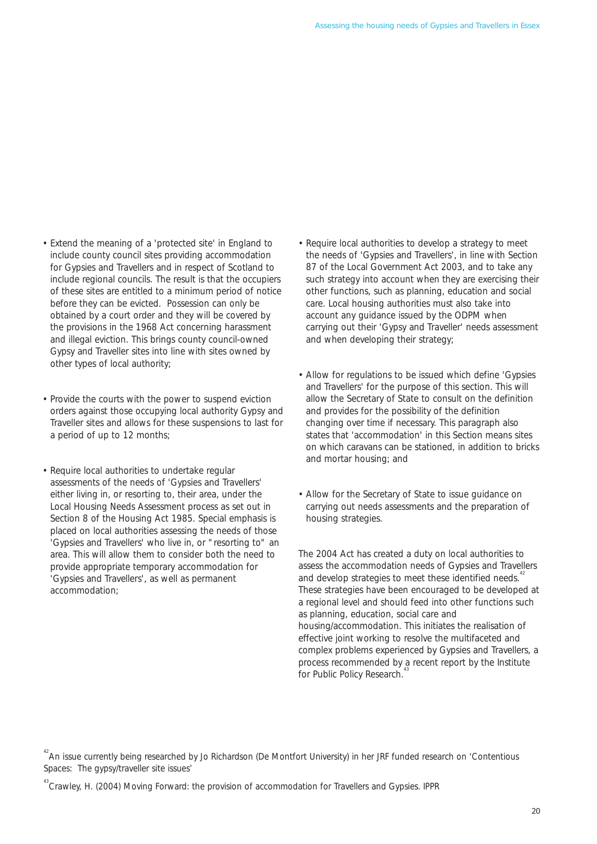- <span id="page-21-0"></span>• Extend the meaning of a 'protected site' in England to include county council sites providing accommodation for Gypsies and Travellers and in respect of Scotland to include regional councils. The result is that the occupiers of these sites are entitled to a minimum period of notice before they can be evicted. Possession can only be obtained by a court order and they will be covered by the provisions in the 1968 Act concerning harassment and illegal eviction. This brings county council-owned Gypsy and Traveller sites into line with sites owned by other types of local authority;
- Provide the courts with the power to suspend eviction orders against those occupying local authority Gypsy and Traveller sites and allows for these suspensions to last for a period of up to 12 months;
- Require local authorities to undertake regular assessments of the needs of 'Gypsies and Travellers' either living in, or resorting to, their area, under the Local Housing Needs Assessment process as set out in Section 8 of the Housing Act 1985. Special emphasis is placed on local authorities assessing the needs of those 'Gypsies and Travellers' who live in, or "resorting to" an area. This will allow them to consider both the need to provide appropriate temporary accommodation for 'Gypsies and Travellers', as well as permanent accommodation;
- Require local authorities to develop a strategy to meet the needs of 'Gypsies and Travellers', in line with Section 87 of the Local Government Act 2003, and to take any such strategy into account when they are exercising their other functions, such as planning, education and social care. Local housing authorities must also take into account any guidance issued by the ODPM when carrying out their 'Gypsy and Traveller' needs assessment and when developing their strategy;
- Allow for regulations to be issued which define 'Gypsies' and Travellers' for the purpose of this section. This will allow the Secretary of State to consult on the definition and provides for the possibility of the definition changing over time if necessary. This paragraph also states that 'accommodation' in this Section means sites on which caravans can be stationed, in addition to bricks and mortar housing; and
- Allow for the Secretary of State to issue guidance on carrying out needs assessments and the preparation of housing strategies.

The 2004 Act has created a duty on local authorities to assess the accommodation needs of Gypsies and Travellers and develop strategies to meet these identified needs.<sup>4</sup> These strategies have been encouraged to be developed at a regional level and should feed into other functions such as planning, education, social care and housing/accommodation. This initiates the realisation of effective joint working to resolve the multifaceted and complex problems experienced by Gypsies and Travellers, a process recommended by a recent report by the Institute for Public Policy Research.<sup>4</sup>

<sup>&</sup>lt;sup>42</sup> An issue currently being researched by Jo Richardson (De Montfort University) in her JRF funded research on 'Contentious Spaces: The gypsy/traveller site issues'

<sup>&</sup>lt;sup>43</sup> Crawley, H. (2004) Moving Forward: the provision of accommodation for Travellers and Gypsies. IPPR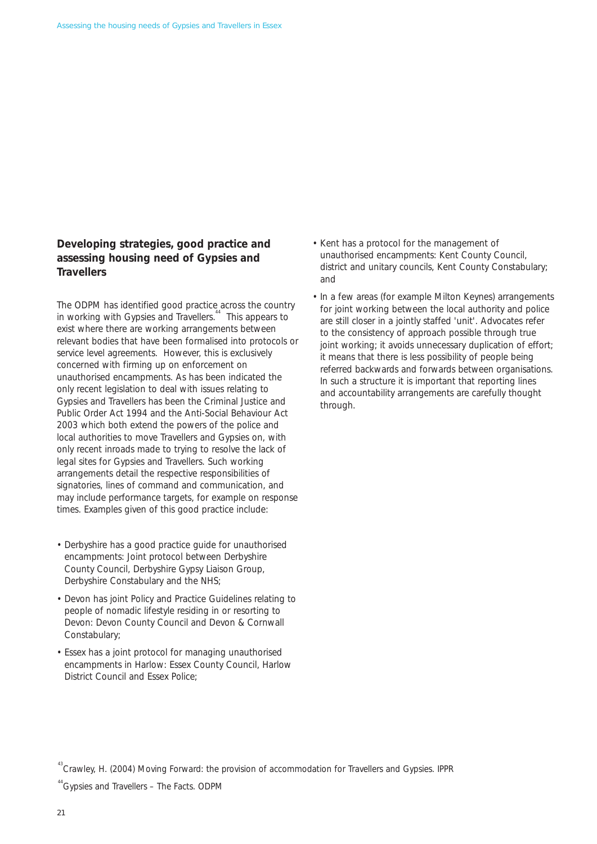#### **Developing strategies, good practice and assessing housing need of Gypsies and Travellers**

The ODPM has identified good practice across the country in working with Gypsies and Travellers.<sup>44</sup> This appears to exist where there are working arrangements between relevant bodies that have been formalised into protocols or service level agreements. However, this is exclusively concerned with firming up on enforcement on unauthorised encampments. As has been indicated the only recent legislation to deal with issues relating to Gypsies and Travellers has been the Criminal Justice and Public Order Act 1994 and the Anti-Social Behaviour Act 2003 which both extend the powers of the police and local authorities to move Travellers and Gypsies on, with only recent inroads made to trying to resolve the lack of legal sites for Gypsies and Travellers. Such working arrangements detail the respective responsibilities of signatories, lines of command and communication, and may include performance targets, for example on response times. Examples given of this good practice include:

- Derbyshire has a good practice guide for unauthorised encampments: Joint protocol between Derbyshire County Council, Derbyshire Gypsy Liaison Group, Derbyshire Constabulary and the NHS;
- Devon has joint Policy and Practice Guidelines relating to people of nomadic lifestyle residing in or resorting to Devon: Devon County Council and Devon & Cornwall Constabulary;
- Essex has a joint protocol for managing unauthorised encampments in Harlow: Essex County Council, Harlow District Council and Essex Police;
- Kent has a protocol for the management of unauthorised encampments: Kent County Council, district and unitary councils, Kent County Constabulary; and
- In a few areas (for example Milton Keynes) arrangements for joint working between the local authority and police are still closer in a jointly staffed 'unit'. Advocates refer to the consistency of approach possible through true joint working; it avoids unnecessary duplication of effort; it means that there is less possibility of people being referred backwards and forwards between organisations. In such a structure it is important that reporting lines and accountability arrangements are carefully thought through.

<sup>&</sup>lt;sup>43</sup> Crawley, H. (2004) Moving Forward: the provision of accommodation for Travellers and Gypsies. IPPR

<sup>&</sup>lt;sup>44</sup> Gypsies and Travellers - The Facts. ODPM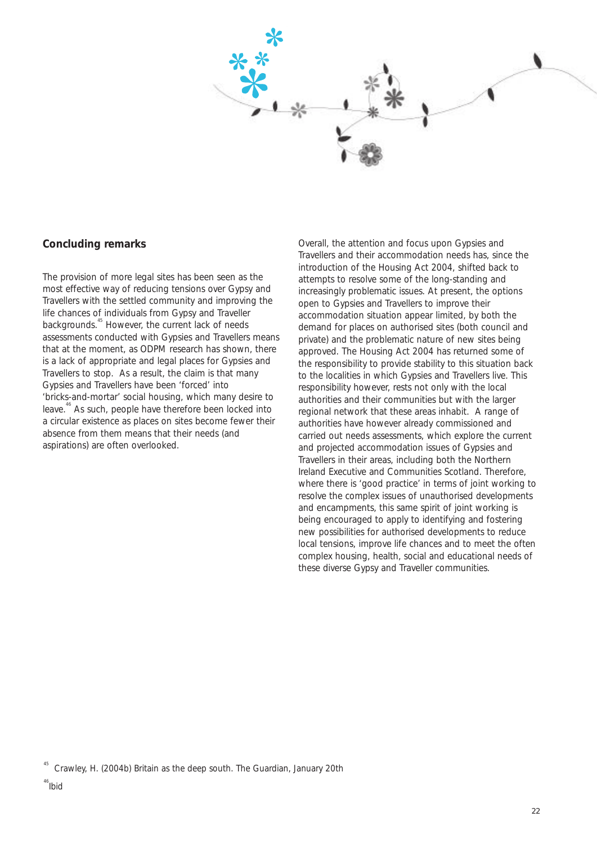

#### **Concluding remarks**

The provision of more legal sites has been seen as the most effective way of reducing tensions over Gypsy and Travellers with the settled community and improving the life chances of individuals from Gypsy and Traveller backgrounds.<sup>45</sup> However, the current lack of needs assessments conducted with Gypsies and Travellers means that at the moment, as ODPM research has shown, there is a lack of appropriate and legal places for Gypsies and Travellers to stop. As a result, the claim is that many Gypsies and Travellers have been 'forced' into 'bricks-and-mortar' social housing, which many desire to leave.<sup>46</sup> As such, people have therefore been locked into a circular existence as places on sites become fewer their absence from them means that their needs (and aspirations) are often overlooked.

Overall, the attention and focus upon Gypsies and Travellers and their accommodation needs has, since the introduction of the Housing Act 2004, shifted back to attempts to resolve some of the long-standing and increasingly problematic issues. At present, the options open to Gypsies and Travellers to improve their accommodation situation appear limited, by both the demand for places on authorised sites (both council and private) and the problematic nature of new sites being approved. The Housing Act 2004 has returned some of the responsibility to provide stability to this situation back to the localities in which Gypsies and Travellers live. This responsibility however, rests not only with the local authorities and their communities but with the larger regional network that these areas inhabit. A range of authorities have however already commissioned and carried out needs assessments, which explore the current and projected accommodation issues of Gypsies and Travellers in their areas, including both the Northern Ireland Executive and Communities Scotland. Therefore, where there is 'good practice' in terms of joint working to resolve the complex issues of unauthorised developments and encampments, this same spirit of joint working is being encouraged to apply to identifying and fostering new possibilities for authorised developments to reduce local tensions, improve life chances and to meet the often complex housing, health, social and educational needs of these diverse Gypsy and Traveller communities.

<sup>45</sup> Crawley, H. (2004b) Britain as the deep south. The Guardian, January 20th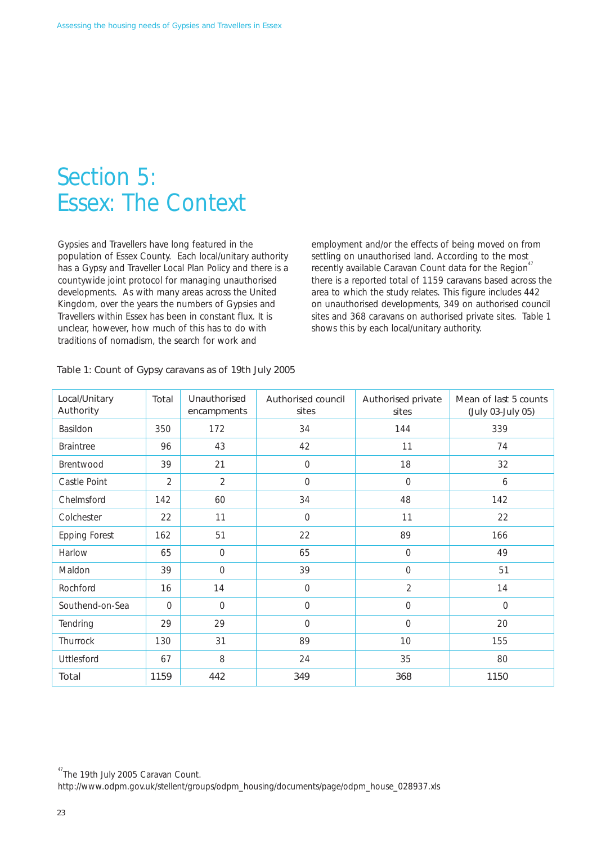### Section 5: Essex: The Context

Gypsies and Travellers have long featured in the population of Essex County. Each local/unitary authority has a Gypsy and Traveller Local Plan Policy and there is a countywide joint protocol for managing unauthorised developments. As with many areas across the United Kingdom, over the years the numbers of Gypsies and Travellers within Essex has been in constant flux. It is unclear, however, how much of this has to do with traditions of nomadism, the search for work and

employment and/or the effects of being moved on from settling on unauthorised land. According to the most recently available Caravan Count data for the Region<sup>47</sup> there is a reported total of 1159 caravans based across the area to which the study relates. This figure includes 442 on unauthorised developments, 349 on authorised council sites and 368 caravans on authorised private sites. Table 1 shows this by each local/unitary authority.

| Local/Unitary<br>Authority | Total          | Unauthorised<br>encampments | Authorised council<br>sites | Authorised private<br>sites | Mean of last 5 counts<br>(July 03-July 05) |
|----------------------------|----------------|-----------------------------|-----------------------------|-----------------------------|--------------------------------------------|
| Basildon                   | 350            | 172                         | 34                          | 144                         | 339                                        |
| <b>Braintree</b>           | 96             | 43                          | 42                          | 11                          | 74                                         |
| Brentwood                  | 39             | 21                          | $\mathbf 0$                 | 18                          | 32                                         |
| Castle Point               | $\overline{2}$ | $\overline{2}$              | $\overline{0}$              | $\overline{0}$              | 6                                          |
| Chelmsford                 | 142            | 60                          | 34                          | 48                          | 142                                        |
| Colchester                 | 22             | 11                          | $\mathcal{O}$               | 11                          | 22                                         |
| <b>Epping Forest</b>       | 162            | 51                          | 22                          | 89                          | 166                                        |
| Harlow                     | 65             | $\overline{0}$              | 65                          | $\overline{0}$              | 49                                         |
| Maldon                     | 39             | $\overline{0}$              | 39                          | $\overline{O}$              | 51                                         |
| Rochford                   | 16             | 14                          | $\mathcal{O}$               | $\overline{2}$              | 14                                         |
| Southend-on-Sea            | $\Omega$       | $\overline{O}$              | $\Omega$                    | $\overline{O}$              | $\overline{0}$                             |
| Tendring                   | 29             | 29                          | $\Omega$                    | $\overline{O}$              | 20                                         |
| Thurrock                   | 130            | 31                          | 89                          | 10                          | 155                                        |
| Uttlesford                 | 67             | 8                           | 24                          | 35                          | 80                                         |
| Total                      | 1159           | 442                         | 349                         | 368                         | 1150                                       |

#### Table 1: Count of Gypsy caravans as of 19th July 2005

<sup>47</sup> The 19th July 2005 Caravan Count.

http://www.odpm.gov.uk/stellent/groups/odpm\_housing/documents/page/odpm\_house\_028937.xls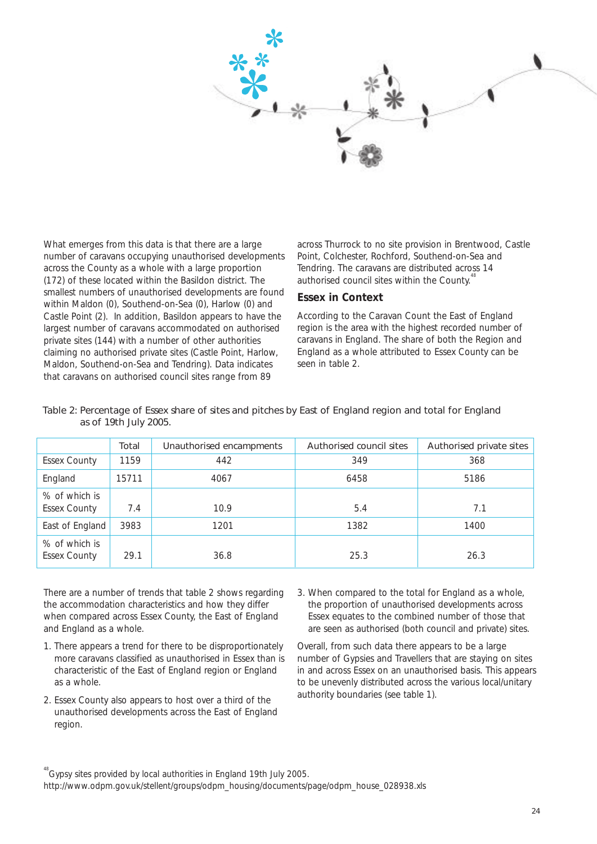

What emerges from this data is that there are a large number of caravans occupying unauthorised developments across the County as a whole with a large proportion (172) of these located within the Basildon district. The smallest numbers of unauthorised developments are found within Maldon (0), Southend-on-Sea (0), Harlow (0) and Castle Point (2). In addition, Basildon appears to have the largest number of caravans accommodated on authorised private sites (144) with a number of other authorities claiming no authorised private sites (Castle Point, Harlow, Maldon, Southend-on-Sea and Tendring). Data indicates that caravans on authorised council sites range from 89

across Thurrock to no site provision in Brentwood, Castle Point, Colchester, Rochford, Southend-on-Sea and Tendring. The caravans are distributed across 14 authorised council sites within the County.<sup>44</sup>

#### **Essex in Context**

According to the Caravan Count the East of England region is the area with the highest recorded number of caravans in England. The share of both the Region and England as a whole attributed to Essex County can be seen in table 2.

|                                      | Total | Unauthorised encampments | Authorised council sites | Authorised private sites |
|--------------------------------------|-------|--------------------------|--------------------------|--------------------------|
| <b>Essex County</b>                  | 1159  | 442                      | 349                      | 368                      |
| England                              | 15711 | 4067                     | 6458                     | 5186                     |
| % of which is<br><b>Essex County</b> | 7.4   | 10.9                     | 5.4                      | 7.1                      |
| East of England                      | 3983  | 1201                     | 1382                     | 1400                     |
| % of which is<br><b>Essex County</b> | 29.1  | 36.8                     | 25.3                     | 26.3                     |

#### Table 2: Percentage of Essex share of sites and pitches by East of England region and total for England as of 19th July 2005.

There are a number of trends that table 2 shows regarding the accommodation characteristics and how they differ when compared across Essex County, the East of England and England as a whole.

- 1. There appears a trend for there to be disproportionately more caravans classified as unauthorised in Essex than is characteristic of the East of England region or England as a whole.
- 2. Essex County also appears to host over a third of the unauthorised developments across the East of England region.
- 3. When compared to the total for England as a whole, the proportion of unauthorised developments across Essex equates to the combined number of those that are seen as authorised (both council and private) sites.

Overall, from such data there appears to be a large number of Gypsies and Travellers that are staying on sites in and across Essex on an unauthorised basis. This appears to be unevenly distributed across the various local/unitary authority boundaries (see table 1).

<sup>&</sup>lt;sup>48</sup> Gvpsy sites provided by local authorities in England 19th July 2005.

http://www.odpm.gov.uk/stellent/groups/odpm\_housing/documents/page/odpm\_house\_028938.xls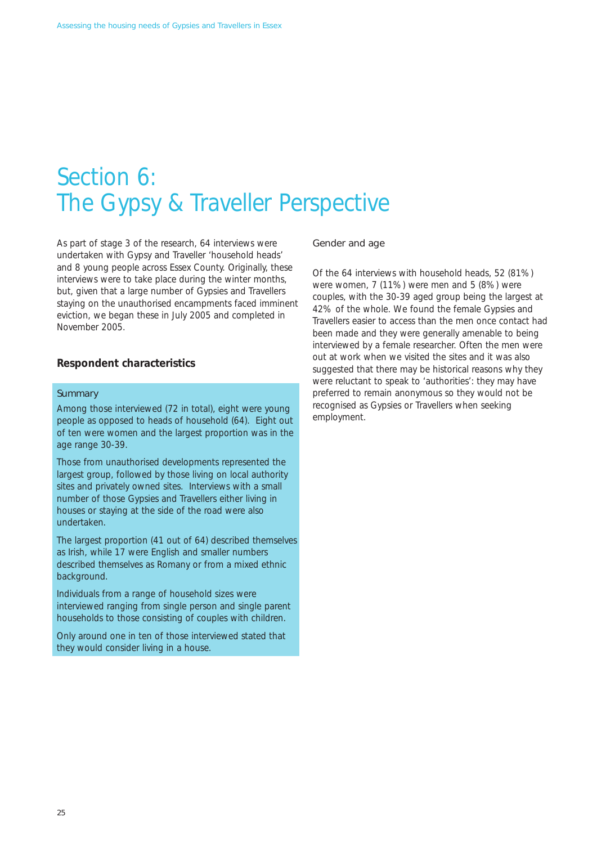### Section 6: The Gypsy & Traveller Perspective

As part of stage 3 of the research, 64 interviews were undertaken with Gypsy and Traveller 'household heads' and 8 young people across Essex County. Originally, these interviews were to take place during the winter months, but, given that a large number of Gypsies and Travellers staying on the unauthorised encampments faced imminent eviction, we began these in July 2005 and completed in November 2005.

#### **Respondent characteristics**

#### **Summary**

Among those interviewed (72 in total), eight were young people as opposed to heads of household (64). Eight out of ten were women and the largest proportion was in the age range 30-39.

Those from unauthorised developments represented the largest group, followed by those living on local authority sites and privately owned sites. Interviews with a small number of those Gypsies and Travellers either living in houses or staying at the side of the road were also undertaken.

The largest proportion (41 out of 64) described themselves as Irish, while 17 were English and smaller numbers described themselves as Romany or from a mixed ethnic background.

Individuals from a range of household sizes were interviewed ranging from single person and single parent households to those consisting of couples with children.

Only around one in ten of those interviewed stated that they would consider living in a house.

#### Gender and age

Of the 64 interviews with household heads, 52 (81%) were women, 7 (11%) were men and 5 (8%) were couples, with the 30-39 aged group being the largest at 42% of the whole. We found the female Gypsies and Travellers easier to access than the men once contact had been made and they were generally amenable to being interviewed by a female researcher. Often the men were out at work when we visited the sites and it was also suggested that there may be historical reasons why they were reluctant to speak to 'authorities': they may have preferred to remain anonymous so they would not be recognised as Gypsies or Travellers when seeking employment.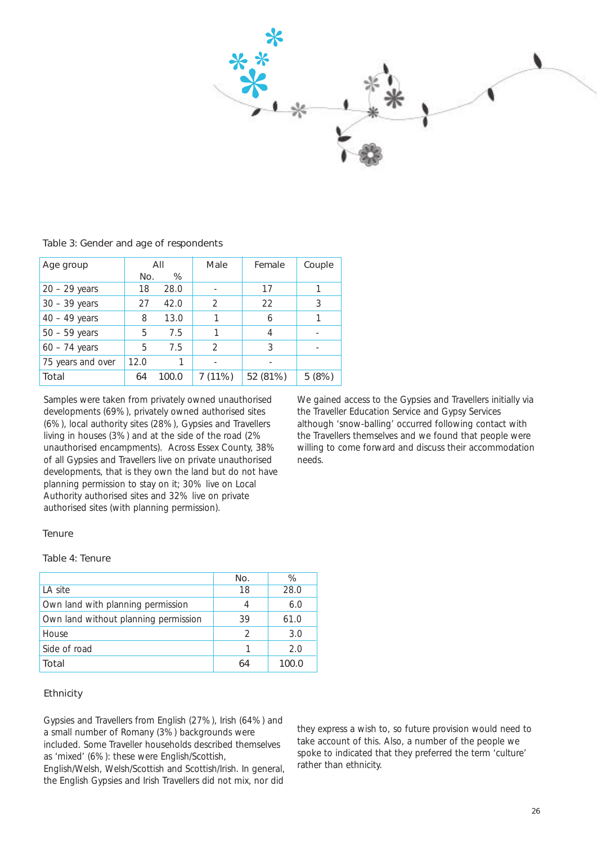

Table 3: Gender and age of respondents

| Age group         | All  |       | Male           | Female   | Couple |
|-------------------|------|-------|----------------|----------|--------|
|                   | No.  | %     |                |          |        |
| $20 - 29$ years   | 18   | 28.0  |                | 17       |        |
| $30 - 39$ years   | 27   | 42.0  | $\mathfrak{D}$ | 22       | 3      |
| $40 - 49$ years   | 8    | 13.0  |                | 6        |        |
| $50 - 59$ years   | 5    | 7.5   |                |          |        |
| $60 - 74$ years   | 5    | 7.5   | $\mathcal{D}$  | 3        |        |
| 75 years and over | 12.0 |       |                |          |        |
| Total             | 64   | 100.0 | 7(11%)         | 52 (81%) | 5(8%)  |

developments (69%), privately owned authorised sites the Traveller Education Service and Gypsy Services<br>(6%), local authority sites (28%), Gypsies and Travellers although 'snow-balling' occurred following contact with (6%), local authority sites (28%), Gypsies and Travellers living in houses (3%) and at the side of the road (2%) of all Gypsies and Travellers live on private unauthorised needs. developments, that is they own the land but do not have planning permission to stay on it; 30% live on Local Authority authorised sites and 32% live on private authorised sites (with planning permission).

Samples were taken from privately owned unauthorised We gained access to the Gypsies and Travellers initially via<br>developments (69%), privately owned authorised sites the Traveller Education Service and Gypsy Services the Travellers themselves and we found that people were unauthorised encampments). Across Essex County, 38% willing to come forward and discuss their accommodation

#### Tenure

#### Table 4: Tenure

|                                      | No.           | ℅     |
|--------------------------------------|---------------|-------|
| LA site                              | 18            | 28.0  |
| Own land with planning permission    | Δ             | 6.0   |
| Own land without planning permission | 39            | 61.0  |
| House                                | $\mathcal{D}$ | 3.0   |
| Side of road                         |               | 2.0   |
| Total                                |               | 100.0 |

#### Ethnicity

Gypsies and Travellers from English (27%), Irish (64%) and a small number of Romany (3%) backgrounds were included. Some Traveller households described themselves as 'mixed' (6%): these were English/Scottish,

English/Welsh, Welsh/Scottish and Scottish/Irish. In general, the English Gypsies and Irish Travellers did not mix, nor did

they express a wish to, so future provision would need to take account of this. Also, a number of the people we spoke to indicated that they preferred the term 'culture' rather than ethnicity.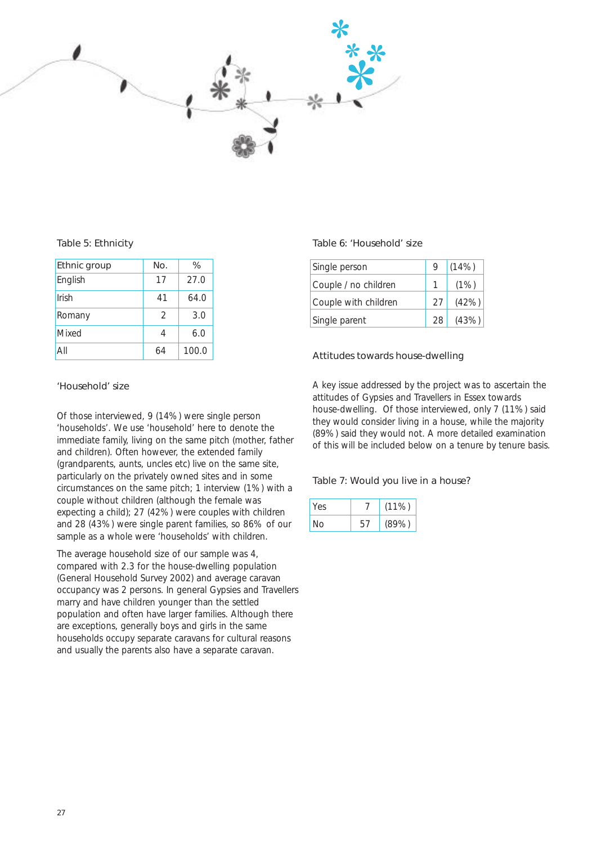

#### Table 5: Ethnicity

| Ethnic group | No.           | %     |
|--------------|---------------|-------|
|              |               |       |
| English      | 17            | 27.0  |
| Irish        | 41            | 64.0  |
| Romany       | $\mathcal{P}$ | 3.0   |
| Mixed        | 4             | 6.0   |
| All          | 64            | 100.0 |

#### Table 6: 'Household' size

| Single person        | 9  | (14% ) |
|----------------------|----|--------|
| Couple / no children |    | (1%)   |
| Couple with children | 27 | (42%)  |
| Single parent        | 28 | (43%)  |

#### Attitudes towards house-dwelling

A key issue addressed by the project was to ascertain the attitudes of Gypsies and Travellers in Essex towards house-dwelling. Of those interviewed, only 7 (11%) said they would consider living in a house, while the majority (89%) said they would not. A more detailed examination of this will be included below on a tenure by tenure basis.

#### Table 7: Would you live in a house?

| Yes |    | $(11\%)$ |
|-----|----|----------|
| Nο  | 57 | (89%)    |

#### 'Household' size

Of those interviewed, 9 (14%) were single person 'households'. We use 'household' here to denote the immediate family, living on the same pitch (mother, father and children). Often however, the extended family (grandparents, aunts, uncles etc) live on the same site, particularly on the privately owned sites and in some circumstances on the same pitch; 1 interview (1%) with a couple without children (although the female was expecting a child); 27 (42%) were couples with children and 28 (43%) were single parent families, so 86% of our sample as a whole were 'households' with children.

The average household size of our sample was 4, compared with 2.3 for the house-dwelling population (General Household Survey 2002) and average caravan occupancy was 2 persons. In general Gypsies and Travellers marry and have children younger than the settled population and often have larger families. Although there are exceptions, generally boys and girls in the same households occupy separate caravans for cultural reasons and usually the parents also have a separate caravan.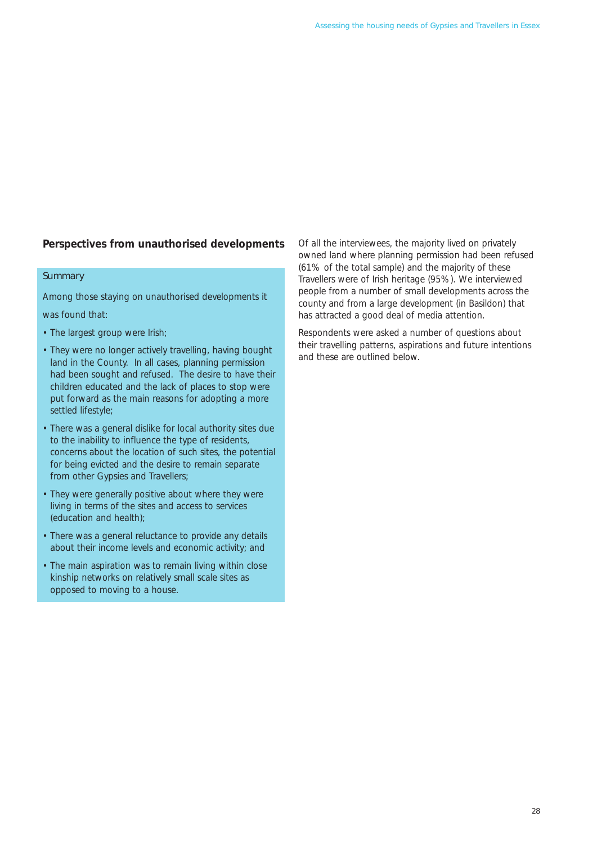### **Perspectives from unauthorised developments**

#### **Summary**

Among those staying on unauthorised developments it

was found that:

- The largest group were Irish;
- They were no longer actively travelling, having bought land in the County. In all cases, planning permission had been sought and refused. The desire to have their children educated and the lack of places to stop were put forward as the main reasons for adopting a more settled lifestyle;
- There was a general dislike for local authority sites due to the inability to influence the type of residents, concerns about the location of such sites, the potential for being evicted and the desire to remain separate from other Gypsies and Travellers;
- They were generally positive about where they were living in terms of the sites and access to services (education and health);
- There was a general reluctance to provide any details about their income levels and economic activity; and
- The main aspiration was to remain living within close kinship networks on relatively small scale sites as opposed to moving to a house.

Of all the interviewees, the majority lived on privately owned land where planning permission had been refused (61% of the total sample) and the majority of these Travellers were of Irish heritage (95%). We interviewed people from a number of small developments across the county and from a large development (in Basildon) that has attracted a good deal of media attention.

Respondents were asked a number of questions about their travelling patterns, aspirations and future intentions and these are outlined below.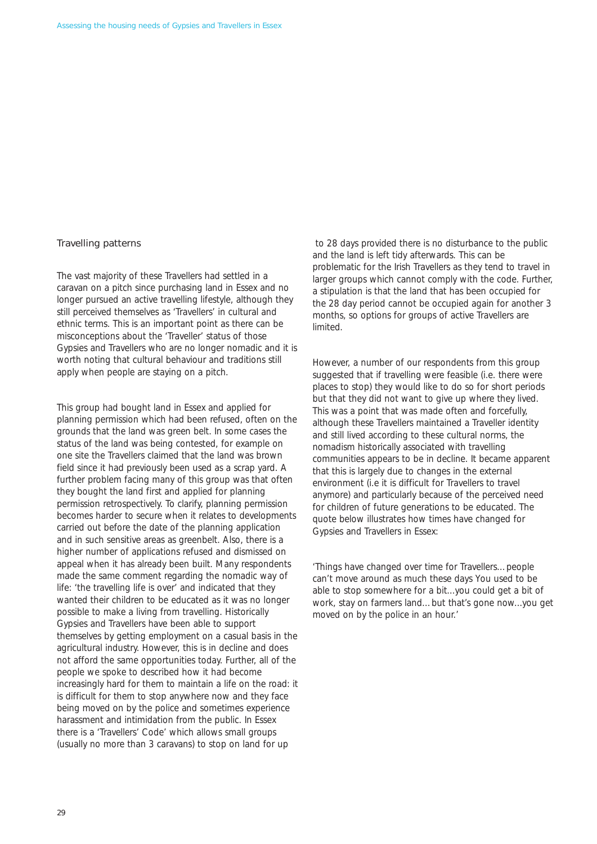#### Travelling patterns

The vast majority of these Travellers had settled in a caravan on a pitch since purchasing land in Essex and no longer pursued an active travelling lifestyle, although they still perceived themselves as 'Travellers' in cultural and ethnic terms. This is an important point as there can be misconceptions about the 'Traveller' status of those Gypsies and Travellers who are no longer nomadic and it is worth noting that cultural behaviour and traditions still apply when people are staying on a pitch.

This group had bought land in Essex and applied for planning permission which had been refused, often on the grounds that the land was green belt. In some cases the status of the land was being contested, for example on one site the Travellers claimed that the land was brown field since it had previously been used as a scrap yard. A further problem facing many of this group was that often they bought the land first and applied for planning permission retrospectively. To clarify, planning permission becomes harder to secure when it relates to developments carried out before the date of the planning application and in such sensitive areas as greenbelt. Also, there is a higher number of applications refused and dismissed on appeal when it has already been built. Many respondents made the same comment regarding the nomadic way of life: 'the travelling life is over' and indicated that they wanted their children to be educated as it was no longer possible to make a living from travelling. Historically Gypsies and Travellers have been able to support themselves by getting employment on a casual basis in the agricultural industry. However, this is in decline and does not afford the same opportunities today. Further, all of the people we spoke to described how it had become increasingly hard for them to maintain a life on the road: it is difficult for them to stop anywhere now and they face being moved on by the police and sometimes experience harassment and intimidation from the public. In Essex there is a 'Travellers' Code' which allows small groups (usually no more than 3 caravans) to stop on land for up

to 28 days provided there is no disturbance to the public and the land is left tidy afterwards. This can be problematic for the Irish Travellers as they tend to travel in larger groups which cannot comply with the code. Further, a stipulation is that the land that has been occupied for the 28 day period cannot be occupied again for another 3 months, so options for groups of active Travellers are limited.

However, a number of our respondents from this group suggested that if travelling were feasible (i.e. there were places to stop) they would like to do so for short periods but that they did not want to give up where they lived. This was a point that was made often and forcefully, although these Travellers maintained a Traveller identity and still lived according to these cultural norms, the nomadism historically associated with travelling communities appears to be in decline. It became apparent that this is largely due to changes in the external environment (i.e it is difficult for Travellers to travel anymore) and particularly because of the perceived need for children of future generations to be educated. The quote below illustrates how times have changed for Gypsies and Travellers in Essex:

*'Things have changed over time for Travellers…people can't move around as much these days You used to be able to stop somewhere for a bit...you could get a bit of work, stay on farmers land…but that's gone now...you get moved on by the police in an hour.'*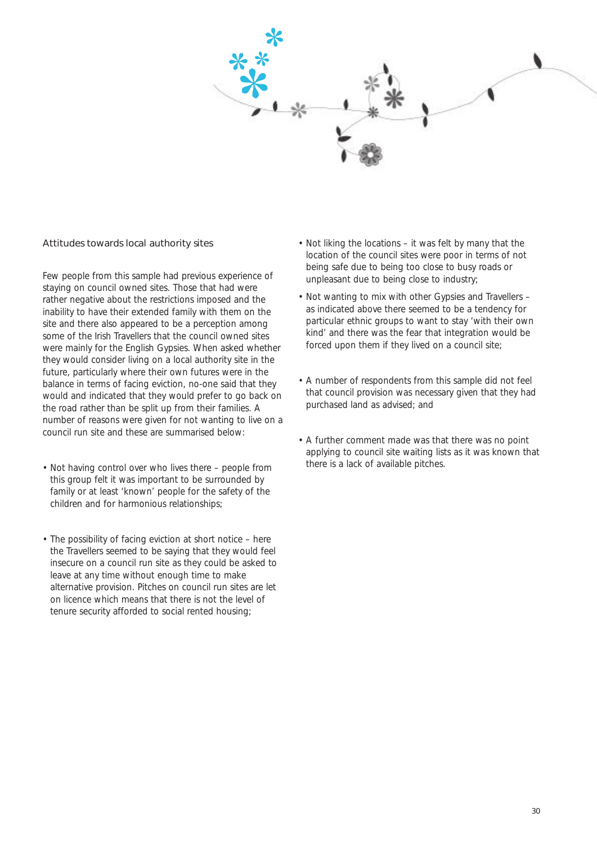

#### Attitudes towards local authority sites

Few people from this sample had previous experience of staying on council owned sites. Those that had were rather negative about the restrictions imposed and the inability to have their extended family with them on the site and there also appeared to be a perception among some of the Irish Travellers that the council owned sites were mainly for the English Gypsies. When asked whether they would consider living on a local authority site in the future, particularly where their own futures were in the balance in terms of facing eviction, no-one said that they would and indicated that they would prefer to go back on the road rather than be split up from their families. A number of reasons were given for not wanting to live on a council run site and these are summarised below:

- Not having control over who lives there people from this group felt it was important to be surrounded by family or at least 'known' people for the safety of the children and for harmonious relationships;
- The possibility of facing eviction at short notice here the Travellers seemed to be saying that they would feel insecure on a council run site as they could be asked to leave at any time without enough time to make alternative provision. Pitches on council run sites are let on licence which means that there is not the level of tenure security afforded to social rented housing;
- Not liking the locations it was felt by many that the location of the council sites were poor in terms of not being safe due to being too close to busy roads or unpleasant due to being close to industry;
- Not wanting to mix with other Gypsies and Travellers as indicated above there seemed to be a tendency for particular ethnic groups to want to stay 'with their own kind' and there was the fear that integration would be forced upon them if they lived on a council site;
- A number of respondents from this sample did not feel that council provision was necessary given that they had purchased land as advised; and
- A further comment made was that there was no point applying to council site waiting lists as it was known that there is a lack of available pitches.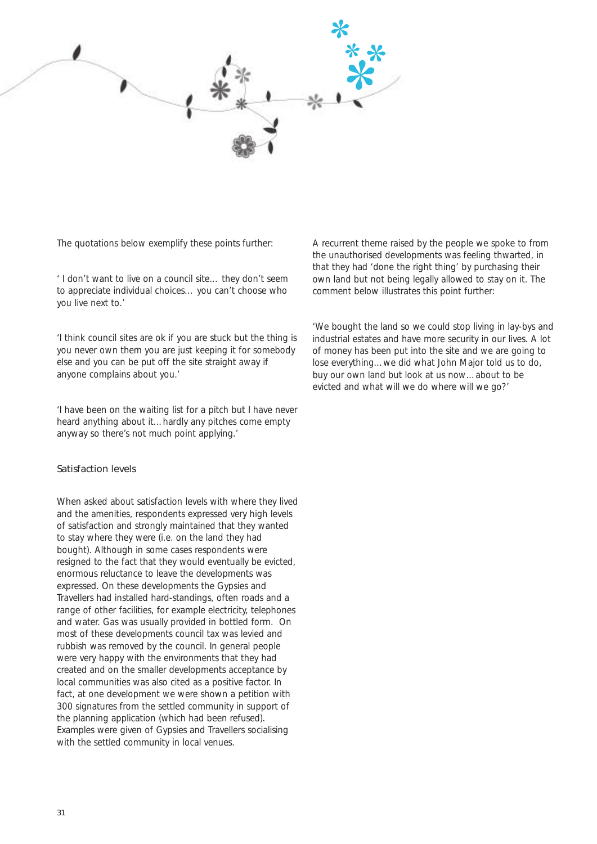

The quotations below exemplify these points further:

*' I don't want to live on a council site… they don't seem to appreciate individual choices… you can't choose who you live next to.'* 

*'I think council sites are ok if you are stuck but the thing is you never own them you are just keeping it for somebody else and you can be put off the site straight away if anyone complains about you.'* 

*'I have been on the waiting list for a pitch but I have never heard anything about it…hardly any pitches come empty anyway so there's not much point applying.'* 

#### Satisfaction levels

When asked about satisfaction levels with where they lived and the amenities, respondents expressed very high levels of satisfaction and strongly maintained that they wanted to stay where they were (i.e. on the land they had bought). Although in some cases respondents were resigned to the fact that they would eventually be evicted, enormous reluctance to leave the developments was expressed. On these developments the Gypsies and Travellers had installed hard-standings, often roads and a range of other facilities, for example electricity, telephones and water. Gas was usually provided in bottled form. On most of these developments council tax was levied and rubbish was removed by the council. In general people were very happy with the environments that they had created and on the smaller developments acceptance by local communities was also cited as a positive factor. In fact, at one development we were shown a petition with 300 signatures from the settled community in support of the planning application (which had been refused). Examples were given of Gypsies and Travellers socialising with the settled community in local venues.

A recurrent theme raised by the people we spoke to from the unauthorised developments was feeling thwarted, in that they had 'done the right thing' by purchasing their own land but not being legally allowed to stay on it. The comment below illustrates this point further:

*'We bought the land so we could stop living in lay-bys and industrial estates and have more security in our lives. A lot of money has been put into the site and we are going to lose everything…we did what John Major told us to do, buy our own land but look at us now…about to be evicted and what will we do where will we go?'*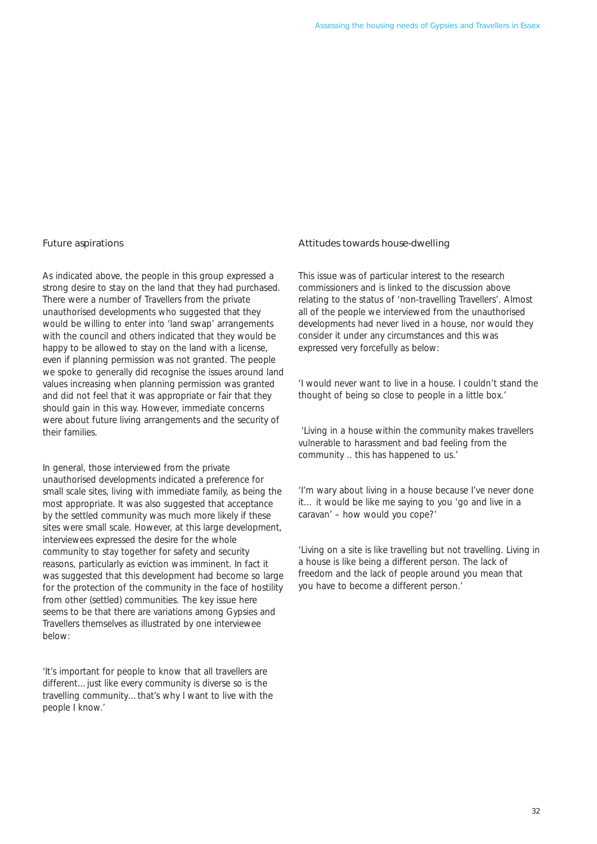#### Future aspirations

As indicated above, the people in this group expressed a strong desire to stay on the land that they had purchased. There were a number of Travellers from the private unauthorised developments who suggested that they would be willing to enter into 'land swap' arrangements with the council and others indicated that they would be happy to be allowed to stay on the land with a license, even if planning permission was not granted. The people we spoke to generally did recognise the issues around land values increasing when planning permission was granted and did not feel that it was appropriate or fair that they should gain in this way. However, immediate concerns were about future living arrangements and the security of their families.

In general, those interviewed from the private unauthorised developments indicated a preference for small scale sites, living with immediate family, as being the most appropriate. It was also suggested that acceptance by the settled community was much more likely if these sites were small scale. However, at this large development, interviewees expressed the desire for the whole community to stay together for safety and security reasons, particularly as eviction was imminent. In fact it was suggested that this development had become so large for the protection of the community in the face of hostility from other (settled) communities. The key issue here seems to be that there are variations among Gypsies and Travellers themselves as illustrated by one interviewee below:

*'It's important for people to know that all travellers are different…just like every community is diverse so is the travelling community…that's why I want to live with the people I know.'* 

#### Attitudes towards house-dwelling

This issue was of particular interest to the research commissioners and is linked to the discussion above relating to the status of 'non-travelling Travellers'. Almost all of the people we interviewed from the unauthorised developments had never lived in a house, nor would they consider it under any circumstances and this was expressed very forcefully as below:

*'I would never want to live in a house. I couldn't stand the thought of being so close to people in a little box.'* 

*'Living in a house within the community makes travellers vulnerable to harassment and bad feeling from the community .. this has happened to us.'* 

*'I'm wary about living in a house because I've never done it… it would be like me saying to you 'go and live in a caravan' – how would you cope?'* 

*'Living on a site is like travelling but not travelling. Living in a house is like being a different person. The lack of freedom and the lack of people around you mean that you have to become a different person.'*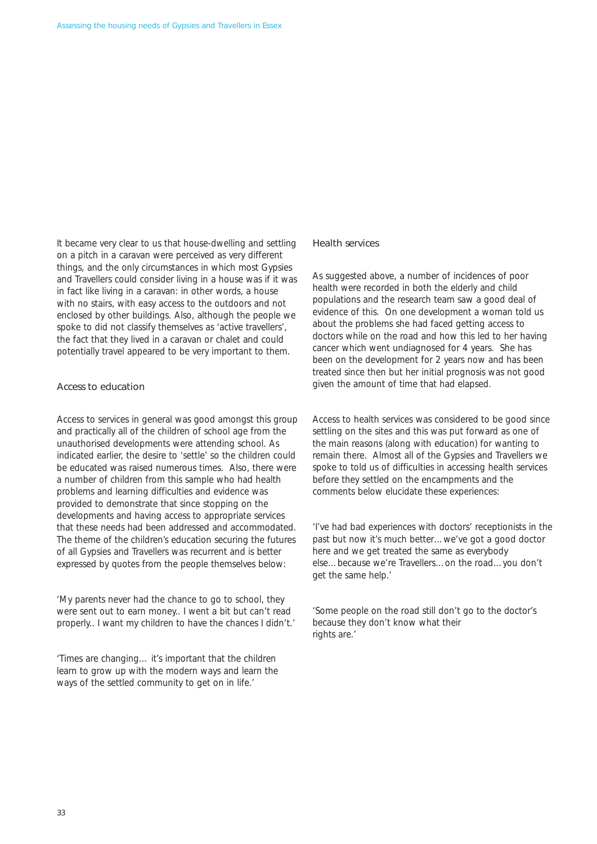It became very clear to us that house-dwelling and settling on a pitch in a caravan were perceived as very different things, and the only circumstances in which most Gypsies and Travellers could consider living in a house was if it was in fact like living in a caravan: in other words, a house with no stairs, with easy access to the outdoors and not enclosed by other buildings. Also, although the people we spoke to did not classify themselves as 'active travellers', the fact that they lived in a caravan or chalet and could potentially travel appeared to be very important to them.

#### Access to education

Access to services in general was good amongst this group and practically all of the children of school age from the unauthorised developments were attending school. As indicated earlier, the desire to 'settle' so the children could be educated was raised numerous times. Also, there were a number of children from this sample who had health problems and learning difficulties and evidence was provided to demonstrate that since stopping on the developments and having access to appropriate services that these needs had been addressed and accommodated. The theme of the children's education securing the futures of all Gypsies and Travellers was recurrent and is better expressed by quotes from the people themselves below:

*'My parents never had the chance to go to school, they were sent out to earn money.. I went a bit but can't read properly.. I want my children to have the chances I didn't.'* 

*'Times are changing… it's important that the children learn to grow up with the modern ways and learn the ways of the settled community to get on in life.'* 

#### Health services

As suggested above, a number of incidences of poor health were recorded in both the elderly and child populations and the research team saw a good deal of evidence of this. On one development a woman told us about the problems she had faced getting access to doctors while on the road and how this led to her having cancer which went undiagnosed for 4 years. She has been on the development for 2 years now and has been treated since then but her initial prognosis was not good given the amount of time that had elapsed.

Access to health services was considered to be good since settling on the sites and this was put forward as one of the main reasons (along with education) for wanting to remain there. Almost all of the Gypsies and Travellers we spoke to told us of difficulties in accessing health services before they settled on the encampments and the comments below elucidate these experiences:

*'I've had bad experiences with doctors' receptionists in the past but now it's much better…we've got a good doctor here and we get treated the same as everybody else…because we're Travellers…on the road…you don't get the same help.'* 

*'Some people on the road still don't go to the doctor's because they don't know what their rights are.'*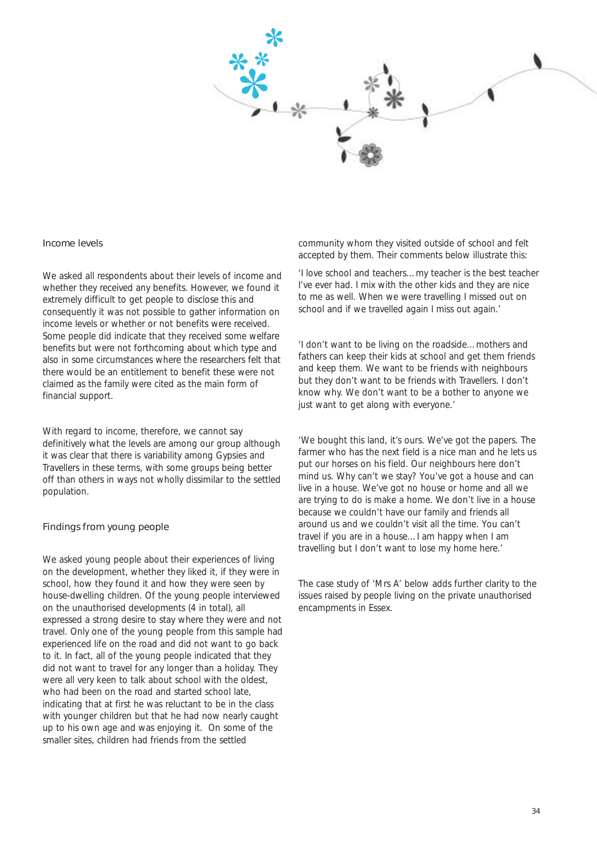

#### Income levels

We asked all respondents about their levels of income and whether they received any benefits. However, we found it extremely difficult to get people to disclose this and consequently it was not possible to gather information on income levels or whether or not benefits were received. Some people did indicate that they received some welfare benefits but were not forthcoming about which type and also in some circumstances where the researchers felt that there would be an entitlement to benefit these were not claimed as the family were cited as the main form of financial support.

With regard to income, therefore, we cannot say definitively what the levels are among our group although it was clear that there is variability among Gypsies and Travellers in these terms, with some groups being better off than others in ways not wholly dissimilar to the settled population.

#### Findings from young people

We asked young people about their experiences of living on the development, whether they liked it, if they were in school, how they found it and how they were seen by house-dwelling children. Of the young people interviewed on the unauthorised developments (4 in total), all expressed a strong desire to stay where they were and not travel. Only one of the young people from this sample had experienced life on the road and did not want to go back to it. In fact, all of the young people indicated that they did not want to travel for any longer than a holiday. They were all very keen to talk about school with the oldest, who had been on the road and started school late, indicating that at first he was reluctant to be in the class with younger children but that he had now nearly caught up to his own age and was enjoying it. On some of the smaller sites, children had friends from the settled

community whom they visited outside of school and felt accepted by them. Their comments below illustrate this:

*'I love school and teachers…my teacher is the best teacher I've ever had. I mix with the other kids and they are nice to me as well. When we were travelling I missed out on school and if we travelled again I miss out again.'* 

*'I don't want to be living on the roadside…mothers and fathers can keep their kids at school and get them friends and keep them. We want to be friends with neighbours but they don't want to be friends with Travellers. I don't know why. We don't want to be a bother to anyone we just want to get along with everyone.'* 

*'We bought this land, it's ours. We've got the papers. The farmer who has the next field is a nice man and he lets us put our horses on his field. Our neighbours here don't mind us. Why can't we stay? You've got a house and can live in a house. We've got no house or home and all we are trying to do is make a home. We don't live in a house because we couldn't have our family and friends all around us and we couldn't visit all the time. You can't travel if you are in a house…I am happy when I am travelling but I don't want to lose my home here.'* 

The case study of 'Mrs A' below adds further clarity to the issues raised by people living on the private unauthorised encampments in Essex.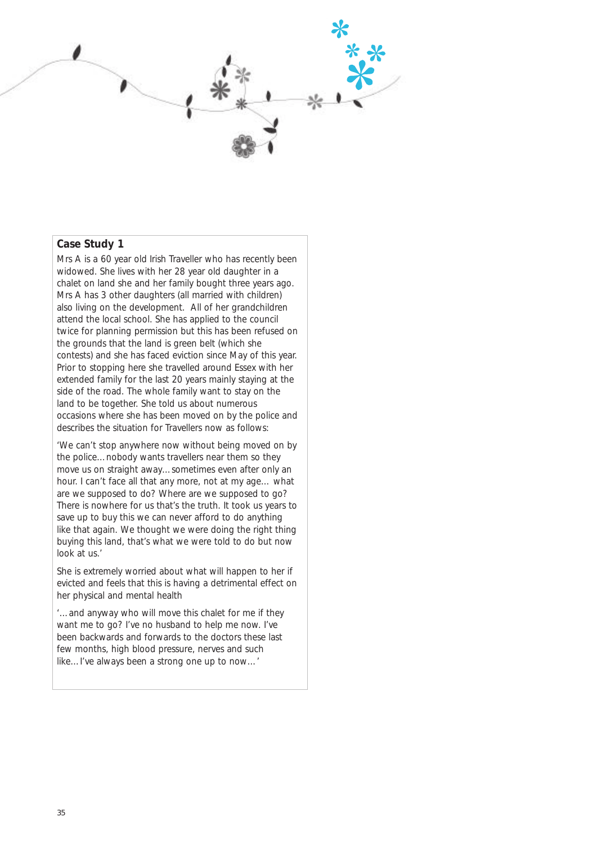

# **Case Study 1**

Mrs A is a 60 year old Irish Traveller who has recently been widowed. She lives with her 28 year old daughter in a chalet on land she and her family bought three years ago. Mrs A has 3 other daughters (all married with children) also living on the development. All of her grandchildren attend the local school. She has applied to the council twice for planning permission but this has been refused on the grounds that the land is green belt (which she contests) and she has faced eviction since May of this year. Prior to stopping here she travelled around Essex with her extended family for the last 20 years mainly staying at the side of the road. The whole family want to stay on the land to be together. She told us about numerous occasions where she has been moved on by the police and describes the situation for Travellers now as follows:

*'We can't stop anywhere now without being moved on by the police…nobody wants travellers near them so they move us on straight away…sometimes even after only an hour. I can't face all that any more, not at my age… what are we supposed to do? Where are we supposed to go? There is nowhere for us that's the truth. It took us years to save up to buy this we can never afford to do anything like that again. We thought we were doing the right thing buying this land, that's what we were told to do but now look at us.'* 

She is extremely worried about what will happen to her if evicted and feels that this is having a detrimental effect on her physical and mental health

*'…and anyway who will move this chalet for me if they want me to go? I've no husband to help me now. I've been backwards and forwards to the doctors these last few months, high blood pressure, nerves and such like…I've always been a strong one up to now…'*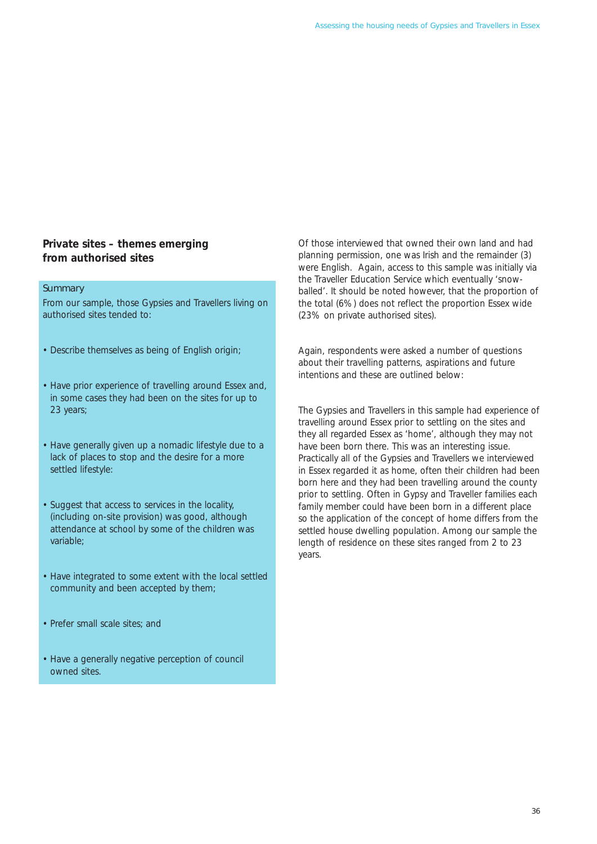# **Private sites – themes emerging from authorised sites**

# **Summary**

From our sample, those Gypsies and Travellers living on authorised sites tended to:

- Describe themselves as being of English origin;
- Have prior experience of travelling around Essex and, in some cases they had been on the sites for up to 23 years;
- Have generally given up a nomadic lifestyle due to a lack of places to stop and the desire for a more settled lifestyle:
- Suggest that access to services in the locality, (including on-site provision) was good, although attendance at school by some of the children was variable;
- Have integrated to some extent with the local settled community and been accepted by them;
- Prefer small scale sites; and
- Have a generally negative perception of council owned sites.

Of those interviewed that owned their own land and had planning permission, one was Irish and the remainder (3) were English. Again, access to this sample was initially via the Traveller Education Service which eventually 'snowballed'. It should be noted however, that the proportion of the total (6%) does not reflect the proportion Essex wide (23% on private authorised sites).

Again, respondents were asked a number of questions about their travelling patterns, aspirations and future intentions and these are outlined below:

The Gypsies and Travellers in this sample had experience of travelling around Essex prior to settling on the sites and they all regarded Essex as 'home', although they may not have been born there. This was an interesting issue. Practically all of the Gypsies and Travellers we interviewed in Essex regarded it as home, often their children had been born here and they had been travelling around the county prior to settling. Often in Gypsy and Traveller families each family member could have been born in a different place so the application of the concept of home differs from the settled house dwelling population. Among our sample the length of residence on these sites ranged from 2 to 23 years.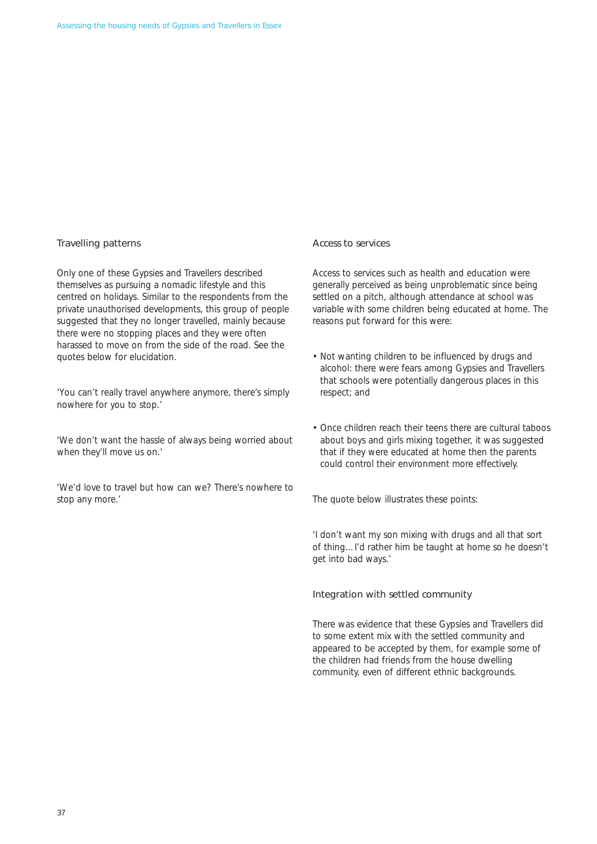# Travelling patterns

Only one of these Gypsies and Travellers described themselves as pursuing a nomadic lifestyle and this centred on holidays. Similar to the respondents from the private unauthorised developments, this group of people suggested that they no longer travelled, mainly because there were no stopping places and they were often harassed to move on from the side of the road. See the quotes below for elucidation.

*'You can't really travel anywhere anymore, there's simply nowhere for you to stop.'* 

*'We don't want the hassle of always being worried about when they'll move us on.'* 

*'We'd love to travel but how can we? There's nowhere to stop any more.'* 

#### Access to services

Access to services such as health and education were generally perceived as being unproblematic since being settled on a pitch, although attendance at school was variable with some children being educated at home. The reasons put forward for this were:

- Not wanting children to be influenced by drugs and alcohol: there were fears among Gypsies and Travellers that schools were potentially dangerous places in this respect; and
- Once children reach their teens there are cultural taboos about boys and girls mixing together, it was suggested that if they were educated at home then the parents could control their environment more effectively.

The quote below illustrates these points:

*'I don't want my son mixing with drugs and all that sort of thing…I'd rather him be taught at home so he doesn't get into bad ways.'* 

#### Integration with settled community

There was evidence that these Gypsies and Travellers did to some extent mix with the settled community and appeared to be accepted by them, for example some of the children had friends from the house dwelling community, even of different ethnic backgrounds.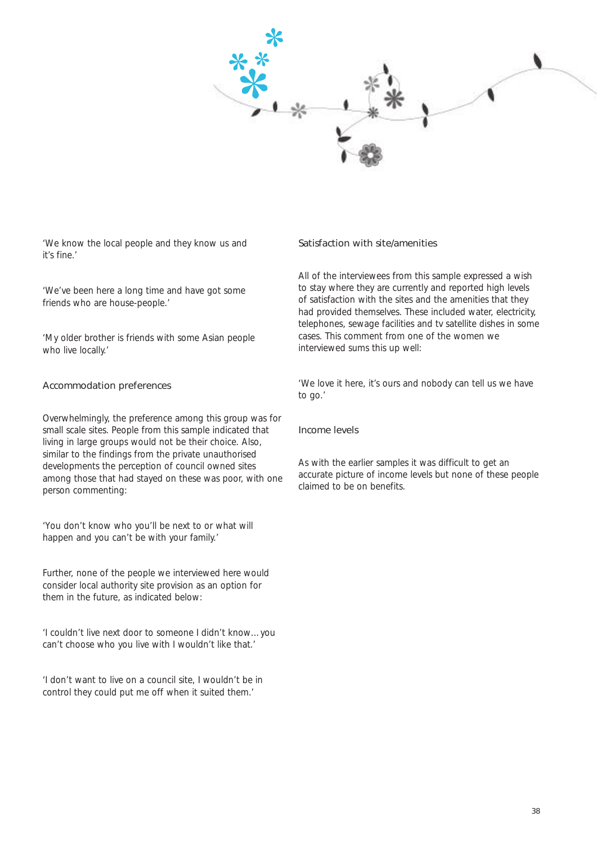

*'We know the local people and they know us and it's fine.'* 

*'We've been here a long time and have got some friends who are house-people.'* 

*'My older brother is friends with some Asian people who live locally.'* 

### Accommodation preferences

Overwhelmingly, the preference among this group was for small scale sites. People from this sample indicated that living in large groups would not be their choice. Also, similar to the findings from the private unauthorised developments the perception of council owned sites among those that had stayed on these was poor, with one person commenting:

*'You don't know who you'll be next to or what will happen and you can't be with your family.'* 

Further, none of the people we interviewed here would consider local authority site provision as an option for them in the future, as indicated below:

*'I couldn't live next door to someone I didn't know…you can't choose who you live with I wouldn't like that.'* 

*'I don't want to live on a council site, I wouldn't be in control they could put me off when it suited them.'* 

#### Satisfaction with site/amenities

All of the interviewees from this sample expressed a wish to stay where they are currently and reported high levels of satisfaction with the sites and the amenities that they had provided themselves. These included water, electricity, telephones, sewage facilities and tv satellite dishes in some cases. This comment from one of the women we interviewed sums this up well:

*'We love it here, it's ours and nobody can tell us we have to go.'* 

#### Income levels

As with the earlier samples it was difficult to get an accurate picture of income levels but none of these people claimed to be on benefits.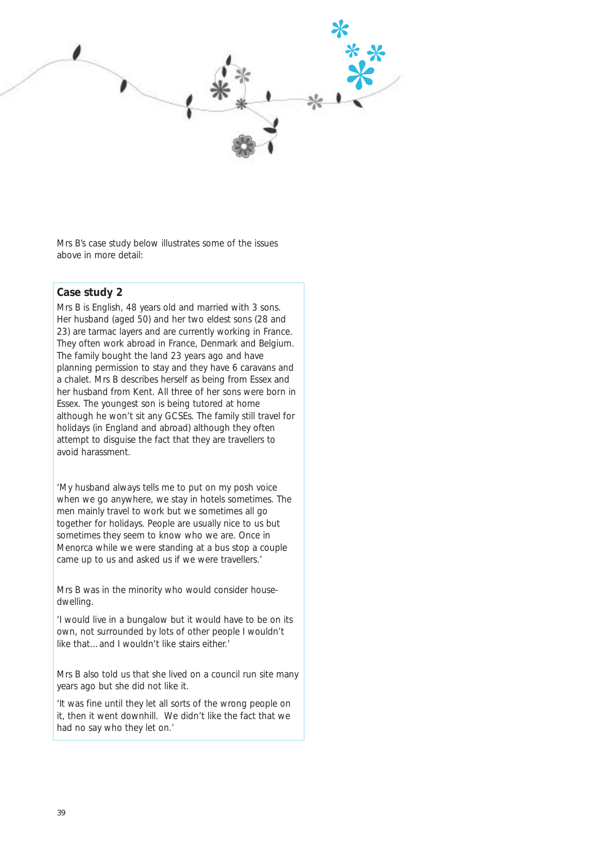

Mrs B's case study below illustrates some of the issues above in more detail:

# **Case study 2**

Mrs B is English, 48 years old and married with 3 sons. Her husband (aged 50) and her two eldest sons (28 and 23) are tarmac layers and are currently working in France. They often work abroad in France, Denmark and Belgium. The family bought the land 23 years ago and have planning permission to stay and they have 6 caravans and a chalet. Mrs B describes herself as being from Essex and her husband from Kent. All three of her sons were born in Essex. The youngest son is being tutored at home although he won't sit any GCSEs. The family still travel for holidays (in England and abroad) although they often attempt to disguise the fact that they are travellers to avoid harassment.

*'My husband always tells me to put on my posh voice when we go anywhere, we stay in hotels sometimes. The men mainly travel to work but we sometimes all go together for holidays. People are usually nice to us but sometimes they seem to know who we are. Once in Menorca while we were standing at a bus stop a couple came up to us and asked us if we were travellers.'* 

Mrs B was in the minority who would consider housedwelling.

*'I would live in a bungalow but it would have to be on its own, not surrounded by lots of other people I wouldn't like that…and I wouldn't like stairs either.'* 

Mrs B also told us that she lived on a council run site many years ago but she did not like it.

*'It was fine until they let all sorts of the wrong people on it, then it went downhill. We didn't like the fact that we had no say who they let on.'*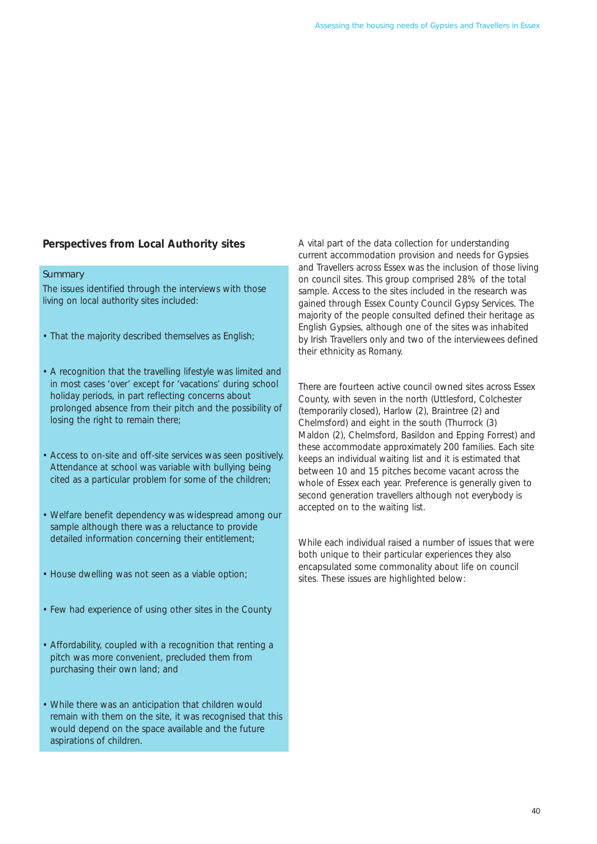# **Perspectives from Local Authority sites**

#### **Summary**

The issues identified through the interviews with those living on local authority sites included:

- That the majority described themselves as English;
- A recognition that the travelling lifestyle was limited and in most cases 'over' except for 'vacations' during school holiday periods, in part reflecting concerns about prolonged absence from their pitch and the possibility of losing the right to remain there:
- Access to on-site and off-site services was seen positively. Attendance at school was variable with bullying being cited as a particular problem for some of the children;
- Welfare benefit dependency was widespread among our sample although there was a reluctance to provide detailed information concerning their entitlement;
- House dwelling was not seen as a viable option;
- Few had experience of using other sites in the County
- Affordability, coupled with a recognition that renting a pitch was more convenient, precluded them from purchasing their own land; and
- While there was an anticipation that children would remain with them on the site, it was recognised that this would depend on the space available and the future aspirations of children.

A vital part of the data collection for understanding current accommodation provision and needs for Gypsies and Travellers across Essex was the inclusion of those living on council sites. This group comprised 28% of the total sample. Access to the sites included in the research was gained through Essex County Council Gypsy Services. The majority of the people consulted defined their heritage as English Gypsies, although one of the sites was inhabited by Irish Travellers only and two of the interviewees defined their ethnicity as Romany.

There are fourteen active council owned sites across Essex County, with seven in the north (Uttlesford, Colchester (temporarily closed), Harlow (2), Braintree (2) and Chelmsford) and eight in the south (Thurrock (3) Maldon (2), Chelmsford, Basildon and Epping Forrest) and these accommodate approximately 200 families. Each site keeps an individual waiting list and it is estimated that between 10 and 15 pitches become vacant across the whole of Essex each year. Preference is generally given to second generation travellers although not everybody is accepted on to the waiting list.

While each individual raised a number of issues that were both unique to their particular experiences they also encapsulated some commonality about life on council sites. These issues are highlighted below: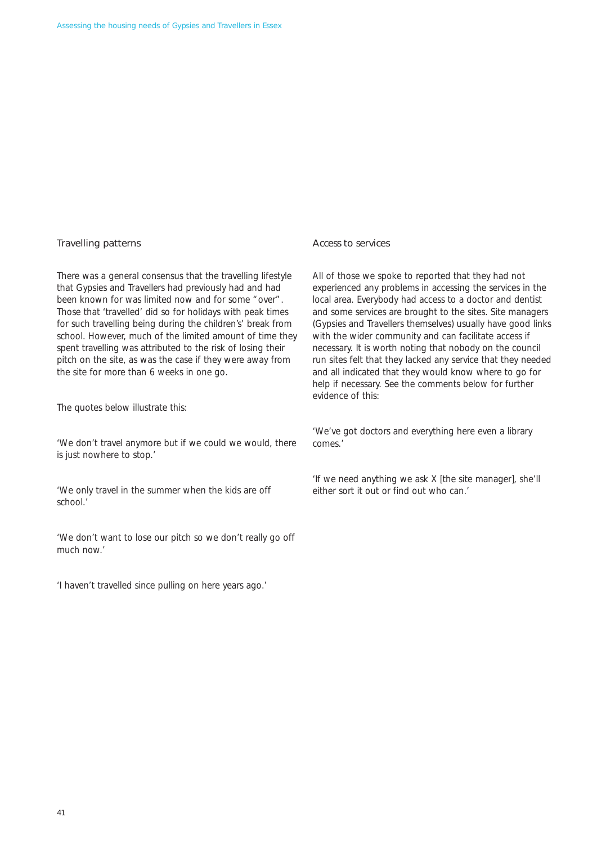# Travelling patterns

There was a general consensus that the travelling lifestyle that Gypsies and Travellers had previously had and had been known for was limited now and for some "over". Those that 'travelled' did so for holidays with peak times for such travelling being during the children's' break from school. However, much of the limited amount of time they spent travelling was attributed to the risk of losing their pitch on the site, as was the case if they were away from the site for more than 6 weeks in one go.

The quotes below illustrate this:

'We don't travel anymore but if we could we would, there *is just nowhere to stop.'* 

*'We only travel in the summer when the kids are off school.'* 

*'We don't want to lose our pitch so we don't really go off much now.'* 

*'I haven't travelled since pulling on here years ago.'* 

#### Access to services

All of those we spoke to reported that they had not experienced any problems in accessing the services in the local area. Everybody had access to a doctor and dentist and some services are brought to the sites. Site managers (Gypsies and Travellers themselves) usually have good links with the wider community and can facilitate access if necessary. It is worth noting that nobody on the council run sites felt that they lacked any service that they needed and all indicated that they would know where to go for help if necessary. See the comments below for further evidence of this:

*'We've got doctors and everything here even a library comes.'* 

*'If we need anything we ask X [the site manager], she'll either sort it out or find out who can.'*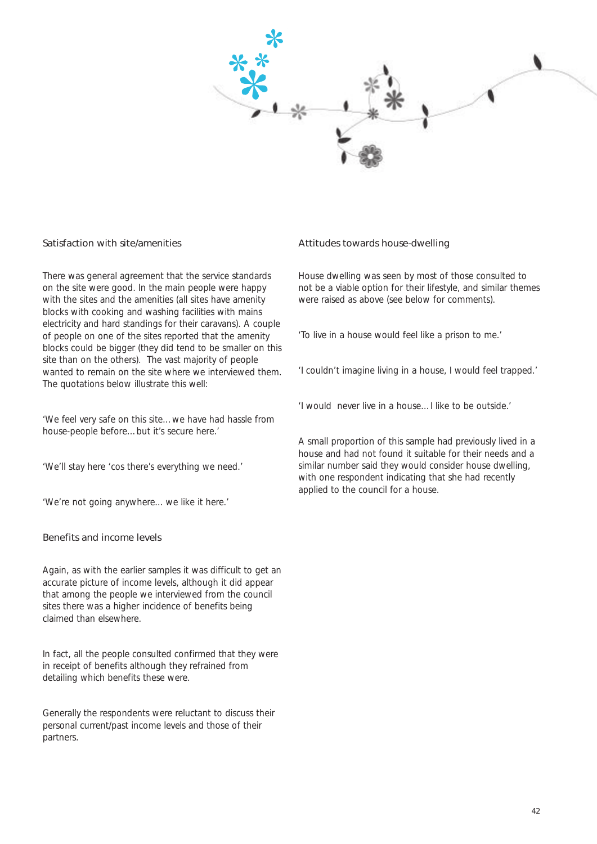

#### Satisfaction with site/amenities

There was general agreement that the service standards on the site were good. In the main people were happy with the sites and the amenities (all sites have amenity blocks with cooking and washing facilities with mains electricity and hard standings for their caravans). A couple of people on one of the sites reported that the amenity blocks could be bigger (they did tend to be smaller on this site than on the others). The vast majority of people wanted to remain on the site where we interviewed them. The quotations below illustrate this well:

*'We feel very safe on this site…we have had hassle from house-people before…but it's secure here.'* 

*'We'll stay here 'cos there's everything we need.'* 

*'We're not going anywhere... we like it here.'* 

#### Benefits and income levels

Again, as with the earlier samples it was difficult to get an accurate picture of income levels, although it did appear that among the people we interviewed from the council sites there was a higher incidence of benefits being claimed than elsewhere.

In fact, all the people consulted confirmed that they were in receipt of benefits although they refrained from detailing which benefits these were.

Generally the respondents were reluctant to discuss their personal current/past income levels and those of their partners.

#### Attitudes towards house-dwelling

House dwelling was seen by most of those consulted to not be a viable option for their lifestyle, and similar themes were raised as above (see below for comments).

*'To live in a house would feel like a prison to me.'* 

*'I couldn't imagine living in a house, I would feel trapped.'* 

*'I would never live in a house…I like to be outside.'* 

A small proportion of this sample had previously lived in a house and had not found it suitable for their needs and a similar number said they would consider house dwelling, with one respondent indicating that she had recently applied to the council for a house.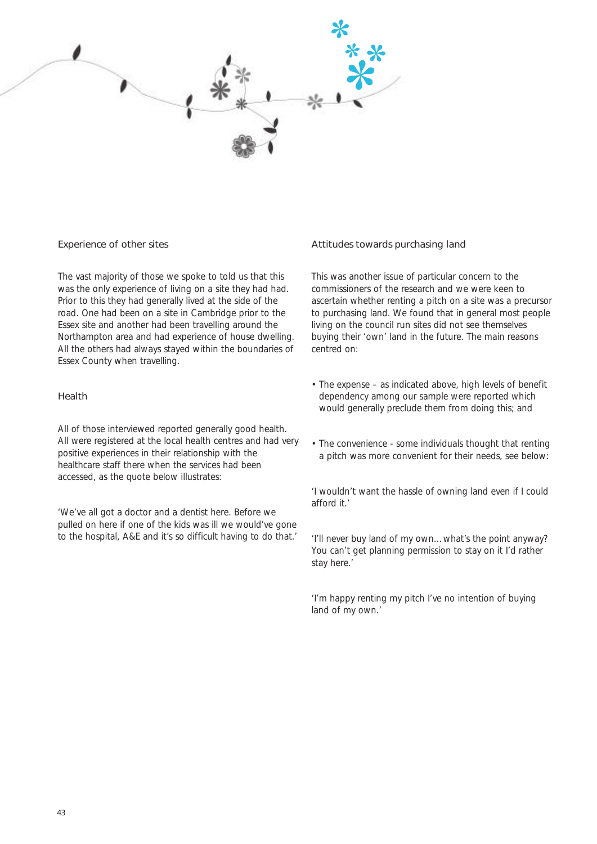

#### Experience of other sites

The vast majority of those we spoke to told us that this was the only experience of living on a site they had had. Prior to this they had generally lived at the side of the road. One had been on a site in Cambridge prior to the Essex site and another had been travelling around the Northampton area and had experience of house dwelling. All the others had always stayed within the boundaries of Essex County when travelling.

#### Health

All of those interviewed reported generally good health. All were registered at the local health centres and had very positive experiences in their relationship with the healthcare staff there when the services had been accessed, as the quote below illustrates:

*'We've all got a doctor and a dentist here. Before we pulled on here if one of the kids was ill we would've gone to the hospital, A&E and it's so difficult having to do that.'* 

#### Attitudes towards purchasing land

This was another issue of particular concern to the commissioners of the research and we were keen to ascertain whether renting a pitch on a site was a precursor to purchasing land. We found that in general most people living on the council run sites did not see themselves buying their 'own' land in the future. The main reasons centred on:

- The expense as indicated above, high levels of benefit dependency among our sample were reported which would generally preclude them from doing this; and
- The convenience some individuals thought that renting a pitch was more convenient for their needs, see below:

*'I wouldn't want the hassle of owning land even if I could afford it.'* 

*'I'll never buy land of my own…what's the point anyway? You can't get planning permission to stay on it I'd rather stay here.'* 

*'I'm happy renting my pitch I've no intention of buying land of my own.'*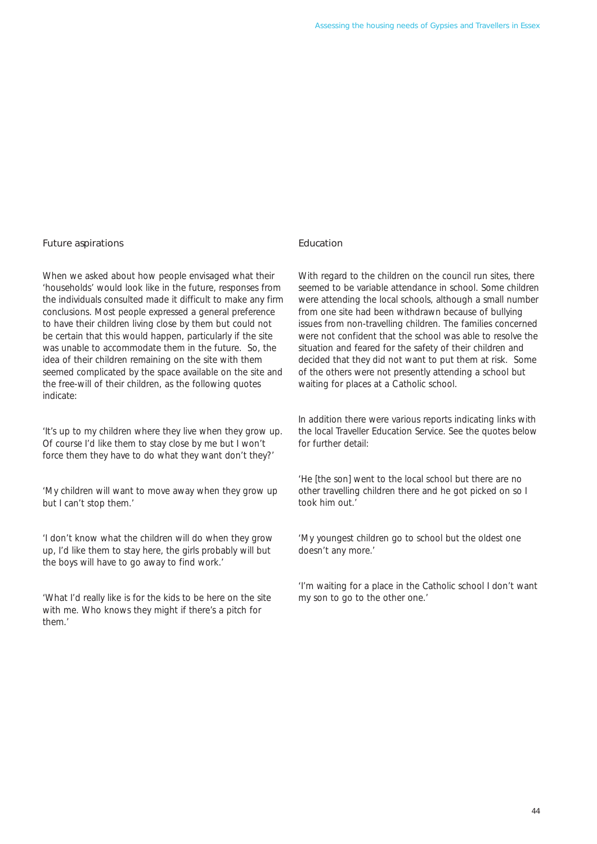# Future aspirations

When we asked about how people envisaged what their 'households' would look like in the future, responses from the individuals consulted made it difficult to make any firm conclusions. Most people expressed a general preference to have their children living close by them but could not be certain that this would happen, particularly if the site was unable to accommodate them in the future. So, the idea of their children remaining on the site with them seemed complicated by the space available on the site and the free-will of their children, as the following quotes indicate:

*'It's up to my children where they live when they grow up. Of course I'd like them to stay close by me but I won't force them they have to do what they want don't they?'* 

*'My children will want to move away when they grow up but I can't stop them.'* 

*'I don't know what the children will do when they grow up, I'd like them to stay here, the girls probably will but the boys will have to go away to find work.'* 

*'What I'd really like is for the kids to be here on the site with me. Who knows they might if there's a pitch for them.'* 

### Education

With regard to the children on the council run sites, there seemed to be variable attendance in school. Some children were attending the local schools, although a small number from one site had been withdrawn because of bullying issues from non-travelling children. The families concerned were not confident that the school was able to resolve the situation and feared for the safety of their children and decided that they did not want to put them at risk. Some of the others were not presently attending a school but waiting for places at a Catholic school.

In addition there were various reports indicating links with the local Traveller Education Service. See the quotes below for further detail:

*'He [the son] went to the local school but there are no other travelling children there and he got picked on so I took him out.'* 

*'My youngest children go to school but the oldest one doesn't any more.'* 

*'I'm waiting for a place in the Catholic school I don't want my son to go to the other one.'*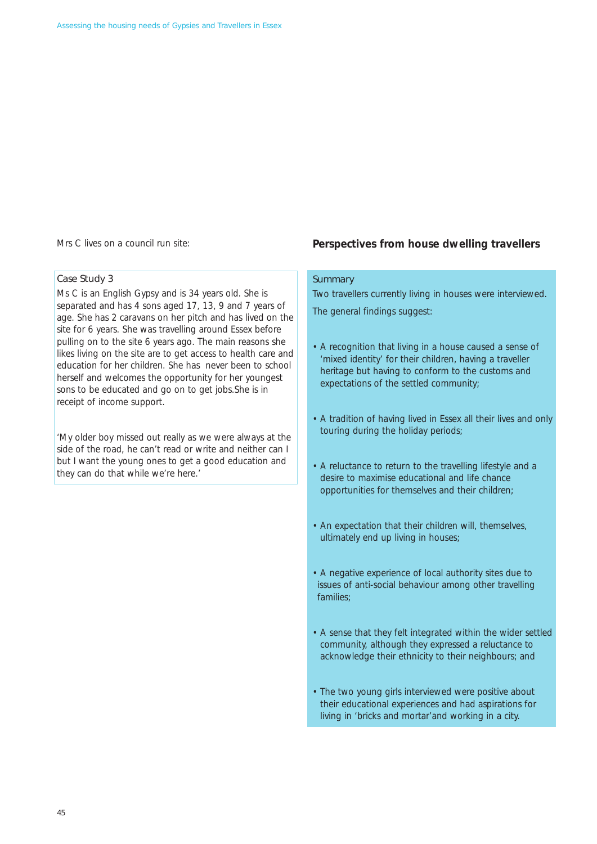Mrs C lives on a council run site:

#### Case Study 3

Ms C is an English Gypsy and is 34 years old. She is separated and has 4 sons aged 17, 13, 9 and 7 years of age. She has 2 caravans on her pitch and has lived on the site for 6 years. She was travelling around Essex before pulling on to the site 6 years ago. The main reasons she likes living on the site are to get access to health care and education for her children. She has never been to school herself and welcomes the opportunity for her youngest sons to be educated and go on to get jobs.She is in receipt of income support.

*'My older boy missed out really as we were always at the side of the road, he can't read or write and neither can I but I want the young ones to get a good education and they can do that while we're here.'* 

### **Perspectives from house dwelling travellers**

# **Summary**

Two travellers currently living in houses were interviewed.

The general findings suggest:

- A recognition that living in a house caused a sense of 'mixed identity' for their children, having a traveller heritage but having to conform to the customs and expectations of the settled community;
- A tradition of having lived in Essex all their lives and only touring during the holiday periods;
- A reluctance to return to the travelling lifestyle and a desire to maximise educational and life chance opportunities for themselves and their children;
- An expectation that their children will, themselves, ultimately end up living in houses;
- A negative experience of local authority sites due to issues of anti-social behaviour among other travelling families;
- A sense that they felt integrated within the wider settled community, although they expressed a reluctance to acknowledge their ethnicity to their neighbours; and
- The two young girls interviewed were positive about their educational experiences and had aspirations for living in 'bricks and mortar'and working in a city.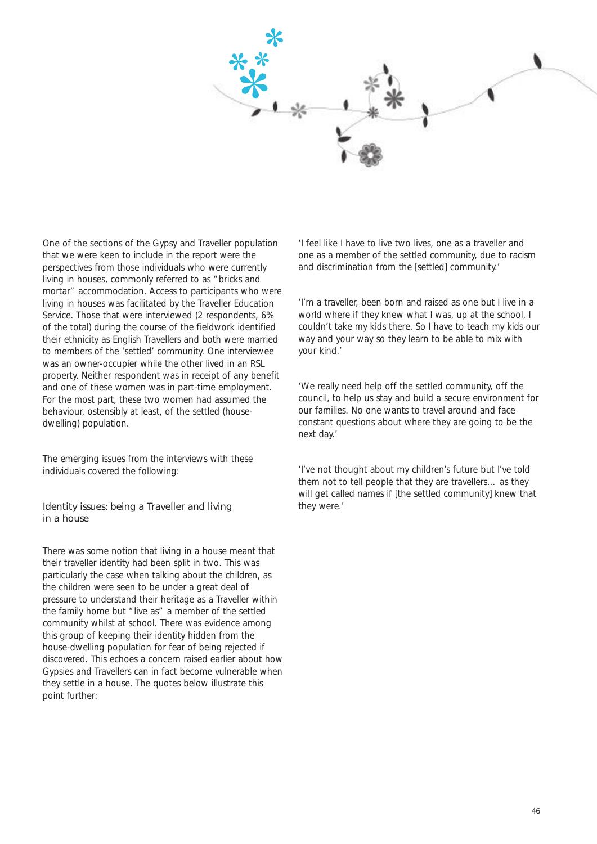

One of the sections of the Gypsy and Traveller population that we were keen to include in the report were the perspectives from those individuals who were currently living in houses, commonly referred to as "bricks and mortar" accommodation. Access to participants who were living in houses was facilitated by the Traveller Education Service. Those that were interviewed (2 respondents, 6% of the total) during the course of the fieldwork identified their ethnicity as English Travellers and both were married to members of the 'settled' community. One interviewee was an owner-occupier while the other lived in an RSL property. Neither respondent was in receipt of any benefit and one of these women was in part-time employment. For the most part, these two women had assumed the behaviour, ostensibly at least, of the settled (housedwelling) population.

The emerging issues from the interviews with these individuals covered the following:

# Identity issues: being a Traveller and living in a house

There was some notion that living in a house meant that their traveller identity had been split in two. This was particularly the case when talking about the children, as the children were seen to be under a great deal of pressure to understand their heritage as a Traveller within the family home but "live as" a member of the settled community whilst at school. There was evidence among this group of keeping their identity hidden from the house-dwelling population for fear of being rejected if discovered. This echoes a concern raised earlier about how Gypsies and Travellers can in fact become vulnerable when they settle in a house. The quotes below illustrate this point further:

*'I feel like I have to live two lives, one as a traveller and one as a member of the settled community, due to racism and discrimination from the [settled] community.'* 

*'I'm a traveller, been born and raised as one but I live in a world where if they knew what I was, up at the school, I couldn't take my kids there. So I have to teach my kids our way and your way so they learn to be able to mix with your kind.'* 

*'We really need help off the settled community, off the council, to help us stay and build a secure environment for our families. No one wants to travel around and face constant questions about where they are going to be the next day.'* 

*'I've not thought about my children's future but I've told them not to tell people that they are travellers… as they will get called names if [the settled community] knew that they were.'*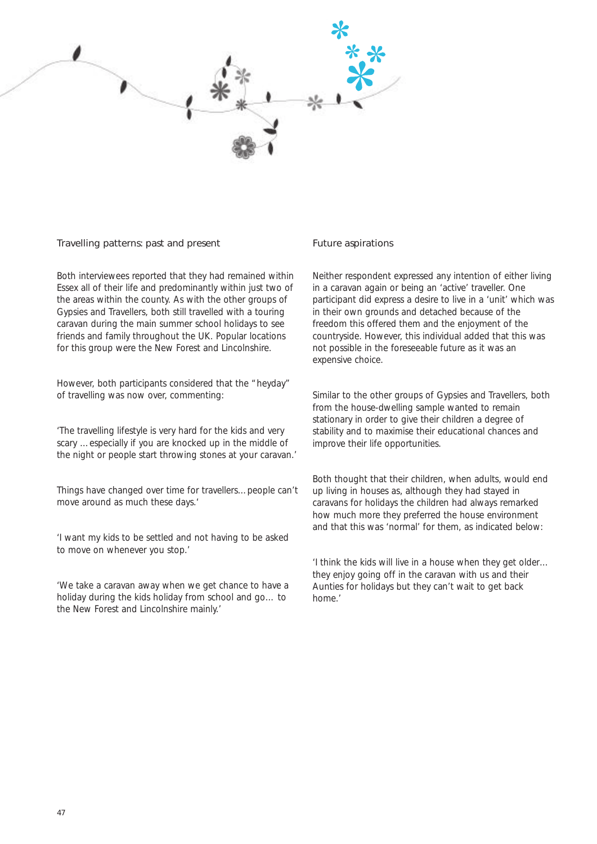

#### Travelling patterns: past and present

Both interviewees reported that they had remained within Essex all of their life and predominantly within just two of the areas within the county. As with the other groups of Gypsies and Travellers, both still travelled with a touring caravan during the main summer school holidays to see friends and family throughout the UK. Popular locations for this group were the New Forest and Lincolnshire.

However, both participants considered that the "heyday" of travelling was now over, commenting:

*'The travelling lifestyle is very hard for the kids and very scary …especially if you are knocked up in the middle of the night or people start throwing stones at your caravan.'* 

*Things have changed over time for travellers…people can't move around as much these days.'* 

*'I want my kids to be settled and not having to be asked to move on whenever you stop.'* 

*'We take a caravan away when we get chance to have a holiday during the kids holiday from school and go… to the New Forest and Lincolnshire mainly.'* 

#### Future aspirations

Neither respondent expressed any intention of either living in a caravan again or being an 'active' traveller. One participant did express a desire to live in a 'unit' which was in their own grounds and detached because of the freedom this offered them and the enjoyment of the countryside. However, this individual added that this was not possible in the foreseeable future as it was an expensive choice.

Similar to the other groups of Gypsies and Travellers, both from the house-dwelling sample wanted to remain stationary in order to give their children a degree of stability and to maximise their educational chances and improve their life opportunities.

Both thought that their children, when adults, would end up living in houses as, although they had stayed in caravans for holidays the children had always remarked how much more they preferred the house environment and that this was 'normal' for them, as indicated below:

*'I think the kids will live in a house when they get older… they enjoy going off in the caravan with us and their Aunties for holidays but they can't wait to get back home.'*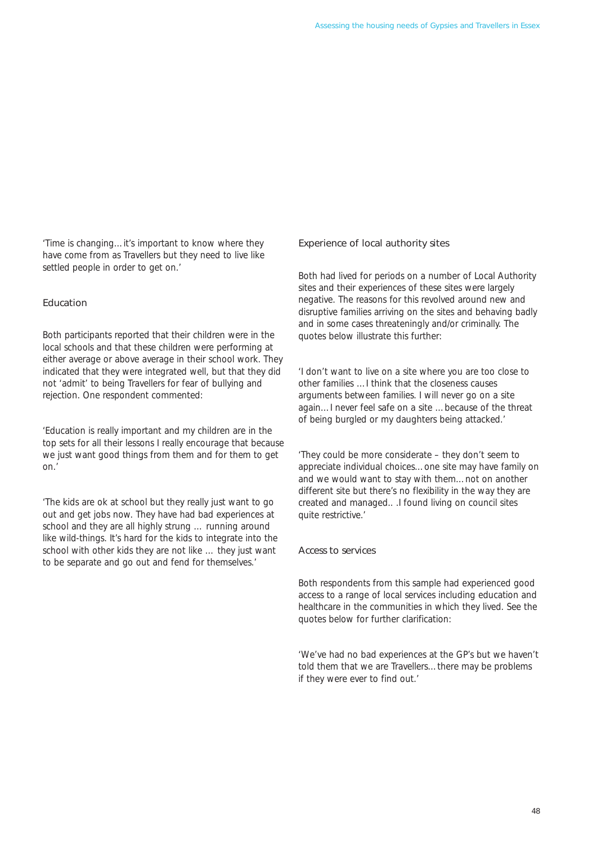*'Time is changing…it's important to know where they have come from as Travellers but they need to live like settled people in order to get on.'* 

# Education

Both participants reported that their children were in the local schools and that these children were performing at either average or above average in their school work. They indicated that they were integrated well, but that they did not 'admit' to being Travellers for fear of bullying and rejection. One respondent commented:

*'Education is really important and my children are in the top sets for all their lessons I really encourage that because we just want good things from them and for them to get on.'* 

*'The kids are ok at school but they really just want to go out and get jobs now. They have had bad experiences at school and they are all highly strung … running around like wild-things. It's hard for the kids to integrate into the school with other kids they are not like … they just want to be separate and go out and fend for themselves.'* 

#### Experience of local authority sites

Both had lived for periods on a number of Local Authority sites and their experiences of these sites were largely negative. The reasons for this revolved around new and disruptive families arriving on the sites and behaving badly and in some cases threateningly and/or criminally. The quotes below illustrate this further:

*'I don't want to live on a site where you are too close to other families …I think that the closeness causes arguments between families. I will never go on a site again…I never feel safe on a site …because of the threat of being burgled or my daughters being attacked.'* 

*'They could be more considerate – they don't seem to appreciate individual choices…one site may have family on and we would want to stay with them…not on another different site but there's no flexibility in the way they are created and managed.. .I found living on council sites quite restrictive.'* 

#### Access to services

Both respondents from this sample had experienced good access to a range of local services including education and healthcare in the communities in which they lived. See the quotes below for further clarification:

*'We've had no bad experiences at the GP's but we haven't told them that we are Travellers…there may be problems if they were ever to find out.'*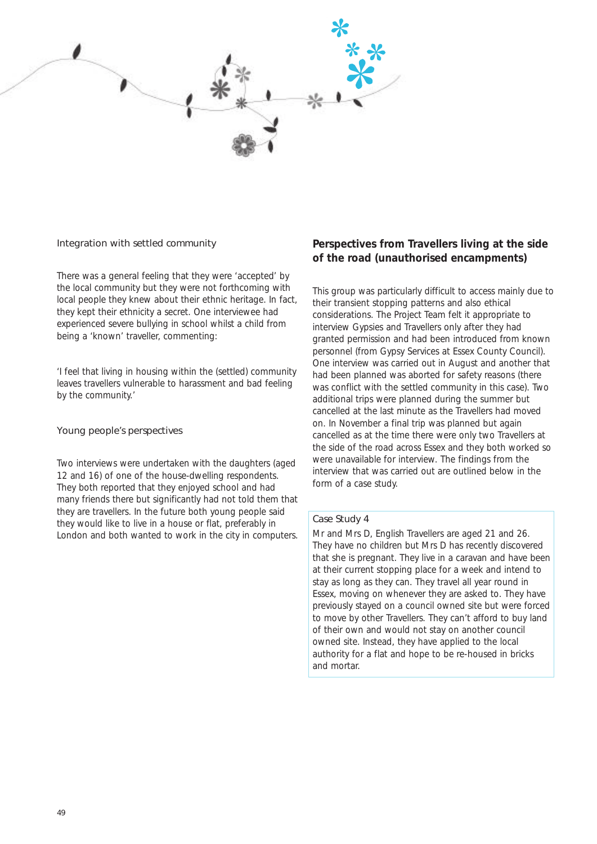

#### Integration with settled community

There was a general feeling that they were 'accepted' by the local community but they were not forthcoming with local people they knew about their ethnic heritage. In fact, they kept their ethnicity a secret. One interviewee had experienced severe bullying in school whilst a child from being a 'known' traveller, commenting:

*'I feel that living in housing within the (settled) community leaves travellers vulnerable to harassment and bad feeling by the community.'* 

#### Young people's perspectives

Two interviews were undertaken with the daughters (aged 12 and 16) of one of the house-dwelling respondents. They both reported that they enjoyed school and had many friends there but significantly had not told them that they are travellers. In the future both young people said they would like to live in a house or flat, preferably in London and both wanted to work in the city in computers.

# **Perspectives from Travellers living at the side of the road (unauthorised encampments)**

This group was particularly difficult to access mainly due to their transient stopping patterns and also ethical considerations. The Project Team felt it appropriate to interview Gypsies and Travellers only after they had granted permission and had been introduced from known personnel (from Gypsy Services at Essex County Council). One interview was carried out in August and another that had been planned was aborted for safety reasons (there was conflict with the settled community in this case). Two additional trips were planned during the summer but cancelled at the last minute as the Travellers had moved on. In November a final trip was planned but again cancelled as at the time there were only two Travellers at the side of the road across Essex and they both worked so were unavailable for interview. The findings from the interview that was carried out are outlined below in the form of a case study.

#### Case Study 4

Mr and Mrs D, English Travellers are aged 21 and 26. They have no children but Mrs D has recently discovered that she is pregnant. They live in a caravan and have been at their current stopping place for a week and intend to stay as long as they can. They travel all year round in Essex, moving on whenever they are asked to. They have previously stayed on a council owned site but were forced to move by other Travellers. They can't afford to buy land of their own and would not stay on another council owned site. Instead, they have applied to the local authority for a flat and hope to be re-housed in bricks and mortar.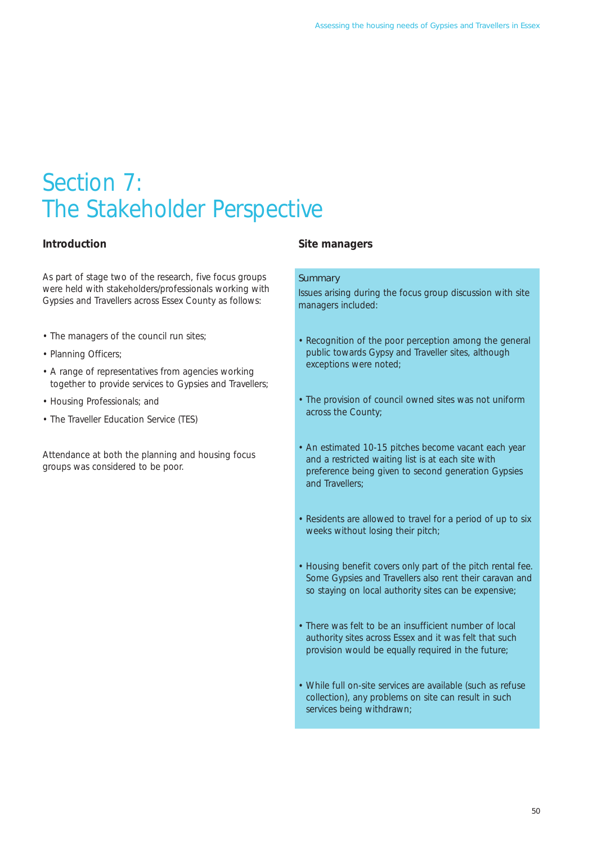# Section 7: The Stakeholder Perspective

# **Introduction**

As part of stage two of the research, five focus groups were held with stakeholders/professionals working with Gypsies and Travellers across Essex County as follows:

- The managers of the council run sites;
- Planning Officers;
- A range of representatives from agencies working together to provide services to Gypsies and Travellers;
- Housing Professionals; and
- The Traveller Education Service (TES)

Attendance at both the planning and housing focus groups was considered to be poor.

# **Site managers**

#### **Summary**

Issues arising during the focus group discussion with site managers included:

- Recognition of the poor perception among the general public towards Gypsy and Traveller sites, although exceptions were noted;
- The provision of council owned sites was not uniform across the County;
- An estimated 10-15 pitches become vacant each year and a restricted waiting list is at each site with preference being given to second generation Gypsies and Travellers;
- Residents are allowed to travel for a period of up to six weeks without losing their pitch;
- Housing benefit covers only part of the pitch rental fee. Some Gypsies and Travellers also rent their caravan and so staying on local authority sites can be expensive;
- There was felt to be an insufficient number of local authority sites across Essex and it was felt that such provision would be equally required in the future;
- While full on-site services are available (such as refuse collection), any problems on site can result in such services being withdrawn;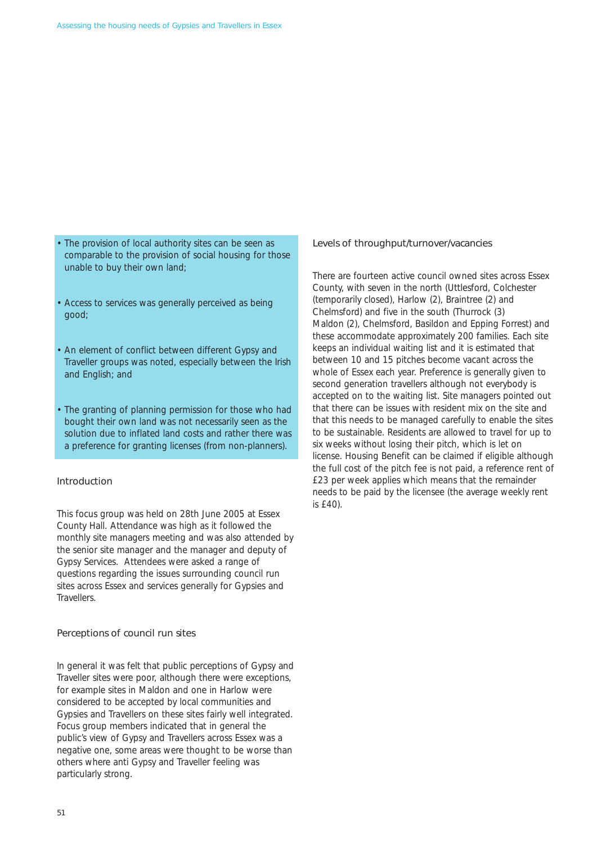- The provision of local authority sites can be seen as comparable to the provision of social housing for those unable to buy their own land;
- Access to services was generally perceived as being good;
- An element of conflict between different Gypsy and Traveller groups was noted, especially between the Irish and English; and
- The granting of planning permission for those who had bought their own land was not necessarily seen as the solution due to inflated land costs and rather there was a preference for granting licenses (from non-planners).

#### Introduction

This focus group was held on 28th June 2005 at Essex County Hall. Attendance was high as it followed the monthly site managers meeting and was also attended by the senior site manager and the manager and deputy of Gypsy Services. Attendees were asked a range of questions regarding the issues surrounding council run sites across Essex and services generally for Gypsies and Travellers.

#### Perceptions of council run sites

In general it was felt that public perceptions of Gypsy and Traveller sites were poor, although there were exceptions, for example sites in Maldon and one in Harlow were considered to be accepted by local communities and Gypsies and Travellers on these sites fairly well integrated. Focus group members indicated that in general the public's view of Gypsy and Travellers across Essex was a negative one, some areas were thought to be worse than others where anti Gypsy and Traveller feeling was particularly strong.

#### Levels of throughput/turnover/vacancies

There are fourteen active council owned sites across Essex County, with seven in the north (Uttlesford, Colchester (temporarily closed), Harlow (2), Braintree (2) and Chelmsford) and five in the south (Thurrock (3) Maldon (2), Chelmsford, Basildon and Epping Forrest) and these accommodate approximately 200 families. Each site keeps an individual waiting list and it is estimated that between 10 and 15 pitches become vacant across the whole of Essex each year. Preference is generally given to second generation travellers although not everybody is accepted on to the waiting list. Site managers pointed out that there can be issues with resident mix on the site and that this needs to be managed carefully to enable the sites to be sustainable. Residents are allowed to travel for up to six weeks without losing their pitch, which is let on license. Housing Benefit can be claimed if eligible although the full cost of the pitch fee is not paid, a reference rent of £23 per week applies which means that the remainder needs to be paid by the licensee (the average weekly rent is £40).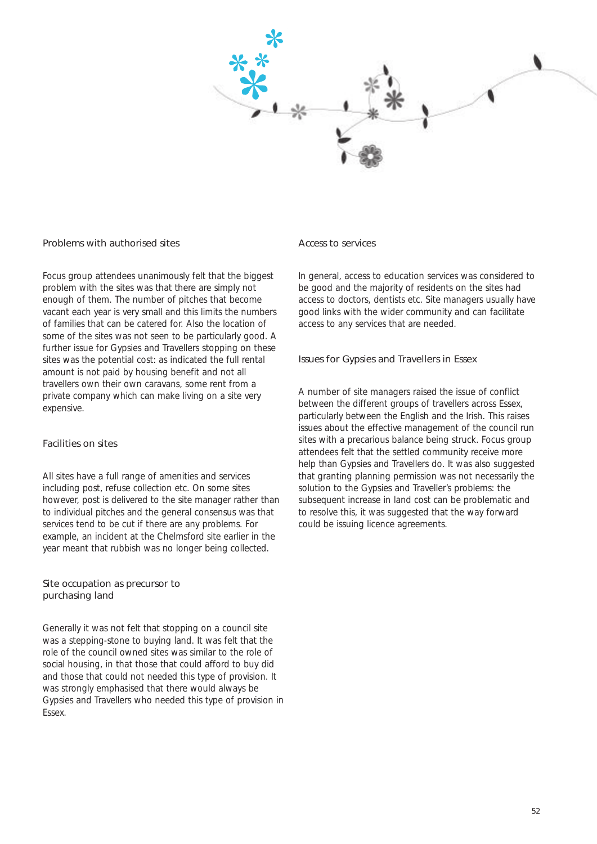

#### Problems with authorised sites

Focus group attendees unanimously felt that the biggest problem with the sites was that there are simply not enough of them. The number of pitches that become vacant each year is very small and this limits the numbers of families that can be catered for. Also the location of some of the sites was not seen to be particularly good. A further issue for Gypsies and Travellers stopping on these sites was the potential cost: as indicated the full rental amount is not paid by housing benefit and not all travellers own their own caravans, some rent from a private company which can make living on a site very expensive.

# Facilities on sites

All sites have a full range of amenities and services including post, refuse collection etc. On some sites however, post is delivered to the site manager rather than to individual pitches and the general consensus was that services tend to be cut if there are any problems. For example, an incident at the Chelmsford site earlier in the year meant that rubbish was no longer being collected.

#### Site occupation as precursor to purchasing land

Generally it was not felt that stopping on a council site was a stepping-stone to buying land. It was felt that the role of the council owned sites was similar to the role of social housing, in that those that could afford to buy did and those that could not needed this type of provision. It was strongly emphasised that there would always be Gypsies and Travellers who needed this type of provision in Essex.

#### Access to services

In general, access to education services was considered to be good and the majority of residents on the sites had access to doctors, dentists etc. Site managers usually have good links with the wider community and can facilitate access to any services that are needed.

#### Issues for Gypsies and Travellers in Essex

A number of site managers raised the issue of conflict between the different groups of travellers across Essex, particularly between the English and the Irish. This raises issues about the effective management of the council run sites with a precarious balance being struck. Focus group attendees felt that the settled community receive more help than Gypsies and Travellers do. It was also suggested that granting planning permission was not necessarily the solution to the Gypsies and Traveller's problems: the subsequent increase in land cost can be problematic and to resolve this, it was suggested that the way forward could be issuing licence agreements.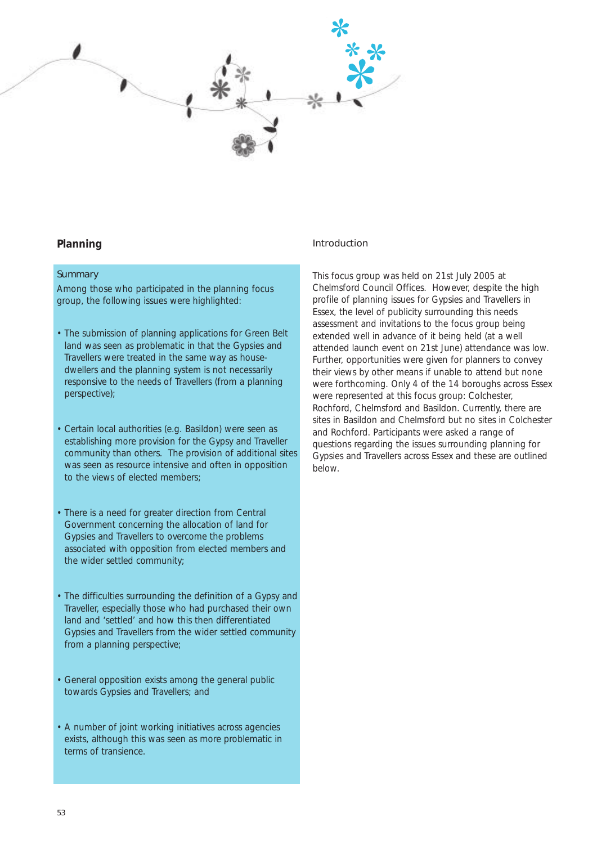

# **Planning**

#### **Summary**

Among those who participated in the planning focus group, the following issues were highlighted:

- The submission of planning applications for Green Belt land was seen as problematic in that the Gypsies and Travellers were treated in the same way as housedwellers and the planning system is not necessarily responsive to the needs of Travellers (from a planning perspective);
- Certain local authorities (e.g. Basildon) were seen as establishing more provision for the Gypsy and Traveller community than others. The provision of additional sites was seen as resource intensive and often in opposition to the views of elected members;
- There is a need for greater direction from Central Government concerning the allocation of land for Gypsies and Travellers to overcome the problems associated with opposition from elected members and the wider settled community;
- The difficulties surrounding the definition of a Gypsy and Traveller, especially those who had purchased their own land and 'settled' and how this then differentiated Gypsies and Travellers from the wider settled community from a planning perspective;
- General opposition exists among the general public towards Gypsies and Travellers; and
- A number of joint working initiatives across agencies exists, although this was seen as more problematic in terms of transience.

#### Introduction

This focus group was held on 21st July 2005 at Chelmsford Council Offices. However, despite the high profile of planning issues for Gypsies and Travellers in Essex, the level of publicity surrounding this needs assessment and invitations to the focus group being extended well in advance of it being held (at a well attended launch event on 21st June) attendance was low. Further, opportunities were given for planners to convey their views by other means if unable to attend but none were forthcoming. Only 4 of the 14 boroughs across Essex were represented at this focus group: Colchester, Rochford, Chelmsford and Basildon. Currently, there are sites in Basildon and Chelmsford but no sites in Colchester and Rochford. Participants were asked a range of questions regarding the issues surrounding planning for Gypsies and Travellers across Essex and these are outlined below.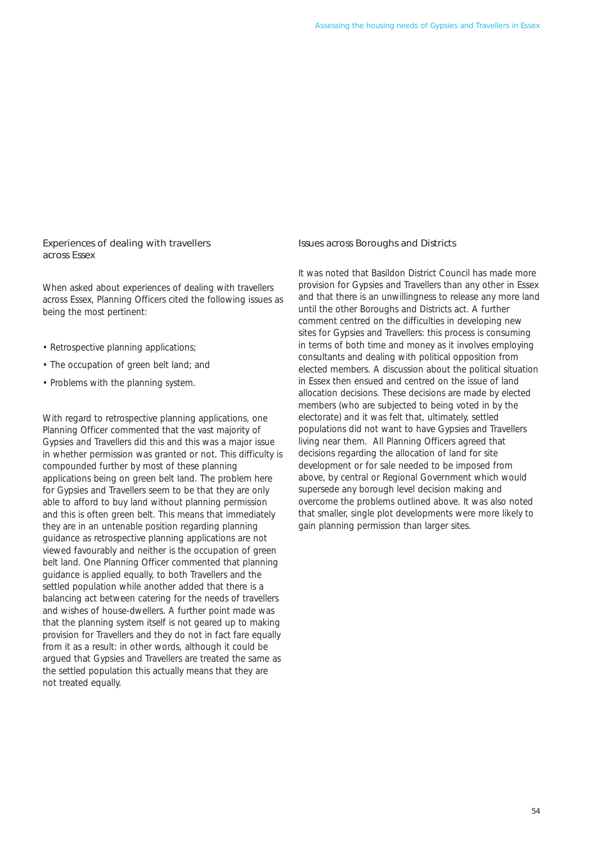### Experiences of dealing with travellers across Essex

When asked about experiences of dealing with travellers across Essex, Planning Officers cited the following issues as being the most pertinent:

- Retrospective planning applications;
- The occupation of green belt land; and
- Problems with the planning system.

With regard to retrospective planning applications, one Planning Officer commented that the vast majority of Gypsies and Travellers did this and this was a major issue in whether permission was granted or not. This difficulty is compounded further by most of these planning applications being on green belt land. The problem here for Gypsies and Travellers seem to be that they are only able to afford to buy land without planning permission and this is often green belt. This means that immediately they are in an untenable position regarding planning guidance as retrospective planning applications are not viewed favourably and neither is the occupation of green belt land. One Planning Officer commented that planning guidance is applied equally, to both Travellers and the settled population while another added that there is a balancing act between catering for the needs of travellers and wishes of house-dwellers. A further point made was that the planning system itself is not geared up to making provision for Travellers and they do not in fact fare equally from it as a result: in other words, although it could be argued that Gypsies and Travellers are treated the same as the settled population this actually means that they are not treated equally.

#### Issues across Boroughs and Districts

It was noted that Basildon District Council has made more provision for Gypsies and Travellers than any other in Essex and that there is an unwillingness to release any more land until the other Boroughs and Districts act. A further comment centred on the difficulties in developing new sites for Gypsies and Travellers: this process is consuming in terms of both time and money as it involves employing consultants and dealing with political opposition from elected members. A discussion about the political situation in Essex then ensued and centred on the issue of land allocation decisions. These decisions are made by elected members (who are subjected to being voted in by the electorate) and it was felt that, ultimately, settled populations did not want to have Gypsies and Travellers living near them. All Planning Officers agreed that decisions regarding the allocation of land for site development or for sale needed to be imposed from above, by central or Regional Government which would supersede any borough level decision making and overcome the problems outlined above. It was also noted that smaller, single plot developments were more likely to gain planning permission than larger sites.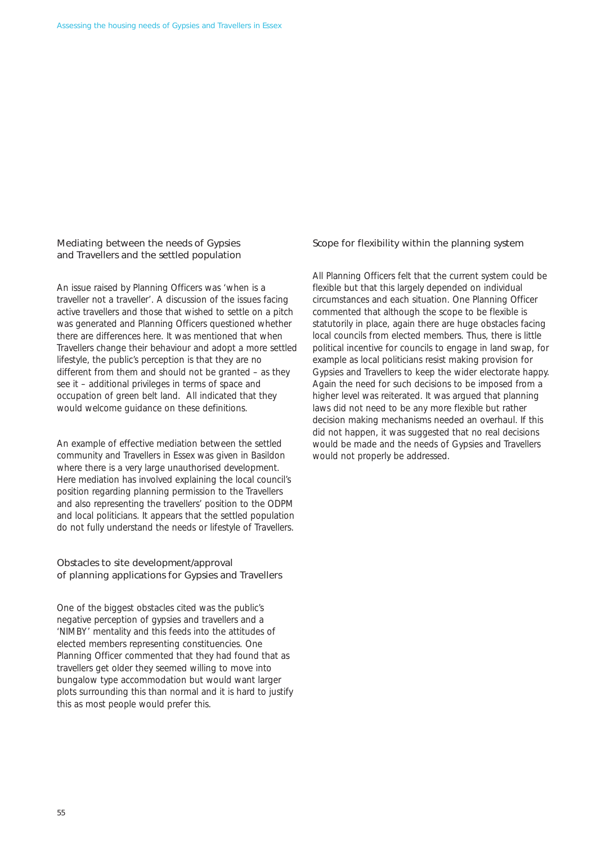### Mediating between the needs of Gypsies and Travellers and the settled population

An issue raised by Planning Officers was 'when is a traveller not a traveller'. A discussion of the issues facing active travellers and those that wished to settle on a pitch was generated and Planning Officers questioned whether there are differences here. It was mentioned that when Travellers change their behaviour and adopt a more settled lifestyle, the public's perception is that they are no different from them and should not be granted – as they see it – additional privileges in terms of space and occupation of green belt land. All indicated that they would welcome guidance on these definitions.

An example of effective mediation between the settled community and Travellers in Essex was given in Basildon where there is a very large unauthorised development. Here mediation has involved explaining the local council's position regarding planning permission to the Travellers and also representing the travellers' position to the ODPM and local politicians. It appears that the settled population do not fully understand the needs or lifestyle of Travellers.

### Obstacles to site development/approval of planning applications for Gypsies and Travellers

One of the biggest obstacles cited was the public's negative perception of gypsies and travellers and a 'NIMBY' mentality and this feeds into the attitudes of elected members representing constituencies. One Planning Officer commented that they had found that as travellers get older they seemed willing to move into bungalow type accommodation but would want larger plots surrounding this than normal and it is hard to justify this as most people would prefer this.

#### Scope for flexibility within the planning system

All Planning Officers felt that the current system could be flexible but that this largely depended on individual circumstances and each situation. One Planning Officer commented that although the scope to be flexible is statutorily in place, again there are huge obstacles facing local councils from elected members. Thus, there is little political incentive for councils to engage in land swap, for example as local politicians resist making provision for Gypsies and Travellers to keep the wider electorate happy. Again the need for such decisions to be imposed from a higher level was reiterated. It was argued that planning laws did not need to be any more flexible but rather decision making mechanisms needed an overhaul. If this did not happen, it was suggested that no real decisions would be made and the needs of Gypsies and Travellers would not properly be addressed.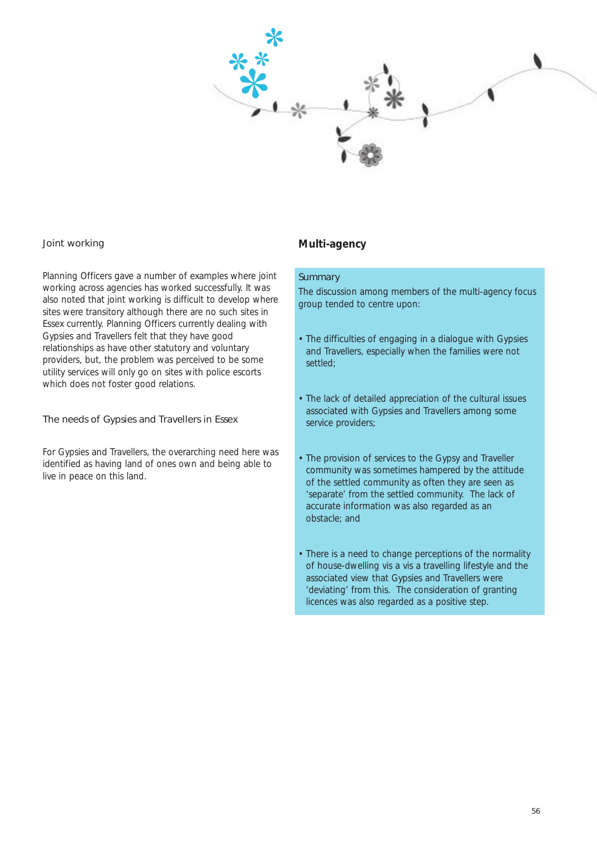

#### Joint working

Planning Officers gave a number of examples where joint working across agencies has worked successfully. It was also noted that joint working is difficult to develop where sites were transitory although there are no such sites in Essex currently. Planning Officers currently dealing with Gypsies and Travellers felt that they have good relationships as have other statutory and voluntary providers, but, the problem was perceived to be some utility services will only go on sites with police escorts which does not foster good relations.

#### The needs of Gypsies and Travellers in Essex

For Gypsies and Travellers, the overarching need here was identified as having land of ones own and being able to live in peace on this land.

# **Multi-agency**

#### **Summary**

The discussion among members of the multi-agency focus group tended to centre upon:

- The difficulties of engaging in a dialogue with Gypsies and Travellers, especially when the families were not settled;
- The lack of detailed appreciation of the cultural issues associated with Gypsies and Travellers among some service providers;
- The provision of services to the Gypsy and Traveller community was sometimes hampered by the attitude of the settled community as often they are seen as 'separate' from the settled community. The lack of accurate information was also regarded as an obstacle; and
- There is a need to change perceptions of the normality of house-dwelling vis a vis a travelling lifestyle and the associated view that Gypsies and Travellers were 'deviating' from this. The consideration of granting licences was also regarded as a positive step.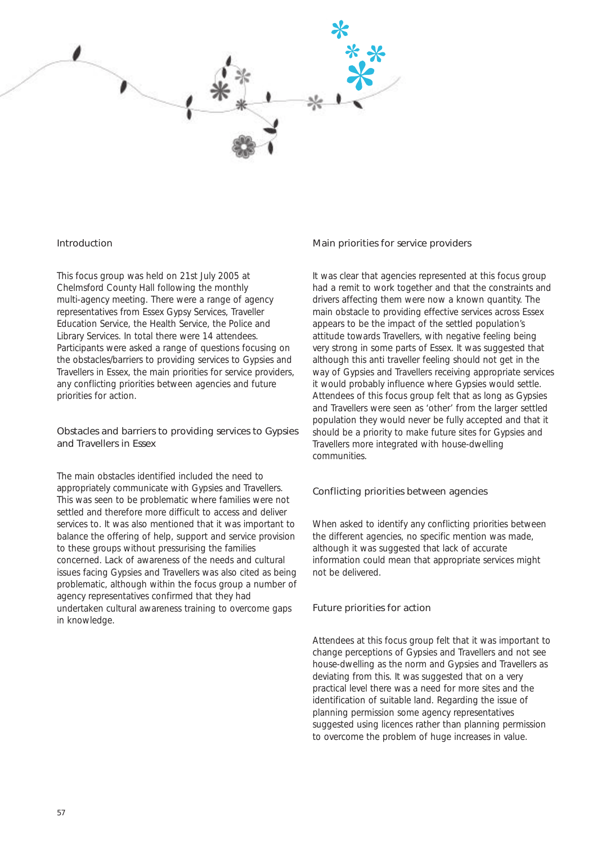

#### Introduction

This focus group was held on 21st July 2005 at Chelmsford County Hall following the monthly multi-agency meeting. There were a range of agency representatives from Essex Gypsy Services, Traveller Education Service, the Health Service, the Police and Library Services. In total there were 14 attendees. Participants were asked a range of questions focusing on the obstacles/barriers to providing services to Gypsies and Travellers in Essex, the main priorities for service providers, any conflicting priorities between agencies and future priorities for action.

### Obstacles and barriers to providing services to Gypsies and Travellers in Essex

The main obstacles identified included the need to appropriately communicate with Gypsies and Travellers. This was seen to be problematic where families were not settled and therefore more difficult to access and deliver services to. It was also mentioned that it was important to balance the offering of help, support and service provision to these groups without pressurising the families concerned. Lack of awareness of the needs and cultural issues facing Gypsies and Travellers was also cited as being problematic, although within the focus group a number of agency representatives confirmed that they had undertaken cultural awareness training to overcome gaps in knowledge.

#### Main priorities for service providers

It was clear that agencies represented at this focus group had a remit to work together and that the constraints and drivers affecting them were now a known quantity. The main obstacle to providing effective services across Essex appears to be the impact of the settled population's attitude towards Travellers, with negative feeling being very strong in some parts of Essex. It was suggested that although this anti traveller feeling should not get in the way of Gypsies and Travellers receiving appropriate services it would probably influence where Gypsies would settle. Attendees of this focus group felt that as long as Gypsies and Travellers were seen as 'other' from the larger settled population they would never be fully accepted and that it should be a priority to make future sites for Gypsies and Travellers more integrated with house-dwelling communities.

#### Conflicting priorities between agencies

When asked to identify any conflicting priorities between the different agencies, no specific mention was made, although it was suggested that lack of accurate information could mean that appropriate services might not be delivered.

#### Future priorities for action

Attendees at this focus group felt that it was important to change perceptions of Gypsies and Travellers and not see house-dwelling as the norm and Gypsies and Travellers as deviating from this. It was suggested that on a very practical level there was a need for more sites and the identification of suitable land. Regarding the issue of planning permission some agency representatives suggested using licences rather than planning permission to overcome the problem of huge increases in value.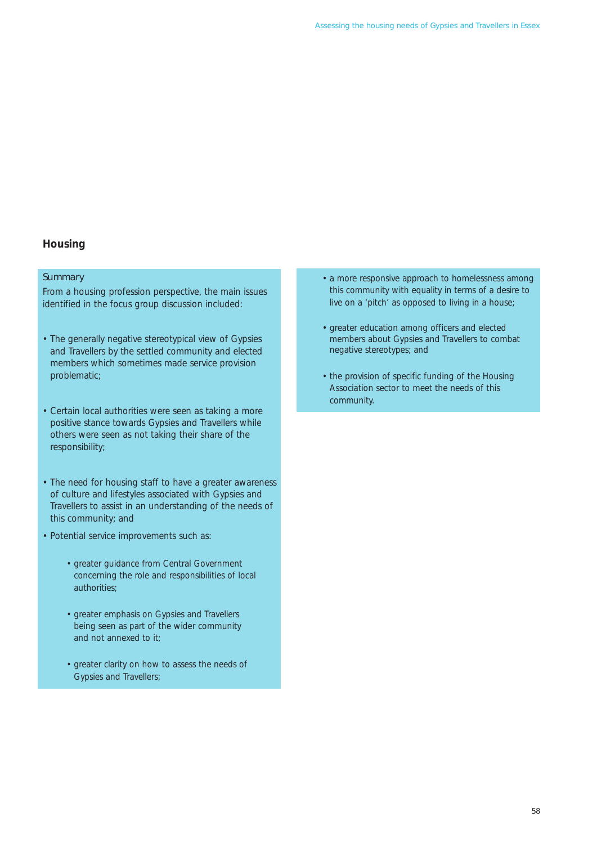# **Housing**

#### **Summary**

From a housing profession perspective, the main issues identified in the focus group discussion included:

- The generally negative stereotypical view of Gypsies and Travellers by the settled community and elected members which sometimes made service provision problematic;
- Certain local authorities were seen as taking a more positive stance towards Gypsies and Travellers while others were seen as not taking their share of the responsibility;
- The need for housing staff to have a greater awareness of culture and lifestyles associated with Gypsies and Travellers to assist in an understanding of the needs of this community; and
- Potential service improvements such as:
	- greater guidance from Central Government concerning the role and responsibilities of local authorities;
	- greater emphasis on Gypsies and Travellers being seen as part of the wider community and not annexed to it;
	- greater clarity on how to assess the needs of Gypsies and Travellers;
- a more responsive approach to homelessness among this community with equality in terms of a desire to live on a 'pitch' as opposed to living in a house;
- greater education among officers and elected members about Gypsies and Travellers to combat negative stereotypes; and
- the provision of specific funding of the Housing Association sector to meet the needs of this community.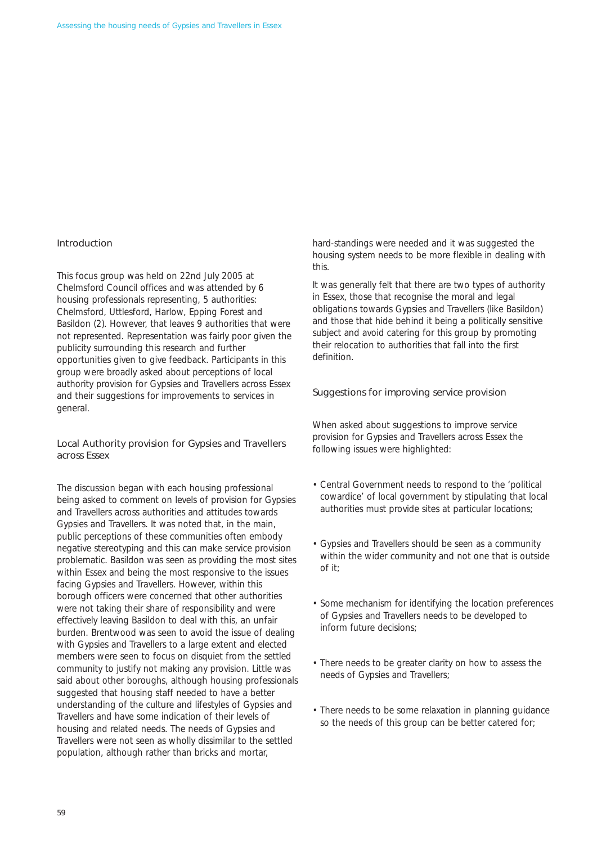#### Introduction

This focus group was held on 22nd July 2005 at Chelmsford Council offices and was attended by 6 housing professionals representing, 5 authorities: Chelmsford, Uttlesford, Harlow, Epping Forest and Basildon (2). However, that leaves 9 authorities that were not represented. Representation was fairly poor given the publicity surrounding this research and further opportunities given to give feedback. Participants in this group were broadly asked about perceptions of local authority provision for Gypsies and Travellers across Essex and their suggestions for improvements to services in general.

# Local Authority provision for Gypsies and Travellers across Essex

The discussion began with each housing professional being asked to comment on levels of provision for Gypsies and Travellers across authorities and attitudes towards Gypsies and Travellers. It was noted that, in the main, public perceptions of these communities often embody negative stereotyping and this can make service provision problematic. Basildon was seen as providing the most sites within Essex and being the most responsive to the issues facing Gypsies and Travellers. However, within this borough officers were concerned that other authorities were not taking their share of responsibility and were effectively leaving Basildon to deal with this, an unfair burden. Brentwood was seen to avoid the issue of dealing with Gypsies and Travellers to a large extent and elected members were seen to focus on disquiet from the settled community to justify not making any provision. Little was said about other boroughs, although housing professionals suggested that housing staff needed to have a better understanding of the culture and lifestyles of Gypsies and Travellers and have some indication of their levels of housing and related needs. The needs of Gypsies and Travellers were not seen as wholly dissimilar to the settled population, although rather than bricks and mortar,

hard-standings were needed and it was suggested the housing system needs to be more flexible in dealing with this.

It was generally felt that there are two types of authority in Essex, those that recognise the moral and legal obligations towards Gypsies and Travellers (like Basildon) and those that hide behind it being a politically sensitive subject and avoid catering for this group by promoting their relocation to authorities that fall into the first definition.

#### Suggestions for improving service provision

When asked about suggestions to improve service provision for Gypsies and Travellers across Essex the following issues were highlighted:

- Central Government needs to respond to the 'political cowardice' of local government by stipulating that local authorities must provide sites at particular locations;
- Gypsies and Travellers should be seen as a community within the wider community and not one that is outside of it;
- Some mechanism for identifying the location preferences of Gypsies and Travellers needs to be developed to inform future decisions;
- There needs to be greater clarity on how to assess the needs of Gypsies and Travellers;
- There needs to be some relaxation in planning guidance so the needs of this group can be better catered for;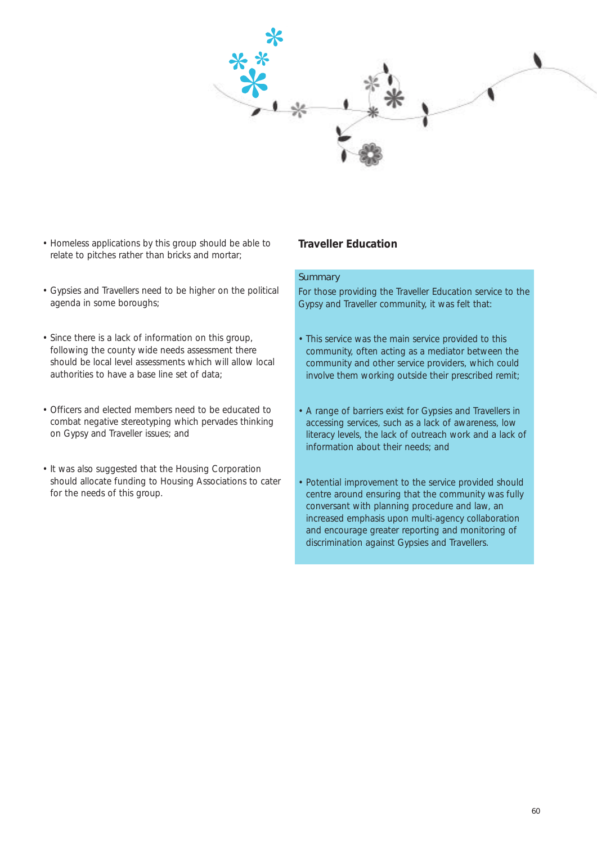

- Homeless applications by this group should be able to relate to pitches rather than bricks and mortar;
- Gypsies and Travellers need to be higher on the political agenda in some boroughs;
- Since there is a lack of information on this group, following the county wide needs assessment there should be local level assessments which will allow local authorities to have a base line set of data;
- Officers and elected members need to be educated to combat negative stereotyping which pervades thinking on Gypsy and Traveller issues; and
- It was also suggested that the Housing Corporation should allocate funding to Housing Associations to cater for the needs of this group.

# **Traveller Education**

#### **Summary**

For those providing the Traveller Education service to the Gypsy and Traveller community, it was felt that:

- This service was the main service provided to this community, often acting as a mediator between the community and other service providers, which could involve them working outside their prescribed remit;
- A range of barriers exist for Gypsies and Travellers in accessing services, such as a lack of awareness, low literacy levels, the lack of outreach work and a lack of information about their needs; and
- Potential improvement to the service provided should centre around ensuring that the community was fully conversant with planning procedure and law, an increased emphasis upon multi-agency collaboration and encourage greater reporting and monitoring of discrimination against Gypsies and Travellers.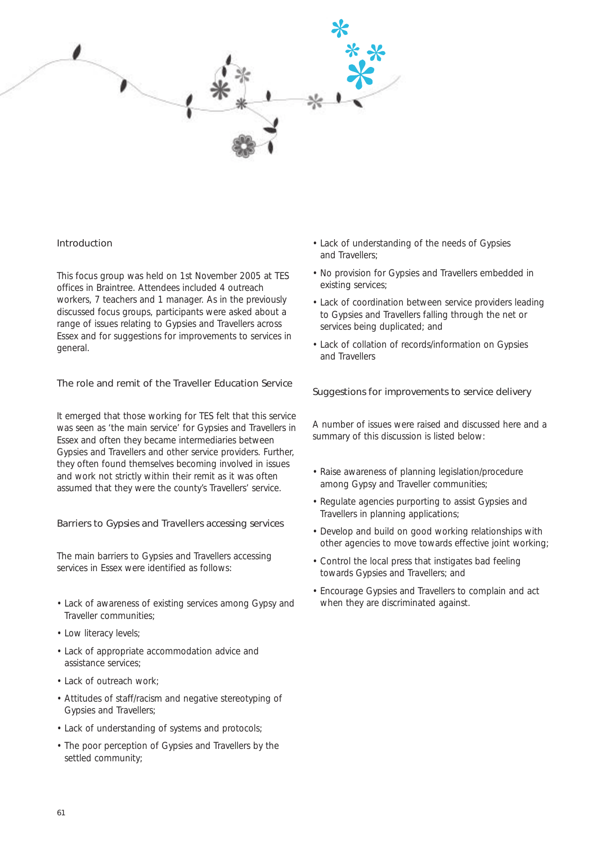

#### Introduction

This focus group was held on 1st November 2005 at TES offices in Braintree. Attendees included 4 outreach workers, 7 teachers and 1 manager. As in the previously discussed focus groups, participants were asked about a range of issues relating to Gypsies and Travellers across Essex and for suggestions for improvements to services in general.

# The role and remit of the Traveller Education Service

It emerged that those working for TES felt that this service was seen as 'the main service' for Gypsies and Travellers in Essex and often they became intermediaries between Gypsies and Travellers and other service providers. Further, they often found themselves becoming involved in issues and work not strictly within their remit as it was often assumed that they were the county's Travellers' service.

#### Barriers to Gypsies and Travellers accessing services

The main barriers to Gypsies and Travellers accessing services in Essex were identified as follows:

- Lack of awareness of existing services among Gypsy and Traveller communities;
- Low literacy levels;
- Lack of appropriate accommodation advice and assistance services;
- Lack of outreach work:
- Attitudes of staff/racism and negative stereotyping of Gypsies and Travellers;
- Lack of understanding of systems and protocols;
- The poor perception of Gypsies and Travellers by the settled community;
- Lack of understanding of the needs of Gypsies and Travellers;
- No provision for Gypsies and Travellers embedded in existing services;
- Lack of coordination between service providers leading to Gypsies and Travellers falling through the net or services being duplicated; and
- Lack of collation of records/information on Gypsies and Travellers

#### Suggestions for improvements to service delivery

A number of issues were raised and discussed here and a summary of this discussion is listed below:

- Raise awareness of planning legislation/procedure among Gypsy and Traveller communities;
- Regulate agencies purporting to assist Gypsies and Travellers in planning applications;
- Develop and build on good working relationships with other agencies to move towards effective joint working;
- Control the local press that instigates bad feeling towards Gypsies and Travellers; and
- Encourage Gypsies and Travellers to complain and act when they are discriminated against.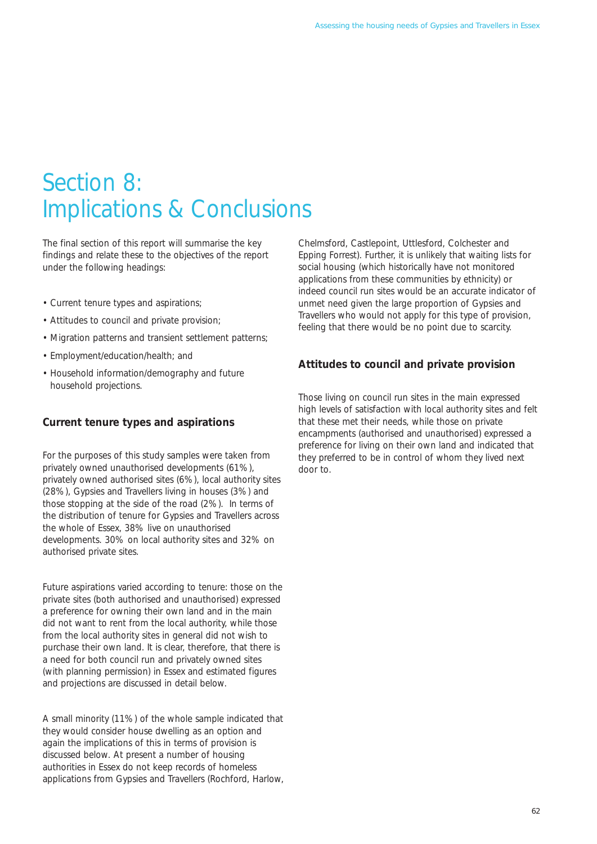# Section 8: Implications & Conclusions

The final section of this report will summarise the key findings and relate these to the objectives of the report under the following headings:

- Current tenure types and aspirations;
- Attitudes to council and private provision;
- Migration patterns and transient settlement patterns;
- Employment/education/health; and
- Household information/demography and future household projections.

# **Current tenure types and aspirations**

For the purposes of this study samples were taken from privately owned unauthorised developments (61%), privately owned authorised sites (6%), local authority sites (28%), Gypsies and Travellers living in houses (3%) and those stopping at the side of the road (2%). In terms of the distribution of tenure for Gypsies and Travellers across the whole of Essex, 38% live on unauthorised developments. 30% on local authority sites and 32% on authorised private sites.

Future aspirations varied according to tenure: those on the private sites (both authorised and unauthorised) expressed a preference for owning their own land and in the main did not want to rent from the local authority, while those from the local authority sites in general did not wish to purchase their own land. It is clear, therefore, that there is a need for both council run and privately owned sites (with planning permission) in Essex and estimated figures and projections are discussed in detail below.

A small minority (11%) of the whole sample indicated that they would consider house dwelling as an option and again the implications of this in terms of provision is discussed below. At present a number of housing authorities in Essex do not keep records of homeless applications from Gypsies and Travellers (Rochford, Harlow, Chelmsford, Castlepoint, Uttlesford, Colchester and Epping Forrest). Further, it is unlikely that waiting lists for social housing (which historically have not monitored applications from these communities by ethnicity) or indeed council run sites would be an accurate indicator of unmet need given the large proportion of Gypsies and Travellers who would not apply for this type of provision, feeling that there would be no point due to scarcity.

# **Attitudes to council and private provision**

Those living on council run sites in the main expressed high levels of satisfaction with local authority sites and felt that these met their needs, while those on private encampments (authorised and unauthorised) expressed a preference for living on their own land and indicated that they preferred to be in control of whom they lived next door to.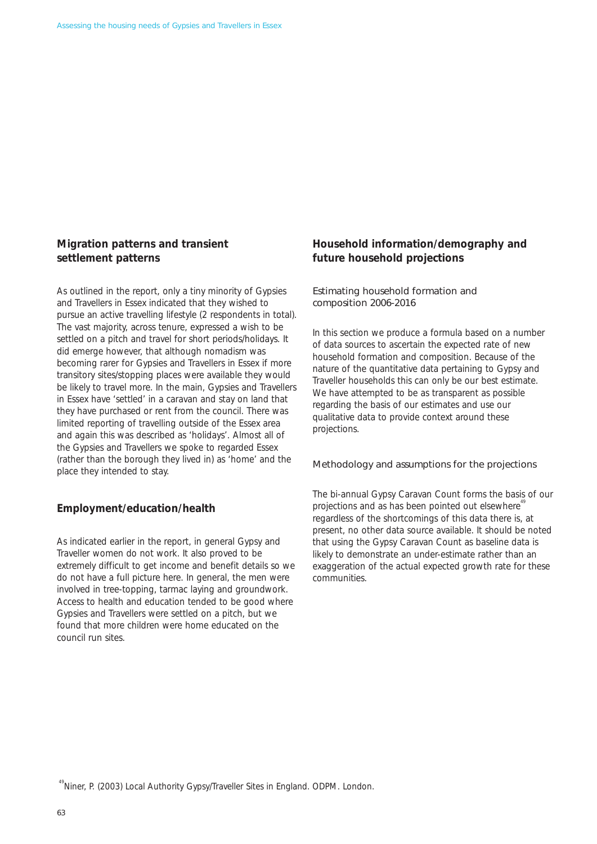# **Migration patterns and transient settlement patterns**

As outlined in the report, only a tiny minority of Gypsies and Travellers in Essex indicated that they wished to pursue an active travelling lifestyle (2 respondents in total). The vast majority, across tenure, expressed a wish to be settled on a pitch and travel for short periods/holidays. It did emerge however, that although nomadism was becoming rarer for Gypsies and Travellers in Essex if more transitory sites/stopping places were available they would be likely to travel more. In the main, Gypsies and Travellers in Essex have 'settled' in a caravan and stay on land that they have purchased or rent from the council. There was limited reporting of travelling outside of the Essex area and again this was described as 'holidays'. Almost all of the Gypsies and Travellers we spoke to regarded Essex (rather than the borough they lived in) as 'home' and the place they intended to stay.

# **Employment/education/health**

As indicated earlier in the report, in general Gypsy and Traveller women do not work. It also proved to be extremely difficult to get income and benefit details so we do not have a full picture here. In general, the men were involved in tree-topping, tarmac laying and groundwork. Access to health and education tended to be good where Gypsies and Travellers were settled on a pitch, but we found that more children were home educated on the council run sites.

# **Household information/demography and future household projections**

# Estimating household formation and composition 2006-2016

In this section we produce a formula based on a number of data sources to ascertain the expected rate of new household formation and composition. Because of the nature of the quantitative data pertaining to Gypsy and Traveller households this can only be our best estimate. We have attempted to be as transparent as possible regarding the basis of our estimates and use our qualitative data to provide context around these projections.

#### Methodology and assumptions for the projections

The bi-annual Gypsy Caravan Count forms the basis of our projections and as has been pointed out elsewhere<sup>4</sup> regardless of the shortcomings of this data there is, at present, no other data source available. It should be noted that using the Gypsy Caravan Count as baseline data is likely to demonstrate an under-estimate rather than an exaggeration of the actual expected growth rate for these communities.

<sup>&</sup>lt;sup>49</sup>Niner, P. (2003) Local Authority Gypsy/Traveller Sites in England. ODPM. London.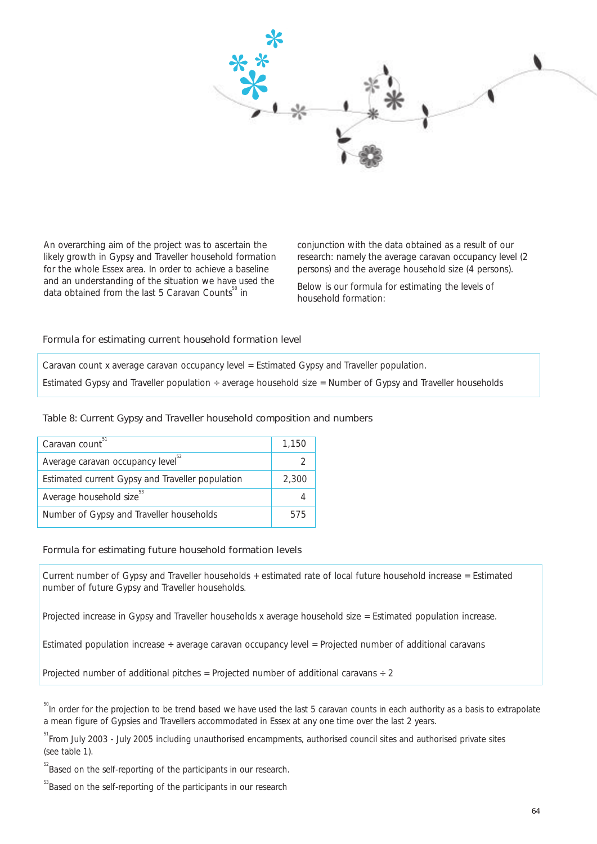

An overarching aim of the project was to ascertain the conjunction with the data obtained as a result of our likely growth in Gypsy and Traveller household formation research: namely the average caravan occupancy level (2<br>
for the whole Essex area. In order to achieve a baseline persons) and the average household size (4 persons) for the whole Essex area. In order to achieve a baseline and an understanding of the situation we have used the

and an understanding of the situation we have used the Below is our formula for estimating the levels of data obtained from the last 5 Caravan Counts<sup>60</sup> in household formation:

#### Formula for estimating current household formation level

Caravan count x average caravan occupancy level = Estimated Gypsy and Traveller population.

Estimated Gypsy and Traveller population ÷ average household size = Number of Gypsy and Traveller households

#### Table 8: Current Gypsy and Traveller household composition and numbers

| Caravan count <sup>51</sup>                      | 1,150 |
|--------------------------------------------------|-------|
| Average caravan occupancy level <sup>32</sup>    |       |
| Estimated current Gypsy and Traveller population | 2,300 |
| Average household size <sup>53</sup>             |       |
| Number of Gypsy and Traveller households         | 575   |

#### Formula for estimating future household formation levels

Current number of Gypsy and Traveller households + estimated rate of local future household increase = Estimated number of future Gypsy and Traveller households.

Projected increase in Gypsy and Traveller households x average household size = Estimated population increase.

Estimated population increase ÷ average caravan occupancy level = Projected number of additional caravans

Projected number of additional pitches = Projected number of additional caravans  $\div$  2

<sup>50</sup>In order for the projection to be trend based we have used the last 5 caravan counts in each authority as a basis to extrapolate a mean figure of Gypsies and Travellers accommodated in Essex at any one time over the last 2 years.

<sup>51</sup> From July 2003 - July 2005 including unauthorised encampments, authorised council sites and authorised private sites (see table 1).

<sup>52</sup> Based on the self-reporting of the participants in our research.

<sup>&</sup>lt;sup>53</sup> Based on the self-reporting of the participants in our research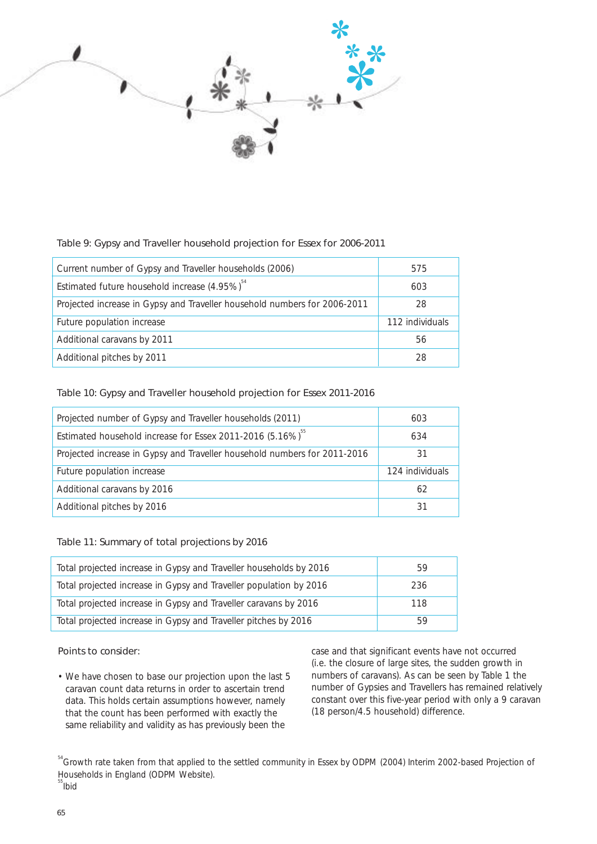

# Table 9: Gypsy and Traveller household projection for Essex for 2006-2011

| Current number of Gypsy and Traveller households (2006)                   | 575             |
|---------------------------------------------------------------------------|-----------------|
| Estimated future household increase $(4.95\%)^{\frac{54}{}}$              | 603             |
| Projected increase in Gypsy and Traveller household numbers for 2006-2011 | 28              |
| Future population increase                                                | 112 individuals |
| Additional caravans by 2011                                               | 56              |
| Additional pitches by 2011                                                | 28              |

# Table 10: Gypsy and Traveller household projection for Essex 2011-2016

| Projected number of Gypsy and Traveller households (2011)                 | 603             |
|---------------------------------------------------------------------------|-----------------|
| Estimated household increase for Essex 2011-2016 (5.16%) <sup>55</sup>    | 634             |
| Projected increase in Gypsy and Traveller household numbers for 2011-2016 | 31              |
| Future population increase                                                | 124 individuals |
| Additional caravans by 2016                                               | 62              |
| Additional pitches by 2016                                                | 31              |

# Table 11: Summary of total projections by 2016

| Total projected increase in Gypsy and Traveller households by 2016 | 59  |
|--------------------------------------------------------------------|-----|
| Total projected increase in Gypsy and Traveller population by 2016 | 236 |
| Total projected increase in Gypsy and Traveller caravans by 2016   | 118 |
| Total projected increase in Gypsy and Traveller pitches by 2016    | 59  |

data. This holds certain assumptions however, namely constant over this five-year period with that the count has been performed with exactly the (18 person/4.5 household) difference. that the count has been performed with exactly the same reliability and validity as has previously been the

**Points to consider: case and that significant events have not occurred** (i.e. the closure of large sites, the sudden growth in • We have chosen to base our projection upon the last 5 numbers of caravans). As can be seen by Table 1 the caravan count data returns in order to ascertain trend number of Gypsies and Travellers has remained relatively caravan count data returns in order to ascertain trend number of Gypsies and Travellers has remained relatively<br>data. This holds certain assumptions however, namely constant over this five-year period with only a 9 caravan

<sup>54</sup> Growth rate taken from that applied to the settled community in Essex by ODPM (2004) Interim 2002-based Projection of Households in England (ODPM Website).

 $55$ lbid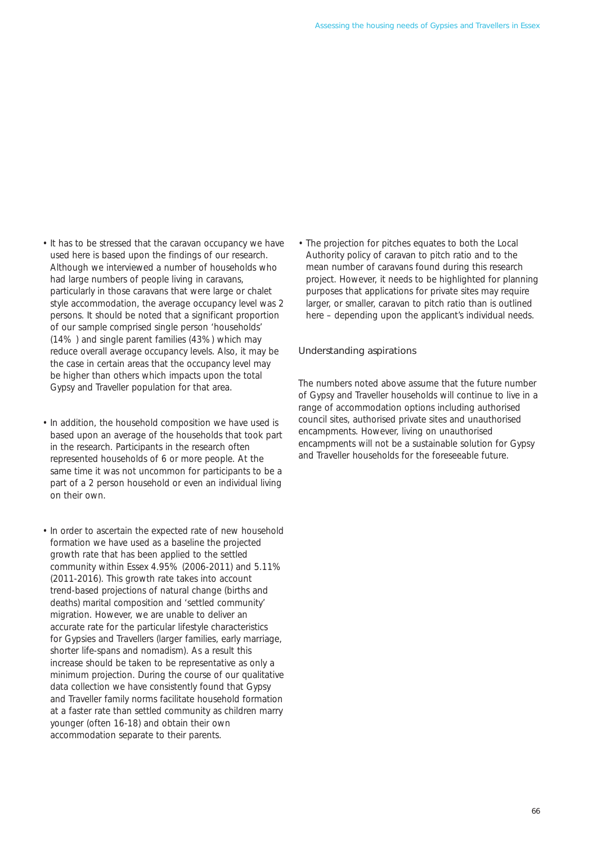- It has to be stressed that the caravan occupancy we have used here is based upon the findings of our research. Although we interviewed a number of households who had large numbers of people living in caravans, particularly in those caravans that were large or chalet style accommodation, the average occupancy level was 2 persons. It should be noted that a significant proportion of our sample comprised single person 'households' (14% ) and single parent families (43%) which may reduce overall average occupancy levels. Also, it may be the case in certain areas that the occupancy level may be higher than others which impacts upon the total Gypsy and Traveller population for that area.
- In addition, the household composition we have used is based upon an average of the households that took part in the research. Participants in the research often represented households of 6 or more people. At the same time it was not uncommon for participants to be a part of a 2 person household or even an individual living on their own.
- In order to ascertain the expected rate of new household formation we have used as a baseline the projected growth rate that has been applied to the settled community within Essex 4.95% (2006-2011) and 5.11% (2011-2016). This growth rate takes into account trend-based projections of natural change (births and deaths) marital composition and 'settled community' migration. However, we are unable to deliver an accurate rate for the particular lifestyle characteristics for Gypsies and Travellers (larger families, early marriage, shorter life-spans and nomadism). As a result this increase should be taken to be representative as only a minimum projection. During the course of our qualitative data collection we have consistently found that Gypsy and Traveller family norms facilitate household formation at a faster rate than settled community as children marry younger (often 16-18) and obtain their own accommodation separate to their parents.

• The projection for pitches equates to both the Local Authority policy of caravan to pitch ratio and to the mean number of caravans found during this research project. However, it needs to be highlighted for planning purposes that applications for private sites may require larger, or smaller, caravan to pitch ratio than is outlined here – depending upon the applicant's individual needs.

#### Understanding aspirations

The numbers noted above assume that the future number of Gypsy and Traveller households will continue to live in a range of accommodation options including authorised council sites, authorised private sites and unauthorised encampments. However, living on unauthorised encampments will not be a sustainable solution for Gypsy and Traveller households for the foreseeable future.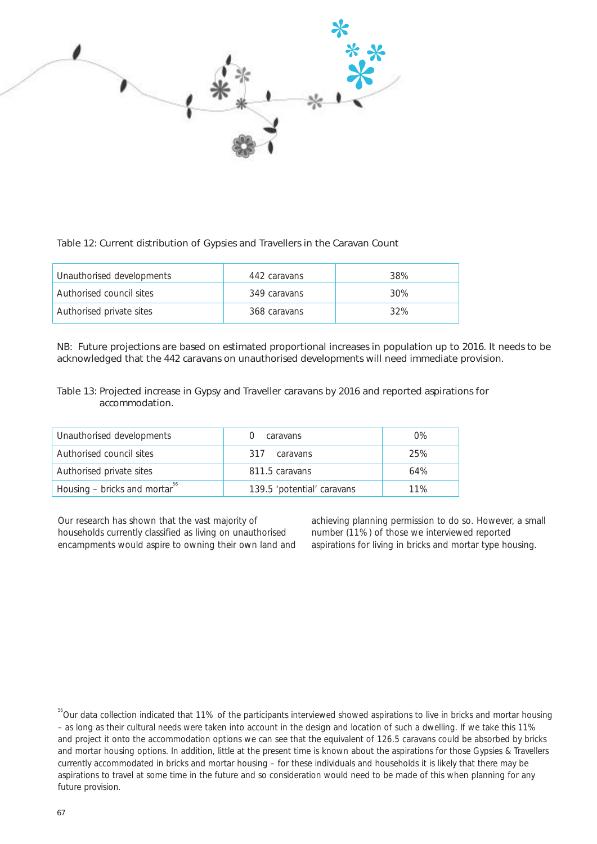

# Table 12: Current distribution of Gypsies and Travellers in the Caravan Count

| Unauthorised developments | 442 caravans | 38% |
|---------------------------|--------------|-----|
| Authorised council sites  | 349 caravans | 30% |
| Authorised private sites  | 368 caravans | 32% |

NB: Future projections are based on estimated proportional increases in population up to 2016. It needs to be acknowledged that the 442 caravans on unauthorised developments will need immediate provision.

# Table 13: Projected increase in Gypsy and Traveller caravans by 2016 and reported aspirations for accommodation.

| Unauthorised developments                 | caravans                   | $0\%$ |
|-------------------------------------------|----------------------------|-------|
| Authorised council sites                  | 317<br>caravans            | 25%   |
| Authorised private sites                  | 811.5 caravans             | 64%   |
| Housing – bricks and mortar <sup>30</sup> | 139.5 'potential' caravans | 11%   |

Our research has shown that the vast majority of achieving planning permission to do so. However, a small<br>households currently classified as living on unauthorised number (11%) of those we interviewed reported households currently classified as living on unauthorised number (11%) of those we interviewed reported<br>encampments would aspire to owning their own land and aspirations for living in bricks and mortar type housing. encampments would aspire to owning their own land and

<sup>&</sup>lt;sup>56</sup>Our data collection indicated that 11% of the participants interviewed showed aspirations to live in bricks and mortar housing – as long as their cultural needs were taken into account in the design and location of such a dwelling. If we take this 11% and project it onto the accommodation options we can see that the equivalent of 126.5 caravans could be absorbed by bricks and mortar housing options. In addition, little at the present time is known about the aspirations for those Gypsies & Travellers currently accommodated in bricks and mortar housing – for these individuals and households it is likely that there may be aspirations to travel at some time in the future and so consideration would need to be made of this when planning for any future provision.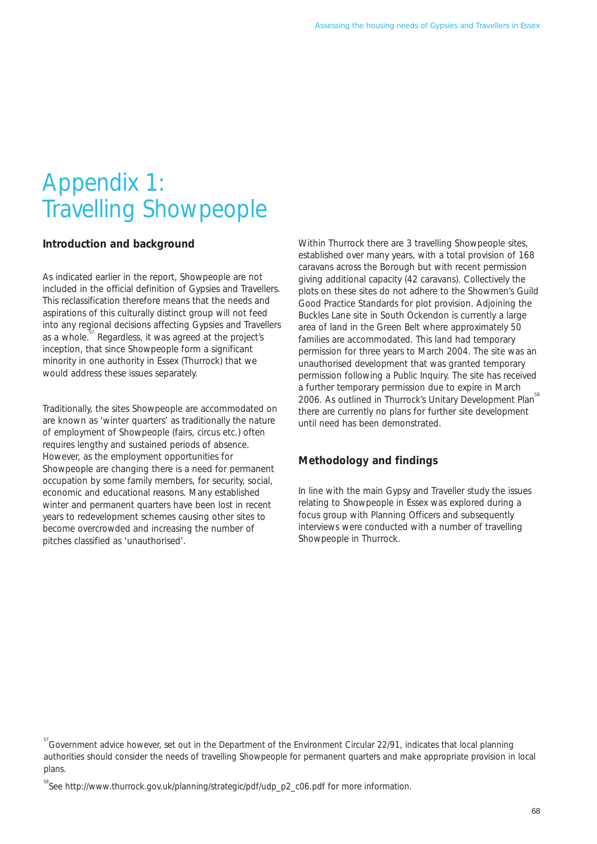# Appendix 1: Travelling Showpeople

# **Introduction and background**

As indicated earlier in the report, Showpeople are not included in the official definition of Gypsies and Travellers. This reclassification therefore means that the needs and aspirations of this culturally distinct group will not feed into any regional decisions affecting Gypsies and Travellers as a whole.<sup>57</sup> Regardless, it was agreed at the project's inception, that since Showpeople form a significant minority in one authority in Essex (Thurrock) that we would address these issues separately.

Traditionally, the sites Showpeople are accommodated on are known as 'winter quarters' as traditionally the nature of employment of Showpeople (fairs, circus etc.) often requires lengthy and sustained periods of absence. However, as the employment opportunities for Showpeople are changing there is a need for permanent occupation by some family members, for security, social, economic and educational reasons. Many established winter and permanent quarters have been lost in recent years to redevelopment schemes causing other sites to become overcrowded and increasing the number of pitches classified as 'unauthorised'.

Within Thurrock there are 3 travelling Showpeople sites, established over many years, with a total provision of 168 caravans across the Borough but with recent permission giving additional capacity (42 caravans). Collectively the plots on these sites do not adhere to the Showmen's Guild Good Practice Standards for plot provision. Adjoining the Buckles Lane site in South Ockendon is currently a large area of land in the Green Belt where approximately 50 families are accommodated. This land had temporary permission for three years to March 2004. The site was an unauthorised development that was granted temporary permission following a Public Inquiry. The site has received a further temporary permission due to expire in March 2006. As outlined in Thurrock's Unitary Development Plan<sup>58</sup> there are currently no plans for further site development until need has been demonstrated.

# **Methodology and findings**

In line with the main Gypsy and Traveller study the issues relating to Showpeople in Essex was explored during a focus group with Planning Officers and subsequently interviews were conducted with a number of travelling Showpeople in Thurrock.

<sup>&</sup>lt;sup>57</sup> Government advice however, set out in the Department of the Environment Circular 22/91, indicates that local planning authorities should consider the needs of travelling Showpeople for permanent quarters and make appropriate provision in local plans.

<sup>&</sup>lt;sup>58</sup>See http://www.thurrock.gov.uk/planning/strategic/pdf/udp\_p2\_c06.pdf for more information.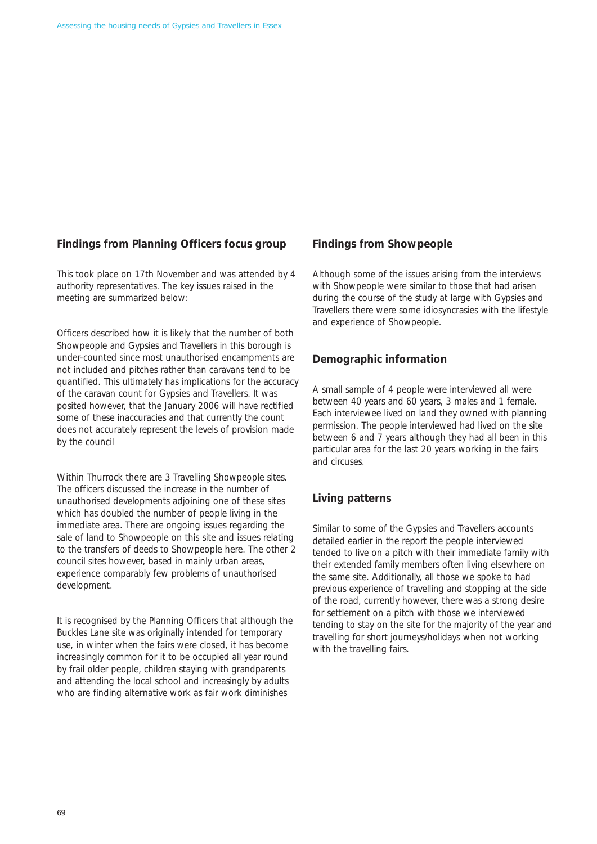# **Findings from Planning Officers focus group**

This took place on 17th November and was attended by 4 authority representatives. The key issues raised in the meeting are summarized below:

Officers described how it is likely that the number of both Showpeople and Gypsies and Travellers in this borough is under-counted since most unauthorised encampments are not included and pitches rather than caravans tend to be quantified. This ultimately has implications for the accuracy of the caravan count for Gypsies and Travellers. It was posited however, that the January 2006 will have rectified some of these inaccuracies and that currently the count does not accurately represent the levels of provision made by the council

Within Thurrock there are 3 Travelling Showpeople sites. The officers discussed the increase in the number of unauthorised developments adjoining one of these sites which has doubled the number of people living in the immediate area. There are ongoing issues regarding the sale of land to Showpeople on this site and issues relating to the transfers of deeds to Showpeople here. The other 2 council sites however, based in mainly urban areas, experience comparably few problems of unauthorised development.

It is recognised by the Planning Officers that although the Buckles Lane site was originally intended for temporary use, in winter when the fairs were closed, it has become increasingly common for it to be occupied all year round by frail older people, children staying with grandparents and attending the local school and increasingly by adults who are finding alternative work as fair work diminishes

### **Findings from Showpeople**

Although some of the issues arising from the interviews with Showpeople were similar to those that had arisen during the course of the study at large with Gypsies and Travellers there were some idiosyncrasies with the lifestyle and experience of Showpeople.

# **Demographic information**

A small sample of 4 people were interviewed all were between 40 years and 60 years, 3 males and 1 female. Each interviewee lived on land they owned with planning permission. The people interviewed had lived on the site between 6 and 7 years although they had all been in this particular area for the last 20 years working in the fairs and circuses.

# **Living patterns**

Similar to some of the Gypsies and Travellers accounts detailed earlier in the report the people interviewed tended to live on a pitch with their immediate family with their extended family members often living elsewhere on the same site. Additionally, all those we spoke to had previous experience of travelling and stopping at the side of the road, currently however, there was a strong desire for settlement on a pitch with those we interviewed tending to stay on the site for the majority of the year and travelling for short journeys/holidays when not working with the travelling fairs.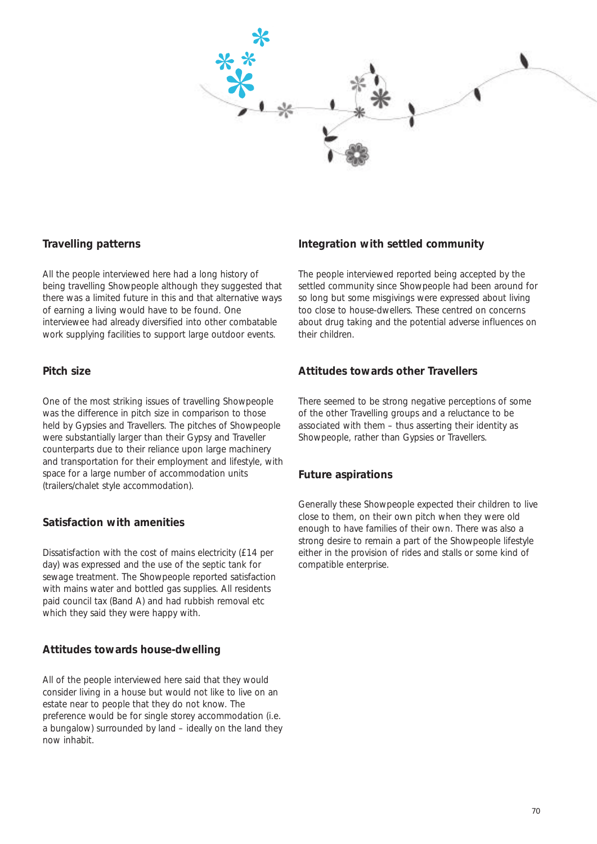

# **Travelling patterns**

All the people interviewed here had a long history of being travelling Showpeople although they suggested that there was a limited future in this and that alternative ways of earning a living would have to be found. One interviewee had already diversified into other combatable work supplying facilities to support large outdoor events.

# **Pitch size**

One of the most striking issues of travelling Showpeople was the difference in pitch size in comparison to those held by Gypsies and Travellers. The pitches of Showpeople were substantially larger than their Gypsy and Traveller counterparts due to their reliance upon large machinery and transportation for their employment and lifestyle, with space for a large number of accommodation units (trailers/chalet style accommodation).

# **Satisfaction with amenities**

Dissatisfaction with the cost of mains electricity (£14 per day) was expressed and the use of the septic tank for sewage treatment. The Showpeople reported satisfaction with mains water and bottled gas supplies. All residents paid council tax (Band A) and had rubbish removal etc which they said they were happy with.

# **Attitudes towards house-dwelling**

All of the people interviewed here said that they would consider living in a house but would not like to live on an estate near to people that they do not know. The preference would be for single storey accommodation (i.e. a bungalow) surrounded by land – ideally on the land they now inhabit.

# **Integration with settled community**

The people interviewed reported being accepted by the settled community since Showpeople had been around for so long but some misgivings were expressed about living too close to house-dwellers. These centred on concerns about drug taking and the potential adverse influences on their children.

# **Attitudes towards other Travellers**

There seemed to be strong negative perceptions of some of the other Travelling groups and a reluctance to be associated with them – thus asserting their identity as Showpeople, rather than Gypsies or Travellers.

# **Future aspirations**

Generally these Showpeople expected their children to live close to them, on their own pitch when they were old enough to have families of their own. There was also a strong desire to remain a part of the Showpeople lifestyle either in the provision of rides and stalls or some kind of compatible enterprise.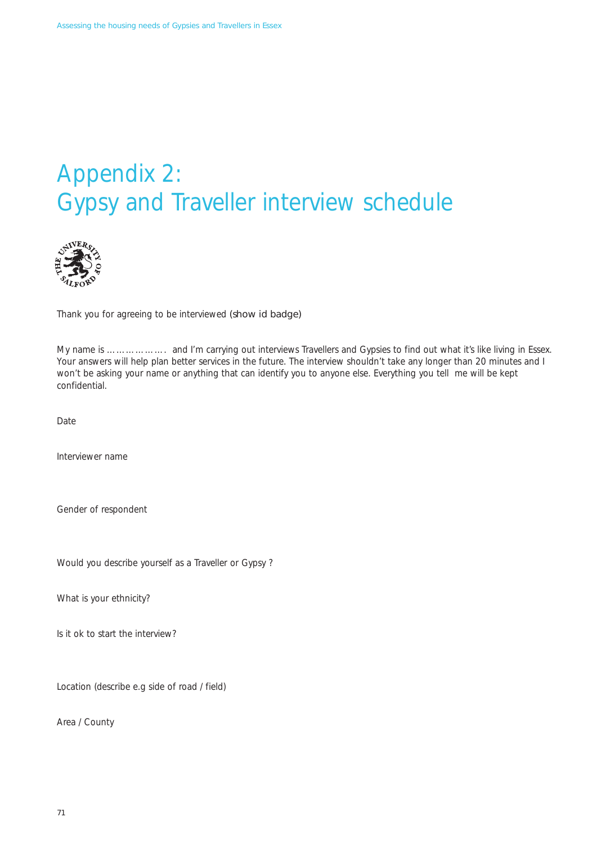# Appendix 2: Gypsy and Traveller interview schedule



Thank you for agreeing to be interviewed (show id badge)

My name is ………………. and I'm carrying out interviews Travellers and Gypsies to find out what it's like living in Essex. Your answers will help plan better services in the future. The interview shouldn't take any longer than 20 minutes and I won't be asking your name or anything that can identify you to anyone else. Everything you tell me will be kept confidential.

Date

Interviewer name

Gender of respondent

Would you describe yourself as a Traveller or Gypsy ?

What is your ethnicity?

Is it ok to start the interview?

Location (describe e.g side of road / field)

Area / County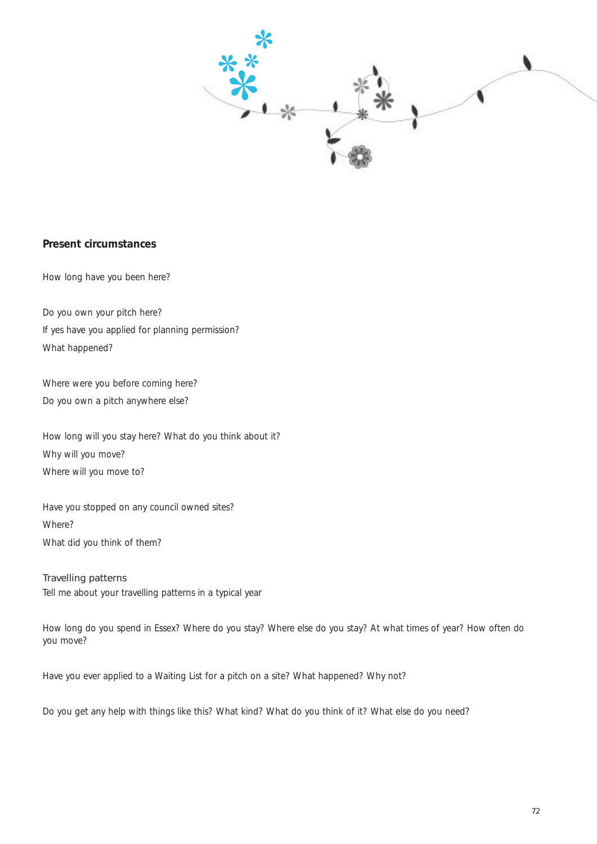

#### **Present circumstances**

How long have you been here?

Do you own your pitch here? If yes have you applied for planning permission? What happened?

Where were you before coming here? Do you own a pitch anywhere else?

How long will you stay here? What do you think about it? Why will you move? Where will you move to?

Have you stopped on any council owned sites? Where? What did you think of them?

#### Travelling patterns Tell me about your travelling patterns in a typical year

How long do you spend in Essex? Where do you stay? Where else do you stay? At what times of year? How often do you move?

Have you ever applied to a Waiting List for a pitch on a site? What happened? Why not?

Do you get any help with things like this? What kind? What do you think of it? What else do you need?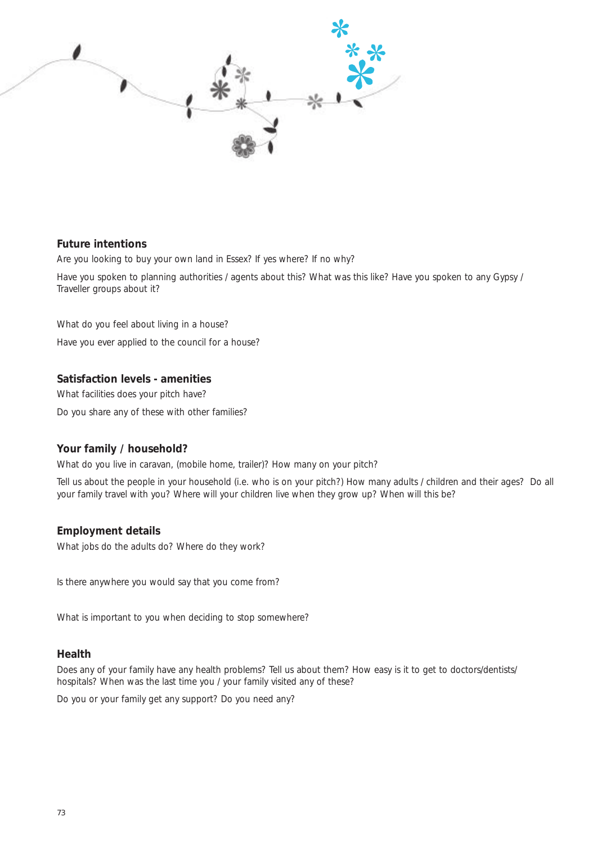

#### **Future intentions**

Are you looking to buy your own land in Essex? If yes where? If no why?

Have you spoken to planning authorities / agents about this? What was this like? Have you spoken to any Gypsy / Traveller groups about it?

What do you feel about living in a house? Have you ever applied to the council for a house?

#### **Satisfaction levels - amenities**

What facilities does your pitch have? Do you share any of these with other families?

## **Your family / household?**

What do you live in caravan, (mobile home, trailer)? How many on your pitch?

Tell us about the people in your household (i.e. who is on your pitch?) How many adults / children and their ages? Do all your family travel with you? Where will your children live when they grow up? When will this be?

#### **Employment details**

What jobs do the adults do? Where do they work?

Is there anywhere you would say that you come from?

What is important to you when deciding to stop somewhere?

#### **Health**

Does any of your family have any health problems? Tell us about them? How easy is it to get to doctors/dentists/ hospitals? When was the last time you / your family visited any of these?

Do you or your family get any support? Do you need any?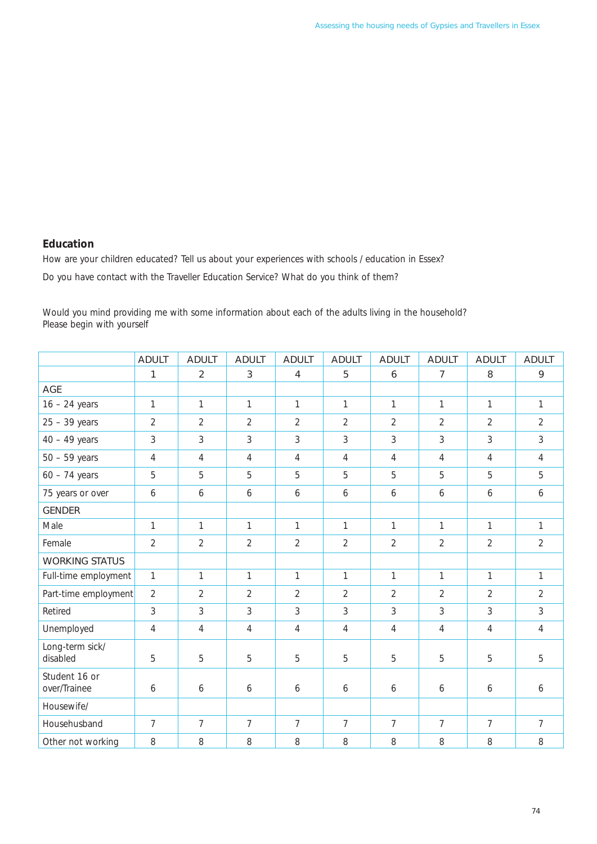### **Education**

How are your children educated? Tell us about your experiences with schools / education in Essex? Do you have contact with the Traveller Education Service? What do you think of them?

Would you mind providing me with some information about each of the adults living in the household? Please begin with yourself

|                               | <b>ADULT</b>   | <b>ADULT</b>   | <b>ADULT</b>     | <b>ADULT</b>   | <b>ADULT</b>   | <b>ADULT</b>   | <b>ADULT</b>   | <b>ADULT</b>   | <b>ADULT</b>   |
|-------------------------------|----------------|----------------|------------------|----------------|----------------|----------------|----------------|----------------|----------------|
|                               | 1              | 2              | $\mathbf{3}$     | 4              | 5              | 6              | 7              | 8              | 9              |
| AGE                           |                |                |                  |                |                |                |                |                |                |
| $16 - 24$ years               | $\mathbf{1}$   | $\mathbf{1}$   | $\mathbf{1}$     | $\mathbf{1}$   | $\mathbf{1}$   | $\mathbf{1}$   | $\mathbf{1}$   | $\mathbf{1}$   | $\mathbf{1}$   |
| $25 - 39$ years               | $\overline{2}$ | $\overline{2}$ | $\overline{2}$   | $\overline{2}$ | $\overline{2}$ | $\overline{2}$ | $\overline{2}$ | $\overline{2}$ | $\overline{2}$ |
| $40 - 49$ years               | 3              | 3              | $\mathfrak{Z}$   | 3              | 3              | 3              | 3              | 3              | 3              |
| $50 - 59$ years               | $\overline{4}$ | $\overline{4}$ | $\overline{4}$   | $\overline{4}$ | $\overline{4}$ | $\overline{4}$ | $\overline{4}$ | $\overline{4}$ | $\overline{4}$ |
| $60 - 74$ years               | 5              | 5              | 5                | 5              | 5              | 5              | 5              | 5              | 5              |
| 75 years or over              | 6              | 6              | $\boldsymbol{6}$ | 6              | 6              | 6              | 6              | 6              | 6              |
| <b>GENDER</b>                 |                |                |                  |                |                |                |                |                |                |
| Male                          | $\mathbf{1}$   | $\mathbf{1}$   | $\mathbf{1}$     | $\mathbf{1}$   | $\mathbf{1}$   | $\mathbf{1}$   | $\mathbf{1}$   | $\mathbf{1}$   | $\mathbf{1}$   |
| Female                        | $\overline{2}$ | $\overline{2}$ | $\overline{2}$   | $\overline{2}$ | $\overline{2}$ | $\overline{2}$ | $\overline{2}$ | $\overline{2}$ | $\overline{2}$ |
| <b>WORKING STATUS</b>         |                |                |                  |                |                |                |                |                |                |
| Full-time employment          | $\mathbf{1}$   | $\mathbf{1}$   | $\mathbf{1}$     | $\mathbf{1}$   | $\mathbf{1}$   | $\mathbf{1}$   | $\mathbf{1}$   | $\mathbf{1}$   | 1              |
| Part-time employment          | $\overline{2}$ | $\overline{2}$ | $\overline{2}$   | $\overline{2}$ | $\overline{2}$ | $\overline{2}$ | $\overline{2}$ | $\overline{2}$ | $\overline{2}$ |
| Retired                       | 3              | 3              | $\mathfrak{Z}$   | 3              | 3              | 3              | 3              | 3              | 3              |
| Unemployed                    | $\overline{4}$ | $\overline{4}$ | $\overline{4}$   | $\overline{4}$ | $\overline{4}$ | $\overline{4}$ | $\overline{4}$ | $\overline{4}$ | $\overline{4}$ |
| Long-term sick/<br>disabled   | 5              | 5              | 5                | 5              | 5              | 5              | 5              | 5              | 5              |
| Student 16 or<br>over/Trainee | 6              | 6              | 6                | 6              | 6              | 6              | 6              | 6              | 6              |
| Housewife/                    |                |                |                  |                |                |                |                |                |                |
| Househusband                  | $\overline{7}$ | $\overline{7}$ | $\overline{7}$   | $\overline{7}$ | $\overline{7}$ | $\overline{7}$ | $\overline{7}$ | $\overline{7}$ | $\overline{7}$ |
| Other not working             | 8              | 8              | $\, 8$           | 8              | 8              | 8              | 8              | 8              | 8              |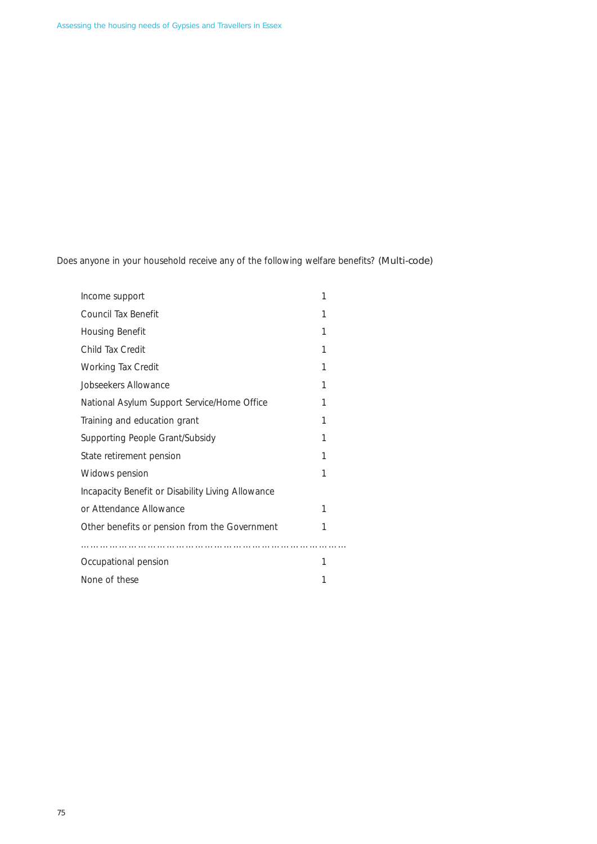Does anyone in your household receive any of the following welfare benefits? (Multi-code)

| Income support                                    | 1 |  |  |  |  |
|---------------------------------------------------|---|--|--|--|--|
| Council Tax Benefit                               | 1 |  |  |  |  |
| Housing Benefit                                   | 1 |  |  |  |  |
| Child Tax Credit                                  | 1 |  |  |  |  |
| Working Tax Credit                                | 1 |  |  |  |  |
| Jobseekers Allowance                              | 1 |  |  |  |  |
| National Asylum Support Service/Home Office       | 1 |  |  |  |  |
| Training and education grant                      | 1 |  |  |  |  |
| Supporting People Grant/Subsidy                   | 1 |  |  |  |  |
| State retirement pension                          | 1 |  |  |  |  |
| Widows pension                                    | 1 |  |  |  |  |
| Incapacity Benefit or Disability Living Allowance |   |  |  |  |  |
| or Attendance Allowance                           | 1 |  |  |  |  |
| Other benefits or pension from the Government     | 1 |  |  |  |  |
|                                                   |   |  |  |  |  |
| Occupational pension                              | 1 |  |  |  |  |
| None of these                                     |   |  |  |  |  |